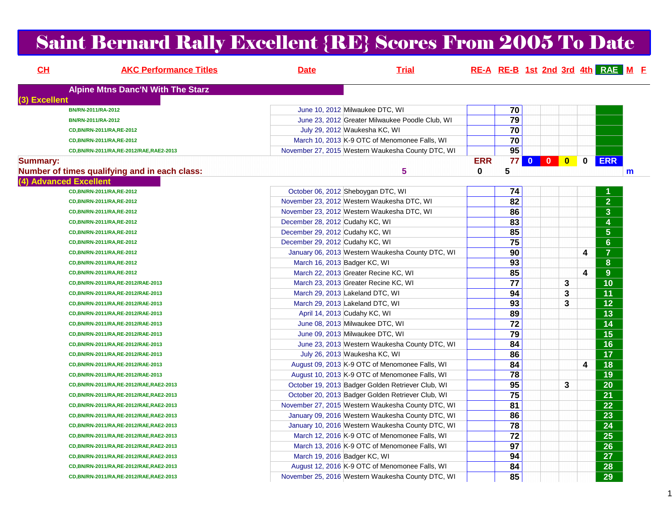# Saint Bernard Rally Excellent {RE} Scores From 2005 To Date

| CH              | <b>AKC Performance Titles</b>                 | <b>Date</b>                                | <b>Trial</b>                                      |            |                 |   |                         | RE-A RE-B 1st 2nd 3rd 4th RAE M F |
|-----------------|-----------------------------------------------|--------------------------------------------|---------------------------------------------------|------------|-----------------|---|-------------------------|-----------------------------------|
|                 | <b>Alpine Mtns Danc'N With The Starz</b>      |                                            |                                                   |            |                 |   |                         |                                   |
| (3) Excellent   |                                               |                                            |                                                   |            |                 |   |                         |                                   |
|                 | BN/RN-2011/RA-2012                            | June 10, 2012 Milwaukee DTC, WI            |                                                   |            | 70              |   |                         |                                   |
|                 | BN/RN-2011/RA-2012                            |                                            | June 23, 2012 Greater Milwaukee Poodle Club, WI   |            | 79              |   |                         |                                   |
|                 | CD, BN/RN-2011/RA, RE-2012                    | July 29, 2012 Waukesha KC, WI              |                                                   |            | 70              |   |                         |                                   |
|                 | CD, BN/RN-2011/RA, RE-2012                    |                                            | March 10, 2013 K-9 OTC of Menomonee Falls, WI     |            | $\overline{70}$ |   |                         |                                   |
|                 | CD, BN/RN-2011/RA, RE-2012/RAE, RAE2-2013     |                                            | November 27, 2015 Western Waukesha County DTC, WI |            | 95              |   |                         |                                   |
| <b>Summary:</b> |                                               |                                            |                                                   | <b>ERR</b> | 77 <sub>1</sub> |   | $\mathbf 0$             | <b>ERR</b>                        |
|                 | Number of times qualifying and in each class: |                                            | 5                                                 | 0          | 5               |   |                         | m                                 |
|                 | (4) Advanced Excellent                        |                                            |                                                   |            |                 |   |                         |                                   |
|                 | CD, BN/RN-2011/RA, RE-2012                    | October 06, 2012 Sheboygan DTC, WI         |                                                   |            | 74              |   |                         |                                   |
|                 | CD, BN/RN-2011/RA, RE-2012                    | November 23, 2012 Western Waukesha DTC, WI |                                                   |            | $\overline{82}$ |   |                         | $\overline{2}$                    |
|                 | CD, BN/RN-2011/RA, RE-2012                    | November 23, 2012 Western Waukesha DTC, WI |                                                   |            | 86              |   |                         | $\overline{\mathbf{3}}$           |
|                 | CD, BN/RN-2011/RA, RE-2012                    | December 28, 2012 Cudahy KC, WI            |                                                   |            | 83              |   |                         | $\overline{\mathbf{4}}$           |
|                 | CD, BN/RN-2011/RA, RE-2012                    | December 29, 2012 Cudahy KC, WI            |                                                   |            | 85              |   |                         | $\overline{5}$                    |
|                 | CD, BN/RN-2011/RA, RE-2012                    | December 29, 2012 Cudahy KC, WI            |                                                   |            | 75              |   |                         | $6\phantom{a}$                    |
|                 | CD, BN/RN-2011/RA, RE-2012                    |                                            | January 06, 2013 Western Waukesha County DTC, WI  |            | 90              |   | 4                       | $\overline{7}$                    |
|                 | CD, BN/RN-2011/RA, RE-2012                    | March 16, 2013 Badger KC, WI               |                                                   |            | 93              |   |                         | 8                                 |
|                 | CD, BN/RN-2011/RA, RE-2012                    | March 22, 2013 Greater Recine KC, WI       |                                                   |            | 85              |   | 4                       | $\overline{9}$                    |
|                 | CD, BN/RN-2011/RA, RE-2012/RAE-2013           | March 23, 2013 Greater Recine KC, WI       |                                                   |            | $\overline{77}$ | 3 |                         | 10                                |
|                 | CD, BN/RN-2011/RA, RE-2012/RAE-2013           | March 29, 2013 Lakeland DTC, WI            |                                                   |            | 94              | 3 |                         | 11                                |
|                 | CD, BN/RN-2011/RA, RE-2012/RAE-2013           | March 29, 2013 Lakeland DTC, WI            |                                                   |            | $\overline{93}$ | 3 |                         | $\overline{12}$                   |
|                 | CD, BN/RN-2011/RA, RE-2012/RAE-2013           | April 14, 2013 Cudahy KC, WI               |                                                   |            | 89              |   |                         | $\overline{13}$                   |
|                 | CD, BN/RN-2011/RA, RE-2012/RAE-2013           | June 08, 2013 Milwaukee DTC, WI            |                                                   |            | $\overline{72}$ |   |                         | $\overline{14}$                   |
|                 | CD, BN/RN-2011/RA, RE-2012/RAE-2013           | June 09, 2013 Milwaukee DTC, WI            |                                                   |            | $\overline{79}$ |   |                         | $\overline{15}$                   |
|                 | CD, BN/RN-2011/RA, RE-2012/RAE-2013           |                                            | June 23, 2013 Western Waukesha County DTC, WI     |            | 84              |   |                         | 16                                |
|                 | CD, BN/RN-2011/RA, RE-2012/RAE-2013           | July 26, 2013 Waukesha KC, WI              |                                                   |            | 86              |   |                         | $\overline{17}$                   |
|                 | CD, BN/RN-2011/RA, RE-2012/RAE-2013           |                                            | August 09, 2013 K-9 OTC of Menomonee Falls, WI    |            | 84              |   | $\overline{\mathbf{4}}$ | $\overline{18}$                   |
|                 | CD, BN/RN-2011/RA, RE-2012/RAE-2013           |                                            | August 10, 2013 K-9 OTC of Menomonee Falls, WI    |            | 78              |   |                         | $\overline{19}$                   |
|                 | CD, BN/RN-2011/RA, RE-2012/RAE, RAE2-2013     |                                            | October 19, 2013 Badger Golden Retriever Club, WI |            | 95              | 3 |                         | 20                                |
|                 | CD, BN/RN-2011/RA, RE-2012/RAE, RAE2-2013     |                                            | October 20, 2013 Badger Golden Retriever Club, WI |            | 75              |   |                         | $\overline{21}$                   |
|                 | CD, BN/RN-2011/RA, RE-2012/RAE, RAE2-2013     |                                            | November 27, 2015 Western Waukesha County DTC, WI |            | $\overline{81}$ |   |                         | 22                                |
|                 | CD, BN/RN-2011/RA, RE-2012/RAE, RAE2-2013     |                                            | January 09, 2016 Western Waukesha County DTC, WI  |            | 86              |   |                         | 23                                |
|                 | CD, BN/RN-2011/RA, RE-2012/RAE, RAE2-2013     |                                            | January 10, 2016 Western Waukesha County DTC, WI  |            | 78              |   |                         | 24                                |
|                 | CD,BN/RN-2011/RA,RE-2012/RAE,RAE2-2013        |                                            | March 12, 2016 K-9 OTC of Menomonee Falls, WI     |            | $\overline{72}$ |   |                         | 25                                |
|                 | CD,BN/RN-2011/RA,RE-2012/RAE,RAE2-2013        |                                            | March 13, 2016 K-9 OTC of Menomonee Falls, WI     |            | 97              |   |                         | 26                                |
|                 | CD, BN/RN-2011/RA, RE-2012/RAE, RAE2-2013     | March 19, 2016 Badger KC, WI               |                                                   |            | 94              |   |                         | 27                                |
|                 | CD, BN/RN-2011/RA, RE-2012/RAE, RAE2-2013     |                                            | August 12, 2016 K-9 OTC of Menomonee Falls, WI    |            | 84              |   |                         | 28                                |
|                 | CD, BN/RN-2011/RA, RE-2012/RAE, RAE2-2013     |                                            | November 25, 2016 Western Waukesha County DTC, WI |            | 85              |   |                         | 29                                |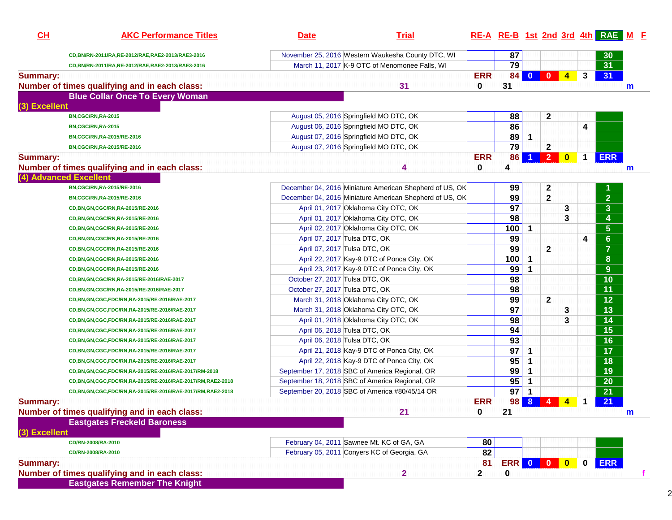| CH              | <b>AKC Performance Titles</b>                                           | <b>Date</b>                    | <b>Trial</b>                                            | RE-A RE-B 1st 2nd 3rd 4th RAE M F |                       |                         |                |                         |             |                         |             |
|-----------------|-------------------------------------------------------------------------|--------------------------------|---------------------------------------------------------|-----------------------------------|-----------------------|-------------------------|----------------|-------------------------|-------------|-------------------------|-------------|
|                 | CD,BN/RN-2011/RA,RE-2012/RAE,RAE2-2013/RAE3-2016                        |                                | November 25, 2016 Western Waukesha County DTC, WI       |                                   | 87                    |                         |                |                         |             | 30 <sup>°</sup>         |             |
|                 | CD,BN/RN-2011/RA,RE-2012/RAE,RAE2-2013/RAE3-2016                        |                                | March 11, 2017 K-9 OTC of Menomonee Falls, WI           |                                   | 79                    |                         |                |                         |             | $\overline{31}$         |             |
| <b>Summary:</b> |                                                                         |                                |                                                         | <b>ERR</b>                        | 84                    | $\bullet$               | $\bullet$      | $\overline{4}$          | 3           | 31                      |             |
|                 | Number of times qualifying and in each class:                           |                                | 31                                                      | $\bf{0}$                          | 31                    |                         |                |                         |             |                         | $\mathbf m$ |
| (3) Excellent   | <b>Blue Collar Once To Every Woman</b>                                  |                                |                                                         |                                   |                       |                         |                |                         |             |                         |             |
|                 | BN,CGC/RN,RA-2015                                                       |                                | August 05, 2016 Springfield MO DTC, OK                  |                                   | 88                    |                         | $\mathbf{2}$   |                         |             |                         |             |
|                 | BN,CGC/RN,RA-2015                                                       |                                | August 06, 2016 Springfield MO DTC, OK                  |                                   | 86                    |                         |                |                         | 4           |                         |             |
|                 | BN,CGC/RN,RA-2015/RE-2016                                               |                                | August 07, 2016 Springfield MO DTC, OK                  |                                   | 89                    | $\overline{\mathbf{1}}$ |                |                         |             |                         |             |
|                 | BN,CGC/RN,RA-2015/RE-2016                                               |                                | August 07, 2016 Springfield MO DTC, OK                  |                                   | $\overline{79}$       |                         | $\mathbf{2}$   |                         |             |                         |             |
| <b>Summary:</b> | Number of times qualifying and in each class:<br>(4) Advanced Excellent |                                | 4                                                       | <b>ERR</b><br>0                   | 86<br>4               | 1                       | $\boxed{2}$    | $\bullet$               | $\mathbf 1$ | <b>ERR</b>              | $\mathbf m$ |
|                 | BN,CGC/RN,RA-2015/RE-2016                                               |                                | December 04, 2016 Miniature American Shepherd of US, OK |                                   | 99                    |                         | $\mathbf 2$    |                         |             |                         |             |
|                 | BN,CGC/RN,RA-2015/RE-2016                                               |                                | December 04, 2016 Miniature American Shepherd of US, OK |                                   | 99                    |                         | $\mathbf{2}$   |                         |             | $\overline{2}$          |             |
|                 | CD, BN, GN, CGC/RN, RA-2015/RE-2016                                     |                                | April 01, 2017 Oklahoma City OTC, OK                    |                                   | 97                    |                         |                | 3                       |             | $\overline{\mathbf{3}}$ |             |
|                 | CD, BN, GN, CGC/RN, RA-2015/RE-2016                                     |                                | April 01, 2017 Oklahoma City OTC, OK                    |                                   | 98                    |                         |                | 3                       |             | 4                       |             |
|                 | CD, BN, GN, CGC/RN, RA-2015/RE-2016                                     |                                | April 02, 2017 Oklahoma City OTC, OK                    |                                   | 100                   | 1                       |                |                         |             | $5\phantom{a}$          |             |
|                 | CD, BN, GN, CGC/RN, RA-2015/RE-2016                                     | April 07, 2017 Tulsa DTC, OK   |                                                         |                                   | 99                    |                         |                |                         | 4           | $6\phantom{a}$          |             |
|                 | CD, BN, GN, CGC/RN, RA-2015/RE-2016                                     | April 07, 2017 Tulsa DTC, OK   |                                                         |                                   | 99                    |                         | $\mathbf{2}$   |                         |             | $\overline{7}$          |             |
|                 | CD, BN, GN, CGC/RN, RA-2015/RE-2016                                     |                                | April 22, 2017 Kay-9 DTC of Ponca City, OK              |                                   | 100                   | $\mathbf 1$             |                |                         |             | 8                       |             |
|                 | CD, BN, GN, CGC/RN, RA-2015/RE-2016                                     |                                | April 23, 2017 Kay-9 DTC of Ponca City, OK              |                                   | 99                    | 1                       |                |                         |             | 9                       |             |
|                 | CD,BN,GN,CGC/RN,RA-2015/RE-2016/RAE-2017                                | October 27, 2017 Tulsa DTC, OK |                                                         |                                   | 98                    |                         |                |                         |             | 10                      |             |
|                 | CD, BN, GN, CGC/RN, RA-2015/RE-2016/RAE-2017                            | October 27, 2017 Tulsa DTC, OK |                                                         |                                   | 98                    |                         |                |                         |             | 11                      |             |
|                 | CD,BN,GN,CGC,FDC/RN,RA-2015/RE-2016/RAE-2017                            |                                | March 31, 2018 Oklahoma City OTC, OK                    |                                   | 99                    |                         | $\mathbf{2}$   |                         |             | $\overline{12}$         |             |
|                 | CD,BN,GN,CGC,FDC/RN,RA-2015/RE-2016/RAE-2017                            |                                | March 31, 2018 Oklahoma City OTC, OK                    |                                   | 97                    |                         |                | 3                       |             | $\overline{13}$         |             |
|                 | CD,BN,GN,CGC,FDC/RN,RA-2015/RE-2016/RAE-2017                            |                                | April 01, 2018 Oklahoma City OTC, OK                    |                                   | 98                    |                         |                | 3                       |             | $\overline{14}$         |             |
|                 | CD,BN,GN,CGC,FDC/RN,RA-2015/RE-2016/RAE-2017                            | April 06, 2018 Tulsa DTC, OK   |                                                         |                                   | 94                    |                         |                |                         |             | $\overline{15}$         |             |
|                 | CD,BN,GN,CGC,FDC/RN,RA-2015/RE-2016/RAE-2017                            | April 06, 2018 Tulsa DTC, OK   |                                                         |                                   | $\overline{93}$       |                         |                |                         |             | $\overline{16}$         |             |
|                 | CD,BN,GN,CGC,FDC/RN,RA-2015/RE-2016/RAE-2017                            |                                | April 21, 2018 Kay-9 DTC of Ponca City, OK              |                                   | $\overline{97}$       | $\mathbf 1$             |                |                         |             | $\overline{17}$         |             |
|                 | CD, BN, GN, CGC, FDC/RN, RA-2015/RE-2016/RAE-2017                       |                                | April 22, 2018 Kay-9 DTC of Ponca City, OK              |                                   | 95                    | 1                       |                |                         |             | $\overline{18}$         |             |
|                 | CD,BN,GN,CGC,FDC/RN,RA-2015/RE-2016/RAE-2017/RM-2018                    |                                | September 17, 2018 SBC of America Regional, OR          |                                   | 99                    | 1                       |                |                         |             | 19                      |             |
|                 | CD,BN,GN,CGC,FDC/RN,RA-2015/RE-2016/RAE-2017/RM,RAE2-2018               |                                | September 18, 2018 SBC of America Regional, OR          |                                   | 95                    | $\mathbf 1$             |                |                         |             | 20                      |             |
|                 | CD,BN,GN,CGC,FDC/RN,RA-2015/RE-2016/RAE-2017/RM,RAE2-2018               |                                | September 20, 2018 SBC of America #80/45/14 OR          |                                   | 97                    | $\mathbf 1$             |                |                         |             | 21                      |             |
| <b>Summary:</b> | Number of times qualifying and in each class:                           |                                | 21                                                      | <b>ERR</b><br>$\mathbf 0$         | <b>98</b><br>21       | 8                       | $\overline{4}$ | $\overline{\mathbf{4}}$ | $\mathbf 1$ | 21                      | m           |
|                 | <b>Eastgates Freckeld Baroness</b>                                      |                                |                                                         |                                   |                       |                         |                |                         |             |                         |             |
| (3) Excellent   |                                                                         |                                |                                                         |                                   |                       |                         |                |                         |             |                         |             |
|                 | CD/RN-2008/RA-2010                                                      |                                | February 04, 2011 Sawnee Mt. KC of GA, GA               | 80                                |                       |                         |                |                         |             |                         |             |
|                 | CD/RN-2008/RA-2010                                                      |                                | February 05, 2011 Conyers KC of Georgia, GA             | $\overline{82}$                   |                       |                         |                |                         |             |                         |             |
| <b>Summary:</b> | Number of times qualifying and in each class:                           |                                | $\overline{2}$                                          | 81<br>$\mathbf{2}$                | <b>ERR 0 0 0</b><br>0 |                         |                |                         | $\mathbf 0$ | <b>ERR</b>              |             |
|                 | <b>Eastgates Remember The Knight</b>                                    |                                |                                                         |                                   |                       |                         |                |                         |             |                         |             |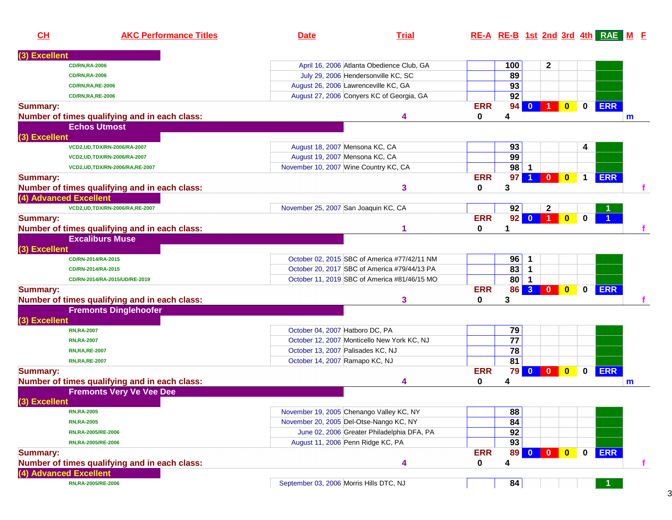| <b>Excellent</b><br>100<br>$\mathbf 2$<br>April 16, 2006 Atlanta Obedience Club, GA<br><b>CD/RN,RA-2006</b><br>89<br>July 29, 2006 Hendersonville KC, SC<br><b>CD/RN,RA-2006</b><br>93<br>August 26, 2006 Lawrenceville KC, GA<br><b>CD/RN, RA, RE-2006</b><br>92<br>August 27, 2006 Conyers KC of Georgia, GA<br><b>CD/RN, RA, RE-2006</b><br><b>ERR</b><br><b>ERR</b><br>94<br>$\mathbf{0}$<br>$\mathbf 0$<br>$\mathbf{0}$<br>$\blacktriangleleft$<br><b>Summary:</b><br>Number of times qualifying and in each class:<br>0<br>4<br>4<br>m<br><b>Echos Utmost</b><br>(3) Excellent<br>93<br>August 18, 2007 Mensona KC, CA<br>4<br>VCD2, UD, TDX/RN-2006/RA-2007<br>99<br>August 19, 2007 Mensona KC, CA<br>VCD2, UD, TDX/RN-2006/RA-2007<br>98<br>November 10, 2007 Wine Country KC, CA<br>$\blacksquare$<br>VCD2, UD, TDX/RN-2006/RA, RE-2007<br><b>ERR</b><br>97<br><b>ERR</b><br>$\overline{\mathbf{0}}$<br>$\bullet$<br>$\mathbf 1$<br><b>Summary:</b><br>3<br>Number of times qualifying and in each class:<br>3<br>0<br>(4) Advanced Excellent<br>November 25, 2007 San Joaquin KC, CA<br>92<br>$\mathbf 2$<br>VCD2, UD, TDX/RN-2006/RA, RE-2007<br><b>ERR</b><br>92<br>$\overline{1}$<br>$\mathbf{0}$<br>$\mathbf{0}$<br><b>Summary:</b><br>$\mathbf{0}$<br>Number of times qualifying and in each class:<br>0<br>1<br><b>Excaliburs Muse</b><br>(3) Excellent<br>96<br>October 02, 2015 SBC of America #77/42/11 NM<br>$\mathbf 1$<br>CD/RN-2014/RA-2015<br>83<br>October 20, 2017 SBC of America #79/44/13 PA<br>$\mathbf 1$<br>CD/RN-2014/RA-2015<br>80<br>October 11, 2019 SBC of America #81/46/15 MO<br>$\mathbf 1$<br>CD/RN-2014/RA-2015/UD/RE-2019<br>86<br>3<br><b>ERR</b><br><b>ERR</b><br>$\bullet$<br>$\mathbf 0$<br><b>Summary:</b><br>$\overline{\mathbf{0}}$<br>Number of times qualifying and in each class:<br>0<br>3<br>3<br><b>Fremonts Dinglehoofer</b><br>(3) Excellent<br>79<br>October 04, 2007 Hatboro DC, PA<br><b>RN,RA-2007</b><br>$\overline{77}$<br>October 12, 2007 Monticello New York KC, NJ<br><b>RN,RA-2007</b><br>78<br>October 13, 2007 Palisades KC, NJ<br><b>RN, RA, RE-2007</b><br>81<br>October 14, 2007 Ramapo KC, NJ<br><b>RN, RA, RE-2007</b><br>79<br><b>ERR</b><br><b>ERR</b><br>$\mathbf{0}$<br>$\mathbf 0$<br><b>Summary:</b><br>$\overline{\mathbf{0}}$<br>Number of times qualifying and in each class:<br>0<br>4<br>4<br>$\mathsf{m}$<br><b>Fremonts Very Ve Vee Dee</b><br>(3) Excellent<br>88<br>November 19, 2005 Chenango Valley KC, NY<br><b>RN,RA-2005</b><br>84<br>November 20, 2005 Del-Otse-Nango KC, NY<br><b>RN,RA-2005</b><br>92<br>June 02, 2006 Greater Philadelphia DFA, PA<br>RN, RA-2005/RE-2006<br>93<br>August 11, 2006 Penn Ridge KC, PA<br>RN, RA-2005/RE-2006<br><b>ERR</b><br><b>ERR</b><br>89<br>$\overline{\mathbf{0}}$<br>$\mathbf 0$<br>$0$ 0<br><b>Summary:</b><br>Number of times qualifying and in each class:<br>4<br>4<br>0<br>Ť.<br>(4) Advanced Excellent<br>84<br>September 03, 2006 Morris Hills DTC, NJ<br>RN, RA-2005/RE-2006 | CH | <b>AKC Performance Titles</b> | <b>Date</b> | <b>Trial</b> |  |  | RE-A RE-B 1st 2nd 3rd 4th RAE M F |
|---------------------------------------------------------------------------------------------------------------------------------------------------------------------------------------------------------------------------------------------------------------------------------------------------------------------------------------------------------------------------------------------------------------------------------------------------------------------------------------------------------------------------------------------------------------------------------------------------------------------------------------------------------------------------------------------------------------------------------------------------------------------------------------------------------------------------------------------------------------------------------------------------------------------------------------------------------------------------------------------------------------------------------------------------------------------------------------------------------------------------------------------------------------------------------------------------------------------------------------------------------------------------------------------------------------------------------------------------------------------------------------------------------------------------------------------------------------------------------------------------------------------------------------------------------------------------------------------------------------------------------------------------------------------------------------------------------------------------------------------------------------------------------------------------------------------------------------------------------------------------------------------------------------------------------------------------------------------------------------------------------------------------------------------------------------------------------------------------------------------------------------------------------------------------------------------------------------------------------------------------------------------------------------------------------------------------------------------------------------------------------------------------------------------------------------------------------------------------------------------------------------------------------------------------------------------------------------------------------------------------------------------------------------------------------------------------------------------------------------------------------------------------------------------------------------------------------------------------------------------------------------------------------------------------------------------------------------------------------------------------------------------------------|----|-------------------------------|-------------|--------------|--|--|-----------------------------------|
|                                                                                                                                                                                                                                                                                                                                                                                                                                                                                                                                                                                                                                                                                                                                                                                                                                                                                                                                                                                                                                                                                                                                                                                                                                                                                                                                                                                                                                                                                                                                                                                                                                                                                                                                                                                                                                                                                                                                                                                                                                                                                                                                                                                                                                                                                                                                                                                                                                                                                                                                                                                                                                                                                                                                                                                                                                                                                                                                                                                                                                 |    |                               |             |              |  |  |                                   |
|                                                                                                                                                                                                                                                                                                                                                                                                                                                                                                                                                                                                                                                                                                                                                                                                                                                                                                                                                                                                                                                                                                                                                                                                                                                                                                                                                                                                                                                                                                                                                                                                                                                                                                                                                                                                                                                                                                                                                                                                                                                                                                                                                                                                                                                                                                                                                                                                                                                                                                                                                                                                                                                                                                                                                                                                                                                                                                                                                                                                                                 |    |                               |             |              |  |  |                                   |
|                                                                                                                                                                                                                                                                                                                                                                                                                                                                                                                                                                                                                                                                                                                                                                                                                                                                                                                                                                                                                                                                                                                                                                                                                                                                                                                                                                                                                                                                                                                                                                                                                                                                                                                                                                                                                                                                                                                                                                                                                                                                                                                                                                                                                                                                                                                                                                                                                                                                                                                                                                                                                                                                                                                                                                                                                                                                                                                                                                                                                                 |    |                               |             |              |  |  |                                   |
|                                                                                                                                                                                                                                                                                                                                                                                                                                                                                                                                                                                                                                                                                                                                                                                                                                                                                                                                                                                                                                                                                                                                                                                                                                                                                                                                                                                                                                                                                                                                                                                                                                                                                                                                                                                                                                                                                                                                                                                                                                                                                                                                                                                                                                                                                                                                                                                                                                                                                                                                                                                                                                                                                                                                                                                                                                                                                                                                                                                                                                 |    |                               |             |              |  |  |                                   |
|                                                                                                                                                                                                                                                                                                                                                                                                                                                                                                                                                                                                                                                                                                                                                                                                                                                                                                                                                                                                                                                                                                                                                                                                                                                                                                                                                                                                                                                                                                                                                                                                                                                                                                                                                                                                                                                                                                                                                                                                                                                                                                                                                                                                                                                                                                                                                                                                                                                                                                                                                                                                                                                                                                                                                                                                                                                                                                                                                                                                                                 |    |                               |             |              |  |  |                                   |
|                                                                                                                                                                                                                                                                                                                                                                                                                                                                                                                                                                                                                                                                                                                                                                                                                                                                                                                                                                                                                                                                                                                                                                                                                                                                                                                                                                                                                                                                                                                                                                                                                                                                                                                                                                                                                                                                                                                                                                                                                                                                                                                                                                                                                                                                                                                                                                                                                                                                                                                                                                                                                                                                                                                                                                                                                                                                                                                                                                                                                                 |    |                               |             |              |  |  |                                   |
|                                                                                                                                                                                                                                                                                                                                                                                                                                                                                                                                                                                                                                                                                                                                                                                                                                                                                                                                                                                                                                                                                                                                                                                                                                                                                                                                                                                                                                                                                                                                                                                                                                                                                                                                                                                                                                                                                                                                                                                                                                                                                                                                                                                                                                                                                                                                                                                                                                                                                                                                                                                                                                                                                                                                                                                                                                                                                                                                                                                                                                 |    |                               |             |              |  |  |                                   |
|                                                                                                                                                                                                                                                                                                                                                                                                                                                                                                                                                                                                                                                                                                                                                                                                                                                                                                                                                                                                                                                                                                                                                                                                                                                                                                                                                                                                                                                                                                                                                                                                                                                                                                                                                                                                                                                                                                                                                                                                                                                                                                                                                                                                                                                                                                                                                                                                                                                                                                                                                                                                                                                                                                                                                                                                                                                                                                                                                                                                                                 |    |                               |             |              |  |  |                                   |
|                                                                                                                                                                                                                                                                                                                                                                                                                                                                                                                                                                                                                                                                                                                                                                                                                                                                                                                                                                                                                                                                                                                                                                                                                                                                                                                                                                                                                                                                                                                                                                                                                                                                                                                                                                                                                                                                                                                                                                                                                                                                                                                                                                                                                                                                                                                                                                                                                                                                                                                                                                                                                                                                                                                                                                                                                                                                                                                                                                                                                                 |    |                               |             |              |  |  |                                   |
|                                                                                                                                                                                                                                                                                                                                                                                                                                                                                                                                                                                                                                                                                                                                                                                                                                                                                                                                                                                                                                                                                                                                                                                                                                                                                                                                                                                                                                                                                                                                                                                                                                                                                                                                                                                                                                                                                                                                                                                                                                                                                                                                                                                                                                                                                                                                                                                                                                                                                                                                                                                                                                                                                                                                                                                                                                                                                                                                                                                                                                 |    |                               |             |              |  |  |                                   |
|                                                                                                                                                                                                                                                                                                                                                                                                                                                                                                                                                                                                                                                                                                                                                                                                                                                                                                                                                                                                                                                                                                                                                                                                                                                                                                                                                                                                                                                                                                                                                                                                                                                                                                                                                                                                                                                                                                                                                                                                                                                                                                                                                                                                                                                                                                                                                                                                                                                                                                                                                                                                                                                                                                                                                                                                                                                                                                                                                                                                                                 |    |                               |             |              |  |  |                                   |
|                                                                                                                                                                                                                                                                                                                                                                                                                                                                                                                                                                                                                                                                                                                                                                                                                                                                                                                                                                                                                                                                                                                                                                                                                                                                                                                                                                                                                                                                                                                                                                                                                                                                                                                                                                                                                                                                                                                                                                                                                                                                                                                                                                                                                                                                                                                                                                                                                                                                                                                                                                                                                                                                                                                                                                                                                                                                                                                                                                                                                                 |    |                               |             |              |  |  |                                   |
|                                                                                                                                                                                                                                                                                                                                                                                                                                                                                                                                                                                                                                                                                                                                                                                                                                                                                                                                                                                                                                                                                                                                                                                                                                                                                                                                                                                                                                                                                                                                                                                                                                                                                                                                                                                                                                                                                                                                                                                                                                                                                                                                                                                                                                                                                                                                                                                                                                                                                                                                                                                                                                                                                                                                                                                                                                                                                                                                                                                                                                 |    |                               |             |              |  |  |                                   |
|                                                                                                                                                                                                                                                                                                                                                                                                                                                                                                                                                                                                                                                                                                                                                                                                                                                                                                                                                                                                                                                                                                                                                                                                                                                                                                                                                                                                                                                                                                                                                                                                                                                                                                                                                                                                                                                                                                                                                                                                                                                                                                                                                                                                                                                                                                                                                                                                                                                                                                                                                                                                                                                                                                                                                                                                                                                                                                                                                                                                                                 |    |                               |             |              |  |  |                                   |
|                                                                                                                                                                                                                                                                                                                                                                                                                                                                                                                                                                                                                                                                                                                                                                                                                                                                                                                                                                                                                                                                                                                                                                                                                                                                                                                                                                                                                                                                                                                                                                                                                                                                                                                                                                                                                                                                                                                                                                                                                                                                                                                                                                                                                                                                                                                                                                                                                                                                                                                                                                                                                                                                                                                                                                                                                                                                                                                                                                                                                                 |    |                               |             |              |  |  |                                   |
|                                                                                                                                                                                                                                                                                                                                                                                                                                                                                                                                                                                                                                                                                                                                                                                                                                                                                                                                                                                                                                                                                                                                                                                                                                                                                                                                                                                                                                                                                                                                                                                                                                                                                                                                                                                                                                                                                                                                                                                                                                                                                                                                                                                                                                                                                                                                                                                                                                                                                                                                                                                                                                                                                                                                                                                                                                                                                                                                                                                                                                 |    |                               |             |              |  |  |                                   |
|                                                                                                                                                                                                                                                                                                                                                                                                                                                                                                                                                                                                                                                                                                                                                                                                                                                                                                                                                                                                                                                                                                                                                                                                                                                                                                                                                                                                                                                                                                                                                                                                                                                                                                                                                                                                                                                                                                                                                                                                                                                                                                                                                                                                                                                                                                                                                                                                                                                                                                                                                                                                                                                                                                                                                                                                                                                                                                                                                                                                                                 |    |                               |             |              |  |  |                                   |
|                                                                                                                                                                                                                                                                                                                                                                                                                                                                                                                                                                                                                                                                                                                                                                                                                                                                                                                                                                                                                                                                                                                                                                                                                                                                                                                                                                                                                                                                                                                                                                                                                                                                                                                                                                                                                                                                                                                                                                                                                                                                                                                                                                                                                                                                                                                                                                                                                                                                                                                                                                                                                                                                                                                                                                                                                                                                                                                                                                                                                                 |    |                               |             |              |  |  |                                   |
|                                                                                                                                                                                                                                                                                                                                                                                                                                                                                                                                                                                                                                                                                                                                                                                                                                                                                                                                                                                                                                                                                                                                                                                                                                                                                                                                                                                                                                                                                                                                                                                                                                                                                                                                                                                                                                                                                                                                                                                                                                                                                                                                                                                                                                                                                                                                                                                                                                                                                                                                                                                                                                                                                                                                                                                                                                                                                                                                                                                                                                 |    |                               |             |              |  |  |                                   |
|                                                                                                                                                                                                                                                                                                                                                                                                                                                                                                                                                                                                                                                                                                                                                                                                                                                                                                                                                                                                                                                                                                                                                                                                                                                                                                                                                                                                                                                                                                                                                                                                                                                                                                                                                                                                                                                                                                                                                                                                                                                                                                                                                                                                                                                                                                                                                                                                                                                                                                                                                                                                                                                                                                                                                                                                                                                                                                                                                                                                                                 |    |                               |             |              |  |  |                                   |
|                                                                                                                                                                                                                                                                                                                                                                                                                                                                                                                                                                                                                                                                                                                                                                                                                                                                                                                                                                                                                                                                                                                                                                                                                                                                                                                                                                                                                                                                                                                                                                                                                                                                                                                                                                                                                                                                                                                                                                                                                                                                                                                                                                                                                                                                                                                                                                                                                                                                                                                                                                                                                                                                                                                                                                                                                                                                                                                                                                                                                                 |    |                               |             |              |  |  |                                   |
|                                                                                                                                                                                                                                                                                                                                                                                                                                                                                                                                                                                                                                                                                                                                                                                                                                                                                                                                                                                                                                                                                                                                                                                                                                                                                                                                                                                                                                                                                                                                                                                                                                                                                                                                                                                                                                                                                                                                                                                                                                                                                                                                                                                                                                                                                                                                                                                                                                                                                                                                                                                                                                                                                                                                                                                                                                                                                                                                                                                                                                 |    |                               |             |              |  |  |                                   |
|                                                                                                                                                                                                                                                                                                                                                                                                                                                                                                                                                                                                                                                                                                                                                                                                                                                                                                                                                                                                                                                                                                                                                                                                                                                                                                                                                                                                                                                                                                                                                                                                                                                                                                                                                                                                                                                                                                                                                                                                                                                                                                                                                                                                                                                                                                                                                                                                                                                                                                                                                                                                                                                                                                                                                                                                                                                                                                                                                                                                                                 |    |                               |             |              |  |  |                                   |
|                                                                                                                                                                                                                                                                                                                                                                                                                                                                                                                                                                                                                                                                                                                                                                                                                                                                                                                                                                                                                                                                                                                                                                                                                                                                                                                                                                                                                                                                                                                                                                                                                                                                                                                                                                                                                                                                                                                                                                                                                                                                                                                                                                                                                                                                                                                                                                                                                                                                                                                                                                                                                                                                                                                                                                                                                                                                                                                                                                                                                                 |    |                               |             |              |  |  |                                   |
|                                                                                                                                                                                                                                                                                                                                                                                                                                                                                                                                                                                                                                                                                                                                                                                                                                                                                                                                                                                                                                                                                                                                                                                                                                                                                                                                                                                                                                                                                                                                                                                                                                                                                                                                                                                                                                                                                                                                                                                                                                                                                                                                                                                                                                                                                                                                                                                                                                                                                                                                                                                                                                                                                                                                                                                                                                                                                                                                                                                                                                 |    |                               |             |              |  |  |                                   |
|                                                                                                                                                                                                                                                                                                                                                                                                                                                                                                                                                                                                                                                                                                                                                                                                                                                                                                                                                                                                                                                                                                                                                                                                                                                                                                                                                                                                                                                                                                                                                                                                                                                                                                                                                                                                                                                                                                                                                                                                                                                                                                                                                                                                                                                                                                                                                                                                                                                                                                                                                                                                                                                                                                                                                                                                                                                                                                                                                                                                                                 |    |                               |             |              |  |  |                                   |
|                                                                                                                                                                                                                                                                                                                                                                                                                                                                                                                                                                                                                                                                                                                                                                                                                                                                                                                                                                                                                                                                                                                                                                                                                                                                                                                                                                                                                                                                                                                                                                                                                                                                                                                                                                                                                                                                                                                                                                                                                                                                                                                                                                                                                                                                                                                                                                                                                                                                                                                                                                                                                                                                                                                                                                                                                                                                                                                                                                                                                                 |    |                               |             |              |  |  |                                   |
|                                                                                                                                                                                                                                                                                                                                                                                                                                                                                                                                                                                                                                                                                                                                                                                                                                                                                                                                                                                                                                                                                                                                                                                                                                                                                                                                                                                                                                                                                                                                                                                                                                                                                                                                                                                                                                                                                                                                                                                                                                                                                                                                                                                                                                                                                                                                                                                                                                                                                                                                                                                                                                                                                                                                                                                                                                                                                                                                                                                                                                 |    |                               |             |              |  |  |                                   |
|                                                                                                                                                                                                                                                                                                                                                                                                                                                                                                                                                                                                                                                                                                                                                                                                                                                                                                                                                                                                                                                                                                                                                                                                                                                                                                                                                                                                                                                                                                                                                                                                                                                                                                                                                                                                                                                                                                                                                                                                                                                                                                                                                                                                                                                                                                                                                                                                                                                                                                                                                                                                                                                                                                                                                                                                                                                                                                                                                                                                                                 |    |                               |             |              |  |  |                                   |
|                                                                                                                                                                                                                                                                                                                                                                                                                                                                                                                                                                                                                                                                                                                                                                                                                                                                                                                                                                                                                                                                                                                                                                                                                                                                                                                                                                                                                                                                                                                                                                                                                                                                                                                                                                                                                                                                                                                                                                                                                                                                                                                                                                                                                                                                                                                                                                                                                                                                                                                                                                                                                                                                                                                                                                                                                                                                                                                                                                                                                                 |    |                               |             |              |  |  |                                   |
|                                                                                                                                                                                                                                                                                                                                                                                                                                                                                                                                                                                                                                                                                                                                                                                                                                                                                                                                                                                                                                                                                                                                                                                                                                                                                                                                                                                                                                                                                                                                                                                                                                                                                                                                                                                                                                                                                                                                                                                                                                                                                                                                                                                                                                                                                                                                                                                                                                                                                                                                                                                                                                                                                                                                                                                                                                                                                                                                                                                                                                 |    |                               |             |              |  |  |                                   |
|                                                                                                                                                                                                                                                                                                                                                                                                                                                                                                                                                                                                                                                                                                                                                                                                                                                                                                                                                                                                                                                                                                                                                                                                                                                                                                                                                                                                                                                                                                                                                                                                                                                                                                                                                                                                                                                                                                                                                                                                                                                                                                                                                                                                                                                                                                                                                                                                                                                                                                                                                                                                                                                                                                                                                                                                                                                                                                                                                                                                                                 |    |                               |             |              |  |  |                                   |
|                                                                                                                                                                                                                                                                                                                                                                                                                                                                                                                                                                                                                                                                                                                                                                                                                                                                                                                                                                                                                                                                                                                                                                                                                                                                                                                                                                                                                                                                                                                                                                                                                                                                                                                                                                                                                                                                                                                                                                                                                                                                                                                                                                                                                                                                                                                                                                                                                                                                                                                                                                                                                                                                                                                                                                                                                                                                                                                                                                                                                                 |    |                               |             |              |  |  |                                   |
|                                                                                                                                                                                                                                                                                                                                                                                                                                                                                                                                                                                                                                                                                                                                                                                                                                                                                                                                                                                                                                                                                                                                                                                                                                                                                                                                                                                                                                                                                                                                                                                                                                                                                                                                                                                                                                                                                                                                                                                                                                                                                                                                                                                                                                                                                                                                                                                                                                                                                                                                                                                                                                                                                                                                                                                                                                                                                                                                                                                                                                 |    |                               |             |              |  |  |                                   |
|                                                                                                                                                                                                                                                                                                                                                                                                                                                                                                                                                                                                                                                                                                                                                                                                                                                                                                                                                                                                                                                                                                                                                                                                                                                                                                                                                                                                                                                                                                                                                                                                                                                                                                                                                                                                                                                                                                                                                                                                                                                                                                                                                                                                                                                                                                                                                                                                                                                                                                                                                                                                                                                                                                                                                                                                                                                                                                                                                                                                                                 |    |                               |             |              |  |  |                                   |
|                                                                                                                                                                                                                                                                                                                                                                                                                                                                                                                                                                                                                                                                                                                                                                                                                                                                                                                                                                                                                                                                                                                                                                                                                                                                                                                                                                                                                                                                                                                                                                                                                                                                                                                                                                                                                                                                                                                                                                                                                                                                                                                                                                                                                                                                                                                                                                                                                                                                                                                                                                                                                                                                                                                                                                                                                                                                                                                                                                                                                                 |    |                               |             |              |  |  |                                   |
|                                                                                                                                                                                                                                                                                                                                                                                                                                                                                                                                                                                                                                                                                                                                                                                                                                                                                                                                                                                                                                                                                                                                                                                                                                                                                                                                                                                                                                                                                                                                                                                                                                                                                                                                                                                                                                                                                                                                                                                                                                                                                                                                                                                                                                                                                                                                                                                                                                                                                                                                                                                                                                                                                                                                                                                                                                                                                                                                                                                                                                 |    |                               |             |              |  |  |                                   |
|                                                                                                                                                                                                                                                                                                                                                                                                                                                                                                                                                                                                                                                                                                                                                                                                                                                                                                                                                                                                                                                                                                                                                                                                                                                                                                                                                                                                                                                                                                                                                                                                                                                                                                                                                                                                                                                                                                                                                                                                                                                                                                                                                                                                                                                                                                                                                                                                                                                                                                                                                                                                                                                                                                                                                                                                                                                                                                                                                                                                                                 |    |                               |             |              |  |  |                                   |
|                                                                                                                                                                                                                                                                                                                                                                                                                                                                                                                                                                                                                                                                                                                                                                                                                                                                                                                                                                                                                                                                                                                                                                                                                                                                                                                                                                                                                                                                                                                                                                                                                                                                                                                                                                                                                                                                                                                                                                                                                                                                                                                                                                                                                                                                                                                                                                                                                                                                                                                                                                                                                                                                                                                                                                                                                                                                                                                                                                                                                                 |    |                               |             |              |  |  |                                   |
|                                                                                                                                                                                                                                                                                                                                                                                                                                                                                                                                                                                                                                                                                                                                                                                                                                                                                                                                                                                                                                                                                                                                                                                                                                                                                                                                                                                                                                                                                                                                                                                                                                                                                                                                                                                                                                                                                                                                                                                                                                                                                                                                                                                                                                                                                                                                                                                                                                                                                                                                                                                                                                                                                                                                                                                                                                                                                                                                                                                                                                 |    |                               |             |              |  |  |                                   |
|                                                                                                                                                                                                                                                                                                                                                                                                                                                                                                                                                                                                                                                                                                                                                                                                                                                                                                                                                                                                                                                                                                                                                                                                                                                                                                                                                                                                                                                                                                                                                                                                                                                                                                                                                                                                                                                                                                                                                                                                                                                                                                                                                                                                                                                                                                                                                                                                                                                                                                                                                                                                                                                                                                                                                                                                                                                                                                                                                                                                                                 |    |                               |             |              |  |  |                                   |
|                                                                                                                                                                                                                                                                                                                                                                                                                                                                                                                                                                                                                                                                                                                                                                                                                                                                                                                                                                                                                                                                                                                                                                                                                                                                                                                                                                                                                                                                                                                                                                                                                                                                                                                                                                                                                                                                                                                                                                                                                                                                                                                                                                                                                                                                                                                                                                                                                                                                                                                                                                                                                                                                                                                                                                                                                                                                                                                                                                                                                                 |    |                               |             |              |  |  |                                   |
|                                                                                                                                                                                                                                                                                                                                                                                                                                                                                                                                                                                                                                                                                                                                                                                                                                                                                                                                                                                                                                                                                                                                                                                                                                                                                                                                                                                                                                                                                                                                                                                                                                                                                                                                                                                                                                                                                                                                                                                                                                                                                                                                                                                                                                                                                                                                                                                                                                                                                                                                                                                                                                                                                                                                                                                                                                                                                                                                                                                                                                 |    |                               |             |              |  |  |                                   |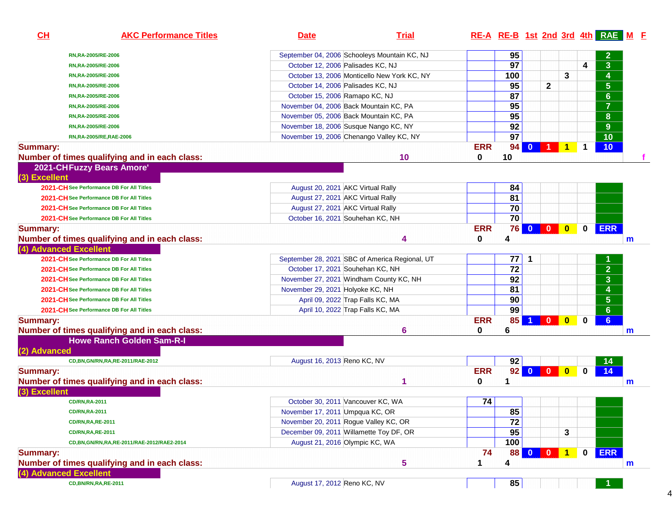| CH                     | <b>AKC Performance Titles</b>                                                     | <b>Date</b>                                    | <b>Trial</b>            | RE-A RE-B 1st 2nd 3rd 4th RAE M F |                 |              |              |              |             |                 |              |  |
|------------------------|-----------------------------------------------------------------------------------|------------------------------------------------|-------------------------|-----------------------------------|-----------------|--------------|--------------|--------------|-------------|-----------------|--------------|--|
|                        | RN, RA-2005/RE-2006                                                               | September 04, 2006 Schooleys Mountain KC, NJ   |                         |                                   | 95              |              |              |              |             | $\mathbf{2}$    |              |  |
|                        | RN, RA-2005/RE-2006                                                               | October 12, 2006 Palisades KC, NJ              |                         |                                   | 97              |              |              |              | 4           | 3 <sup>1</sup>  |              |  |
|                        | RN, RA-2005/RE-2006                                                               | October 13, 2006 Monticello New York KC, NY    |                         |                                   | 100             |              |              | 3            |             | 4               |              |  |
|                        | RN, RA-2005/RE-2006                                                               | October 14, 2006 Palisades KC, NJ              |                         |                                   | 95              |              | $\mathbf{2}$ |              |             | $5\phantom{.0}$ |              |  |
|                        | RN, RA-2005/RE-2006                                                               | October 15, 2006 Ramapo KC, NJ                 |                         |                                   | 87              |              |              |              |             | 6 <sup>°</sup>  |              |  |
|                        | RN, RA-2005/RE-2006                                                               | November 04, 2006 Back Mountain KC, PA         |                         |                                   | 95              |              |              |              |             | $\overline{7}$  |              |  |
|                        | RN,RA-2005/RE-2006                                                                | November 05, 2006 Back Mountain KC, PA         |                         |                                   | 95              |              |              |              |             | 8               |              |  |
|                        | RN,RA-2005/RE-2006                                                                | November 18, 2006 Susque Nango KC, NY          |                         |                                   | 92              |              |              |              |             | 9 <sup>°</sup>  |              |  |
|                        | RN,RA-2005/RE,RAE-2006                                                            | November 19, 2006 Chenango Valley KC, NY       |                         |                                   | $\overline{97}$ |              |              |              |             | 10              |              |  |
| <b>Summary:</b>        |                                                                                   |                                                |                         | <b>ERR</b>                        | 94              | $\mathbf{0}$ |              | 1            | 1           | 10 <sub>1</sub> |              |  |
|                        | Number of times qualifying and in each class:                                     |                                                | 10                      | 0                                 | 10              |              |              |              |             |                 |              |  |
| (3) Excellent          | 2021-CHFuzzy Bears Amore'<br>2021-CH See Performance DB For All Titles            | August 20, 2021 AKC Virtual Rally              |                         |                                   | 84              |              |              |              |             |                 |              |  |
|                        | 2021-CH See Performance DB For All Titles                                         | August 27, 2021 AKC Virtual Rally              |                         |                                   | 81              |              |              |              |             |                 |              |  |
|                        | 2021-CH See Performance DB For All Titles                                         | August 27, 2021 AKC Virtual Rally              |                         |                                   | 70              |              |              |              |             |                 |              |  |
|                        | 2021-CH See Performance DB For All Titles                                         | October 16, 2021 Souhehan KC, NH               |                         |                                   | 70              |              |              |              |             |                 |              |  |
| <b>Summary:</b>        | Number of times qualifying and in each class:                                     |                                                | 4                       | <b>ERR</b><br>0                   | 76<br>4         | $\bullet$    | $\mathbf{0}$ | $\mathbf{0}$ | 0           | <b>ERR</b>      | $\mathsf{m}$ |  |
| (4) Advanced Excellent |                                                                                   |                                                |                         |                                   |                 |              |              |              |             |                 |              |  |
|                        | 2021-CH See Performance DB For All Titles                                         | September 28, 2021 SBC of America Regional, UT |                         |                                   | 77              | 1            |              |              |             |                 |              |  |
|                        | 2021-CH See Performance DB For All Titles                                         | October 17, 2021 Souhehan KC, NH               |                         |                                   | 72              |              |              |              |             | $\overline{2}$  |              |  |
|                        | 2021-CH See Performance DB For All Titles                                         | November 27, 2021 Windham County KC, NH        |                         |                                   | 92              |              |              |              |             | 3 <sup>1</sup>  |              |  |
|                        | 2021-CH See Performance DB For All Titles                                         | November 29, 2021 Holyoke KC, NH               |                         |                                   | 81              |              |              |              |             | 4               |              |  |
|                        | 2021-CH See Performance DB For All Titles                                         | April 09, 2022 Trap Falls KC, MA               |                         |                                   | 90              |              |              |              |             | 5 <sup>1</sup>  |              |  |
|                        | 2021-CH See Performance DB For All Titles                                         | April 10, 2022 Trap Falls KC, MA               |                         |                                   | 99              |              |              |              |             | 6 <sup>°</sup>  |              |  |
| <b>Summary:</b>        | Number of times qualifying and in each class:<br><b>Howe Ranch Golden Sam-R-I</b> |                                                | 6                       | <b>ERR</b><br>0                   | 85<br>6         | 1            | $\mathbf{0}$ | $\mathbf{0}$ | 0           | 6 <sup>1</sup>  | m            |  |
| (2) Advanced           |                                                                                   |                                                |                         |                                   |                 |              |              |              |             |                 |              |  |
|                        | CD, BN, GN/RN, RA, RE-2011/RAE-2012                                               | August 16, 2013 Reno KC, NV                    |                         |                                   | 92              |              |              |              |             | 14              |              |  |
| <b>Summary:</b>        |                                                                                   |                                                |                         | <b>ERR</b>                        | 92              |              |              |              | $\mathbf 0$ | 14              |              |  |
| (3) Excellent          | Number of times qualifying and in each class:                                     |                                                |                         | 0                                 | 1               |              |              |              |             |                 | $\mathsf{m}$ |  |
|                        | <b>CD/RN,RA-2011</b>                                                              | October 30, 2011 Vancouver KC, WA              |                         | 74                                |                 |              |              |              |             |                 |              |  |
|                        | <b>CD/RN, RA-2011</b>                                                             | November 17, 2011 Umpqua KC, OR                |                         |                                   | 85              |              |              |              |             |                 |              |  |
|                        | <b>CD/RN, RA, RE-2011</b>                                                         | November 20, 2011 Rogue Valley KC, OR          |                         |                                   | $\overline{72}$ |              |              |              |             |                 |              |  |
|                        | <b>CD/RN, RA, RE-2011</b>                                                         | December 09, 2011 Willamette Toy DF, OR        |                         |                                   | 95              |              |              | 3            |             |                 |              |  |
|                        | CD, BN, GN/RN, RA, RE-2011/RAE-2012/RAE2-2014                                     | August 21, 2016 Olympic KC, WA                 |                         |                                   | 100             |              |              |              |             |                 |              |  |
| <b>Summary:</b>        |                                                                                   |                                                |                         | 74                                | 88              | $0$ 0        |              | $\mathbf 1$  | 0           | <b>ERR</b>      |              |  |
| (4) Advanced Excellent | Number of times qualifying and in each class:                                     |                                                | $\overline{\mathbf{5}}$ | 1                                 | 4               |              |              |              |             |                 | m            |  |
|                        | CD, BN/RN, RA, RE-2011                                                            | August 17, 2012 Reno KC, NV                    |                         |                                   | 85              |              |              |              |             |                 |              |  |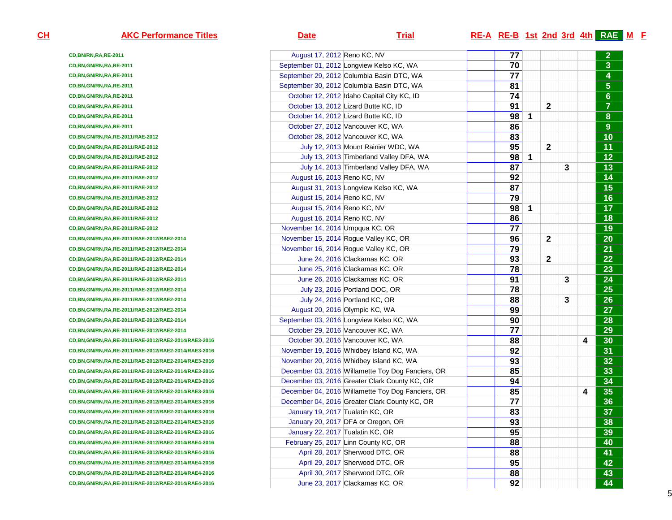| <u>н</u> | <b>AKC Performance Titles</b>                           | <b>Date</b>                                       | <b>Trial</b> | <b>RE-A RE-B 1st 2nd 3rd 4th RAE M F</b> |              |              |   |   |                  |
|----------|---------------------------------------------------------|---------------------------------------------------|--------------|------------------------------------------|--------------|--------------|---|---|------------------|
|          | CD, BN/RN, RA, RE-2011                                  | August 17, 2012 Reno KC, NV                       |              | 77                                       |              |              |   |   | $\mathbf{2}$     |
|          | CD, BN, GN/RN, RA, RE-2011                              | September 01, 2012 Longview Kelso KC, WA          |              | 70                                       |              |              |   |   | $\overline{3}$   |
|          | CD, BN, GN/RN, RA, RE-2011                              | September 29, 2012 Columbia Basin DTC, WA         |              | 77                                       |              |              |   |   | 4                |
|          | CD,BN,GN/RN,RA,RE-2011                                  | September 30, 2012 Columbia Basin DTC, WA         |              | 81                                       |              |              |   |   | $5\phantom{.0}$  |
|          | CD,BN,GN/RN,RA,RE-2011                                  | October 12, 2012 Idaho Capital City KC, ID        |              | 74                                       |              |              |   |   | $6\phantom{a}$   |
|          | CD,BN,GN/RN,RA,RE-2011                                  | October 13, 2012 Lizard Butte KC, ID              |              | 91                                       |              | $\mathbf{2}$ |   |   | $\overline{7}$   |
|          | CD,BN,GN/RN,RA,RE-2011                                  | October 14, 2012 Lizard Butte KC, ID              |              | 98                                       | $\mathbf{1}$ |              |   |   | 8                |
|          | CD, BN, GN/RN, RA, RE-2011                              | October 27, 2012 Vancouver KC, WA                 |              | 86                                       |              |              |   |   | $\boldsymbol{9}$ |
|          | CD, BN, GN/RN, RA, RE-2011/RAE-2012                     | October 28, 2012 Vancouver KC, WA                 |              | 83                                       |              |              |   |   | 10               |
|          | CD, BN, GN/RN, RA, RE-2011/RAE-2012                     | July 12, 2013 Mount Rainier WDC, WA               |              | 95                                       |              | $\mathbf{2}$ |   |   | 11               |
|          | CD, BN, GN/RN, RA, RE-2011/RAE-2012                     | July 13, 2013 Timberland Valley DFA, WA           |              | 98                                       | $\mathbf{1}$ |              |   |   | 12               |
|          | CD, BN, GN/RN, RA, RE-2011/RAE-2012                     | July 14, 2013 Timberland Valley DFA, WA           |              | 87                                       |              |              | 3 |   | 13               |
|          | CD, BN, GN/RN, RA, RE-2011/RAE-2012                     | August 16, 2013 Reno KC, NV                       |              | 92                                       |              |              |   |   | 14               |
|          | CD, BN, GN/RN, RA, RE-2011/RAE-2012                     | August 31, 2013 Longview Kelso KC, WA             |              | 87                                       |              |              |   |   | 15               |
|          | CD, BN, GN/RN, RA, RE-2011/RAE-2012                     | August 15, 2014 Reno KC, NV                       |              | 79                                       |              |              |   |   | 16               |
|          | CD, BN, GN/RN, RA, RE-2011/RAE-2012                     | August 15, 2014 Reno KC, NV                       |              | 98                                       | -1           |              |   |   | 17               |
|          | CD, BN, GN/RN, RA, RE-2011/RAE-2012                     | August 16, 2014 Reno KC, NV                       |              | 86                                       |              |              |   |   | 18               |
|          | CD, BN, GN/RN, RA, RE-2011/RAE-2012                     | November 14, 2014 Umpqua KC, OR                   |              | 77                                       |              |              |   |   | 19               |
|          | CD, BN, GN/RN, RA, RE-2011/RAE-2012/RAE2-2014           | November 15, 2014 Rogue Valley KC, OR             |              | 96                                       |              | $\mathbf{2}$ |   |   | 20               |
|          | CD, BN, GN/RN, RA, RE-2011/RAE-2012/RAE2-2014           | November 16, 2014 Rogue Valley KC, OR             |              | 79                                       |              |              |   |   | 21               |
|          | CD, BN, GN/RN, RA, RE-2011/RAE-2012/RAE2-2014           | June 24, 2016 Clackamas KC, OR                    |              | 93                                       |              | $\mathbf{2}$ |   |   | 22               |
|          | CD, BN, GN/RN, RA, RE-2011/RAE-2012/RAE2-2014           | June 25, 2016 Clackamas KC, OR                    |              | 78                                       |              |              |   |   | 23               |
|          | CD, BN, GN/RN, RA, RE-2011/RAE-2012/RAE2-2014           | June 26, 2016 Clackamas KC, OR                    |              | 91                                       |              |              | 3 |   | 24               |
|          | CD, BN, GN/RN, RA, RE-2011/RAE-2012/RAE2-2014           | July 23, 2016 Portland DOC, OR                    |              | 78                                       |              |              |   |   | 25               |
|          | CD, BN, GN/RN, RA, RE-2011/RAE-2012/RAE2-2014           | July 24, 2016 Portland KC, OR                     |              | 88                                       |              |              | 3 |   | 26               |
|          | CD, BN, GN/RN, RA, RE-2011/RAE-2012/RAE2-2014           | August 20, 2016 Olympic KC, WA                    |              | 99                                       |              |              |   |   | 27               |
|          | CD, BN, GN/RN, RA, RE-2011/RAE-2012/RAE2-2014           | September 03, 2016 Longview Kelso KC, WA          |              | 90                                       |              |              |   |   | 28               |
|          | CD, BN, GN/RN, RA, RE-2011/RAE-2012/RAE2-2014           | October 29, 2016 Vancouver KC, WA                 |              | 77                                       |              |              |   |   | 29               |
|          | CD,BN,GN/RN,RA,RE-2011/RAE-2012/RAE2-2014/RAE3-2016     | October 30, 2016 Vancouver KC, WA                 |              | 88                                       |              |              |   | 4 | 30               |
|          | CD,BN,GN/RN,RA,RE-2011/RAE-2012/RAE2-2014/RAE3-2016     | November 19, 2016 Whidbey Island KC, WA           |              | 92                                       |              |              |   |   | 31               |
|          | CD,BN,GN/RN,RA,RE-2011/RAE-2012/RAE2-2014/RAE3-2016     | November 20, 2016 Whidbey Island KC, WA           |              | 93                                       |              |              |   |   | 32               |
|          | CD,BN,GN/RN,RA,RE-2011/RAE-2012/RAE2-2014/RAE3-2016     | December 03, 2016 Willamette Toy Dog Fanciers, OR |              | 85                                       |              |              |   |   | 33               |
|          | CD,BN,GN/RN,RA,RE-2011/RAE-2012/RAE2-2014/RAE3-2016     | December 03, 2016 Greater Clark County KC, OR     |              | 94                                       |              |              |   |   | 34               |
|          | CD,BN,GN/RN,RA,RE-2011/RAE-2012/RAE2-2014/RAE3-2016     | December 04, 2016 Willamette Toy Dog Fanciers, OR |              | 85                                       |              |              |   | 4 | 35               |
|          | CD,BN,GN/RN,RA,RE-2011/RAE-2012/RAE2-2014/RAE3-2016     | December 04, 2016 Greater Clark County KC, OR     |              | 77                                       |              |              |   |   | 36               |
|          | CD,BN,GN/RN,RA,RE-2011/RAE-2012/RAE2-2014/RAE3-2016     | January 19, 2017 Tualatin KC, OR                  |              | 83                                       |              |              |   |   | 37               |
|          | CD,BN,GN/RN,RA,RE-2011/RAE-2012/RAE2-2014/RAE3-2016     | January 20, 2017 DFA or Oregon, OR                |              | 93                                       |              |              |   |   | 38               |
|          | CD,BN,GN/RN,RA,RE-2011/RAE-2012/RAE2-2014/RAE3-2016     | January 22, 2017 Tualatin KC, OR                  |              | 95                                       |              |              |   |   | 39               |
|          | CD,BN,GN/RN,RA,RE-2011/RAE-2012/RAE2-2014/RAE4-2016     | February 25, 2017 Linn County KC, OR              |              | 88                                       |              |              |   |   | 40               |
|          | CD,BN,GN/RN,RA,RE-2011/RAE-2012/RAE2-2014/RAE4-2016     | April 28, 2017 Sherwood DTC, OR                   |              | 88                                       |              |              |   |   | 41               |
|          | CD,BN,GN/RN,RA,RE-2011/RAE-2012/RAE2-2014/RAE4-2016     | April 29, 2017 Sherwood DTC, OR                   |              | 95                                       |              |              |   |   | 42               |
|          | CD, BN, GN/RN, RA, RE-2011/RAE-2012/RAE2-2014/RAE4-2016 | April 30, 2017 Sherwood DTC, OR                   |              | 88                                       |              |              |   |   | 43               |
|          | CD,BN,GN/RN,RA,RE-2011/RAE-2012/RAE2-2014/RAE4-2016     | June 23, 2017 Clackamas KC, OR                    |              | 92                                       |              |              |   |   | 44               |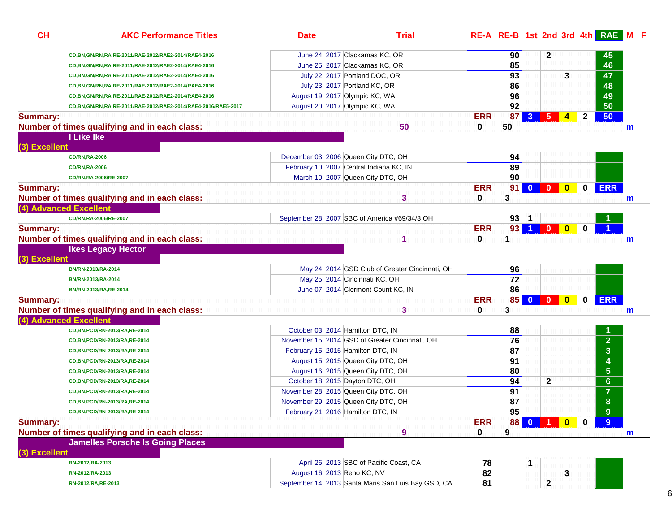| CL              | <b>AKC Performance Titles</b>                                 | <b>Date</b>                 | <b>Trial</b>                                                                     |            | RE-A RE-B 1st 2nd 3rd 4th RAE M F |                      |                                                                     |                         |              |                         |   |
|-----------------|---------------------------------------------------------------|-----------------------------|----------------------------------------------------------------------------------|------------|-----------------------------------|----------------------|---------------------------------------------------------------------|-------------------------|--------------|-------------------------|---|
|                 | CD, BN, GN/RN, RA, RE-2011/RAE-2012/RAE2-2014/RAE4-2016       |                             | June 24, 2017 Clackamas KC, OR                                                   |            | 90                                |                      | 2                                                                   |                         |              | 45                      |   |
|                 | CD,BN,GN/RN,RA,RE-2011/RAE-2012/RAE2-2014/RAE4-2016           |                             | June 25, 2017 Clackamas KC, OR                                                   |            | 85                                |                      |                                                                     |                         |              | 46                      |   |
|                 | CD, BN, GN/RN, RA, RE-2011/RAE-2012/RAE2-2014/RAE4-2016       |                             | July 22, 2017 Portland DOC, OR                                                   |            | $\overline{93}$                   |                      |                                                                     | 3                       |              | 47                      |   |
|                 | CD,BN,GN/RN,RA,RE-2011/RAE-2012/RAE2-2014/RAE4-2016           |                             | July 23, 2017 Portland KC, OR                                                    |            | 86                                |                      |                                                                     |                         |              | 48                      |   |
|                 | CD, BN, GN/RN, RA, RE-2011/RAE-2012/RAE2-2014/RAE4-2016       |                             | August 19, 2017 Olympic KC, WA                                                   |            | 96                                |                      |                                                                     |                         |              | 49                      |   |
|                 | CD,BN,GN/RN,RA,RE-2011/RAE-2012/RAE2-2014/RAE4-2016/RAE5-2017 |                             | August 20, 2017 Olympic KC, WA                                                   |            | 92                                |                      |                                                                     |                         |              | 50                      |   |
| <b>Summary:</b> |                                                               |                             |                                                                                  | <b>ERR</b> | 87                                | $\mathbf{3}$         | 5                                                                   | 4                       | $\mathbf{2}$ | 50                      |   |
|                 | Number of times qualifying and in each class:                 |                             | 50                                                                               | 0          | 50                                |                      |                                                                     |                         |              |                         | m |
|                 | I Like Ike                                                    |                             |                                                                                  |            |                                   |                      |                                                                     |                         |              |                         |   |
| (3) Excellent   |                                                               |                             |                                                                                  |            |                                   |                      |                                                                     |                         |              |                         |   |
|                 | <b>CD/RN, RA-2006</b>                                         |                             | December 03, 2006 Queen City DTC, OH<br>February 10, 2007 Central Indiana KC, IN |            | 94<br>89                          |                      |                                                                     |                         |              |                         |   |
|                 | <b>CD/RN,RA-2006</b>                                          |                             | March 10, 2007 Queen City DTC, OH                                                |            | 90                                |                      |                                                                     |                         |              |                         |   |
|                 | CD/RN, RA-2006/RE-2007                                        |                             |                                                                                  | <b>ERR</b> | 91                                |                      | $0$ 0                                                               | $\bullet$               |              | <b>ERR</b>              |   |
| <b>Summary:</b> |                                                               |                             |                                                                                  |            | 3                                 |                      |                                                                     |                         | 0            |                         |   |
|                 | Number of times qualifying and in each class:                 |                             | 3                                                                                | 0          |                                   |                      |                                                                     |                         |              |                         | m |
|                 | (4) Advanced Excellent                                        |                             |                                                                                  |            |                                   |                      |                                                                     |                         |              |                         |   |
|                 | CD/RN, RA-2006/RE-2007                                        |                             | September 28, 2007 SBC of America #69/34/3 OH                                    |            |                                   | $93$ 1               |                                                                     |                         |              |                         |   |
| <b>Summary:</b> |                                                               |                             |                                                                                  | <b>ERR</b> | 93                                | $\blacktriangleleft$ | $\mathbf{0}$                                                        | $\bullet$               | $\bf{0}$     |                         |   |
|                 | Number of times qualifying and in each class:                 |                             | 1                                                                                | $\bf{0}$   |                                   |                      |                                                                     |                         |              |                         | m |
| (3) Excellent   | <b>Ikes Legacy Hector</b>                                     |                             |                                                                                  |            |                                   |                      |                                                                     |                         |              |                         |   |
|                 | BN/RN-2013/RA-2014                                            |                             | May 24, 2014 GSD Club of Greater Cincinnati, OH                                  |            | 96                                |                      |                                                                     |                         |              |                         |   |
|                 | BN/RN-2013/RA-2014                                            |                             | May 25, 2014 Cincinnati KC, OH                                                   |            | $\overline{72}$                   |                      |                                                                     |                         |              |                         |   |
|                 | BN/RN-2013/RA,RE-2014                                         |                             | June 07, 2014 Clermont Count KC, IN                                              |            | 86                                |                      |                                                                     |                         |              |                         |   |
| <b>Summary:</b> |                                                               |                             |                                                                                  | <b>ERR</b> | 85 <sup>1</sup>                   |                      | $\begin{array}{ c c c c c }\n\hline\n0 & 0 & \\\hline\n\end{array}$ | $\bullet$               | 0            | <b>ERR</b>              |   |
|                 | Number of times qualifying and in each class:                 |                             | 3                                                                                | $\bf{0}$   | 3                                 |                      |                                                                     |                         |              |                         | m |
|                 | (4) Advanced Excellent                                        |                             |                                                                                  |            |                                   |                      |                                                                     |                         |              |                         |   |
|                 | CD, BN, PCD/RN-2013/RA, RE-2014                               |                             | October 03, 2014 Hamilton DTC, IN                                                |            | 88                                |                      |                                                                     |                         |              |                         |   |
|                 | CD, BN, PCD/RN-2013/RA, RE-2014                               |                             | November 15, 2014 GSD of Greater Cincinnati, OH                                  |            | 76                                |                      |                                                                     |                         |              | $\overline{2}$          |   |
|                 | CD, BN, PCD/RN-2013/RA, RE-2014                               |                             | February 15, 2015 Hamilton DTC, IN                                               |            | 87                                |                      |                                                                     |                         |              | $\overline{3}$          |   |
|                 | CD, BN, PCD/RN-2013/RA, RE-2014                               |                             | August 15, 2015 Queen City DTC, OH                                               |            | 91                                |                      |                                                                     |                         |              | $\overline{\mathbf{4}}$ |   |
|                 | CD, BN, PCD/RN-2013/RA, RE-2014                               |                             | August 16, 2015 Queen City DTC, OH                                               |            | 80                                |                      |                                                                     |                         |              | $5\phantom{.}$          |   |
|                 | CD, BN, PCD/RN-2013/RA, RE-2014                               |                             | October 18, 2015 Dayton DTC, OH                                                  |            | 94                                |                      | $\mathbf 2$                                                         |                         |              | $6\phantom{a}$          |   |
|                 | CD, BN, PCD/RN-2013/RA, RE-2014                               |                             | November 28, 2015 Queen City DTC, OH                                             |            | 91                                |                      |                                                                     |                         |              | $\overline{7}$          |   |
|                 | CD, BN, PCD/RN-2013/RA, RE-2014                               |                             | November 29, 2015 Queen City DTC, OH                                             |            | $\overline{87}$                   |                      |                                                                     |                         |              | 8                       |   |
|                 | CD, BN, PCD/RN-2013/RA, RE-2014                               |                             | February 21, 2016 Hamilton DTC, IN                                               |            | 95                                |                      |                                                                     |                         |              | 9                       |   |
| <b>Summary:</b> |                                                               |                             |                                                                                  | <b>ERR</b> | 88                                | $\mathbf{0}$         | $\blacksquare$                                                      | $\overline{\mathbf{0}}$ | $\bf{0}$     | 9                       |   |
|                 | Number of times qualifying and in each class:                 |                             | 9                                                                                | 0          | 9                                 |                      |                                                                     |                         |              |                         | m |
|                 | <b>Jamelles Porsche Is Going Places</b>                       |                             |                                                                                  |            |                                   |                      |                                                                     |                         |              |                         |   |
| (3) Excellent   |                                                               |                             |                                                                                  |            |                                   |                      |                                                                     |                         |              |                         |   |
|                 | RN-2012/RA-2013                                               |                             | April 26, 2013 SBC of Pacific Coast, CA                                          |            | 78                                |                      |                                                                     |                         |              |                         |   |
|                 | RN-2012/RA-2013                                               | August 16, 2013 Reno KC, NV |                                                                                  |            | 82                                |                      |                                                                     | 3                       |              |                         |   |
|                 | RN-2012/RA, RE-2013                                           |                             | September 14, 2013 Santa Maris San Luis Bay GSD, CA                              |            | 81                                |                      | $\mathbf 2$                                                         |                         |              |                         |   |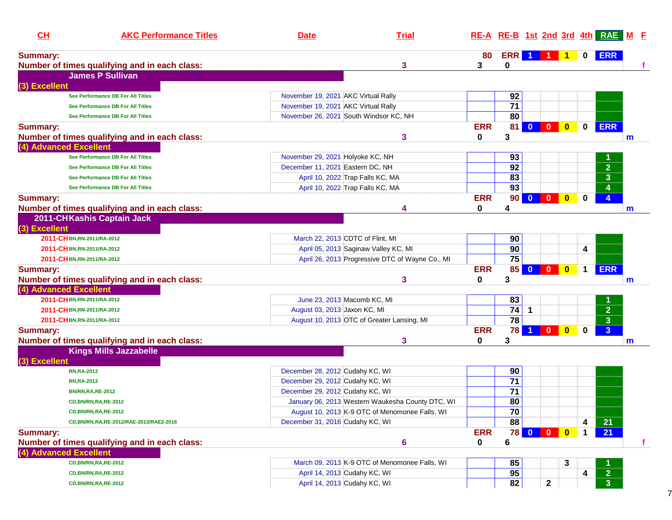| CH                     | <b>AKC Performance Titles</b>                 | <b>Date</b>                            | <b>Trial</b>                                     |              |                 |                      |                                                    |             | RE-A RE-B 1st 2nd 3rd 4th RAE M F |              |
|------------------------|-----------------------------------------------|----------------------------------------|--------------------------------------------------|--------------|-----------------|----------------------|----------------------------------------------------|-------------|-----------------------------------|--------------|
| <b>Summary:</b>        |                                               |                                        |                                                  | 80           |                 | ERR 1 1 1            |                                                    | $\mathbf 0$ | <b>ERR</b>                        |              |
|                        | Number of times qualifying and in each class: |                                        | 3                                                | 3            | 0               |                      |                                                    |             |                                   |              |
|                        | <b>James P Sullivan</b>                       |                                        |                                                  |              |                 |                      |                                                    |             |                                   |              |
| (3) Excellent          |                                               |                                        |                                                  |              |                 |                      |                                                    |             |                                   |              |
|                        | See Performance DB For All Titles             | November 19, 2021 AKC Virtual Rally    |                                                  |              | 92              |                      |                                                    |             |                                   |              |
|                        | See Performance DB For All Titles             | November 19, 2021 AKC Virtual Rally    |                                                  |              | $\overline{71}$ |                      |                                                    |             |                                   |              |
|                        | See Performance DB For All Titles             | November 26, 2021 South Windsor KC, NH |                                                  |              | 80              |                      |                                                    |             |                                   |              |
| <b>Summary:</b>        |                                               |                                        |                                                  | <b>ERR</b>   | 81              | $\mathbf{0}$         |                                                    | $\mathbf 0$ | <b>ERR</b>                        |              |
|                        | Number of times qualifying and in each class: |                                        | 3                                                | 0            | 3               |                      |                                                    |             |                                   | $\mathsf{m}$ |
| (4) Advanced Excellent |                                               |                                        |                                                  |              |                 |                      |                                                    |             |                                   |              |
|                        | See Performance DB For All Titles             | November 29, 2021 Holyoke KC, NH       |                                                  |              | 93              |                      |                                                    |             |                                   |              |
|                        | See Performance DB For All Titles             | December 11, 2021 Eastern DC, NH       |                                                  |              | $\overline{92}$ |                      |                                                    |             | $\overline{2}$                    |              |
|                        | See Performance DB For All Titles             | April 10, 2022 Trap Falls KC, MA       |                                                  |              | 83              |                      |                                                    |             | $\overline{\mathbf{3}}$           |              |
|                        | See Performance DB For All Titles             | April 10, 2022 Trap Falls KC, MA       |                                                  |              | 93              |                      |                                                    |             | 4                                 |              |
| <b>Summary:</b>        |                                               |                                        |                                                  | <b>ERR</b>   | 90              | $\bf{0}$             | $\mathbf{0}$<br>$\mathbf{0}$                       | 0           | 4                                 |              |
|                        | Number of times qualifying and in each class: |                                        | 4                                                | $\mathbf{0}$ | 4               |                      |                                                    |             |                                   | m            |
|                        | 2011-CHKashis Captain Jack                    |                                        |                                                  |              |                 |                      |                                                    |             |                                   |              |
| (3) Excellent          |                                               |                                        |                                                  |              |                 |                      |                                                    |             |                                   |              |
|                        | 2011-CHBN,RN-2011/RA-2012                     | March 22, 2013 CDTC of Flint, MI       |                                                  |              | 90              |                      |                                                    |             |                                   |              |
|                        | 2011-CHBN,RN-2011/RA-2012                     | April 05, 2013 Saginaw Valley KC, MI   |                                                  |              | 90              |                      |                                                    | 4           |                                   |              |
|                        | 2011-CHBN,RN-2011/RA-2012                     |                                        | April 26, 2013 Progressive DTC of Wayne Co., MI  |              | 75              |                      |                                                    |             |                                   |              |
| <b>Summary:</b>        |                                               |                                        |                                                  | <b>ERR</b>   | 85              | $\bullet$            | $\bullet$<br>$\bullet$                             | $\mathbf 1$ | <b>ERR</b>                        |              |
|                        | Number of times qualifying and in each class: |                                        | 3                                                | 0            | 3               |                      |                                                    |             |                                   | $\mathsf{m}$ |
| (4) Advanced Excellent |                                               |                                        |                                                  |              |                 |                      |                                                    |             |                                   |              |
|                        | 2011-CHBN,RN-2011/RA-2012                     | June 23, 2013 Macomb KC, MI            |                                                  |              | 83              |                      |                                                    |             |                                   |              |
|                        | 2011-CHBN,RN-2011/RA-2012                     | August 03, 2013 Jaxon KC, MI           |                                                  |              | 74              | $\mathbf{1}$         |                                                    |             | $\overline{2}$                    |              |
|                        | 2011-CHBN,RN-2011/RA-2012                     |                                        | August 10, 2013 OTC of Greater Lansing, MI       |              | $\overline{78}$ |                      |                                                    |             | $\overline{\mathbf{3}}$           |              |
| <b>Summary:</b>        |                                               |                                        |                                                  | <b>ERR</b>   | 78              | $\blacktriangleleft$ | $\overline{\mathbf{0}}$<br>$\overline{\mathbf{0}}$ | $\bf{0}$    | $\overline{3}$                    |              |
|                        | Number of times qualifying and in each class: |                                        | 3                                                | $\bf{0}$     | 3               |                      |                                                    |             |                                   | m            |
|                        | <b>Kings Mills Jazzabelle</b>                 |                                        |                                                  |              |                 |                      |                                                    |             |                                   |              |
| (3) Excellent          |                                               |                                        |                                                  |              |                 |                      |                                                    |             |                                   |              |
|                        | <b>RN,RA-2012</b>                             | December 28, 2012 Cudahy KC, WI        |                                                  |              | 90              |                      |                                                    |             |                                   |              |
|                        | <b>RN, RA-2012</b>                            | December 29, 2012 Cudahy KC, WI        |                                                  |              | $\overline{71}$ |                      |                                                    |             |                                   |              |
|                        | <b>BN/RN, RA, RE-2012</b>                     | December 29, 2012 Cudahy KC, WI        |                                                  |              | $\overline{71}$ |                      |                                                    |             |                                   |              |
|                        | CD, BN/RN, RA, RE-2012                        |                                        | January 06, 2013 Western Waukesha County DTC, WI |              | 80              |                      |                                                    |             |                                   |              |
|                        | <b>CD,BN/RN,RA,RE-2012</b>                    |                                        | August 10, 2013 K-9 OTC of Menomonee Falls, WI   |              | $\bf 70$        |                      |                                                    |             |                                   |              |
|                        | CD, BN/RN, RA, RE-2012/RAE-2013/RAE2-2016     | December 31, 2016 Cudahy KC, WI        |                                                  |              | 88              |                      |                                                    | 4           | $\overline{21}$                   |              |
| <b>Summary:</b>        |                                               |                                        |                                                  | <b>ERR</b>   | <b>78</b>       | $\mathbf{0}$         | $\mathbf{0}$<br>$\mathbf{0}$                       | $\mathbf 1$ | 21                                |              |
|                        | Number of times qualifying and in each class: |                                        | $6\phantom{1}6$                                  | 0            | 6               |                      |                                                    |             |                                   | f            |
| (4) Advanced Excellent |                                               |                                        |                                                  |              |                 |                      |                                                    |             |                                   |              |
|                        | CD, BN/RN, RA, RE-2012                        |                                        | March 09, 2013 K-9 OTC of Menomonee Falls, WI    |              | 85              |                      | 3                                                  |             |                                   |              |
|                        | CD, BN/RN, RA, RE-2012                        | April 14, 2013 Cudahy KC, WI           |                                                  |              | 95              |                      |                                                    | 4           | $\overline{2}$                    |              |
|                        | CD, BN/RN, RA, RE-2012                        | April 14, 2013 Cudahy KC, WI           |                                                  |              | 82              |                      | $\mathbf{2}$                                       |             | 3 <sup>2</sup>                    |              |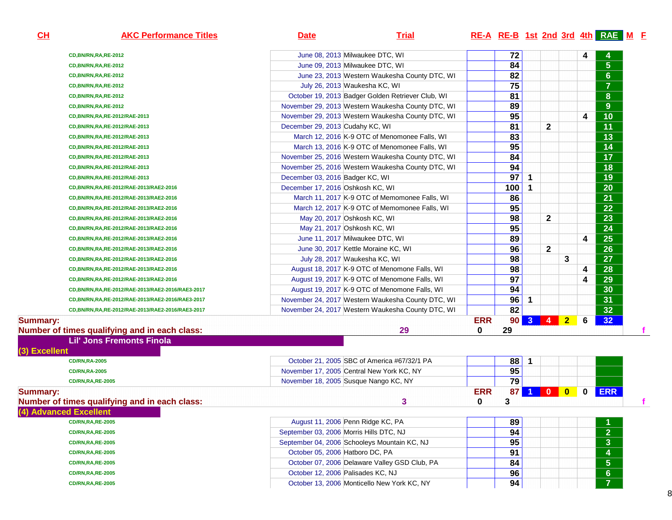| CL              | <b>AKC Performance Titles</b>                    | <b>Date</b>                             | <b>Trial</b>                                      |                 |                 |                |              |                |   | RE-A RE-B 1st 2nd 3rd 4th RAE M F |
|-----------------|--------------------------------------------------|-----------------------------------------|---------------------------------------------------|-----------------|-----------------|----------------|--------------|----------------|---|-----------------------------------|
|                 | CD,BN/RN,RA,RE-2012                              |                                         | June 08, 2013 Milwaukee DTC, WI                   |                 | 72              |                |              |                | 4 |                                   |
|                 | CD,BN/RN,RA,RE-2012                              |                                         | June 09, 2013 Milwaukee DTC, WI                   |                 | 84              |                |              |                |   | 5 <sup>5</sup>                    |
|                 | CD,BN/RN,RA,RE-2012                              |                                         | June 23, 2013 Western Waukesha County DTC, WI     |                 | 82              |                |              |                |   | $6\phantom{a}$                    |
|                 | CD,BN/RN,RA,RE-2012                              |                                         | July 26, 2013 Waukesha KC, WI                     |                 | 75              |                |              |                |   | $\overline{7}$                    |
|                 | CD,BN/RN,RA,RE-2012                              |                                         | October 19, 2013 Badger Golden Retriever Club, WI |                 | $\overline{81}$ |                |              |                |   | 8                                 |
|                 | CD,BN/RN,RA,RE-2012                              |                                         | November 29, 2013 Western Waukesha County DTC, WI |                 | 89              |                |              |                |   | 9 <sup>°</sup>                    |
|                 | CD, BN/RN, RA, RE-2012/RAE-2013                  |                                         | November 29, 2013 Western Waukesha County DTC, WI |                 | 95              |                |              |                | 4 | 10                                |
|                 | CD, BN/RN, RA, RE-2012/RAE-2013                  | December 29, 2013 Cudahy KC, WI         |                                                   |                 | $\overline{81}$ |                | $\mathbf{2}$ |                |   | $\overline{11}$                   |
|                 | CD, BN/RN, RA, RE-2012/RAE-2013                  |                                         | March 12, 2016 K-9 OTC of Menomonee Falls, WI     |                 | 83              |                |              |                |   | 13                                |
|                 | CD, BN/RN, RA, RE-2012/RAE-2013                  |                                         | March 13, 2016 K-9 OTC of Menomonee Falls, WI     |                 | 95              |                |              |                |   | 14                                |
|                 | CD, BN/RN, RA, RE-2012/RAE-2013                  |                                         | November 25, 2016 Western Waukesha County DTC, WI |                 | 84              |                |              |                |   | $\overline{17}$                   |
|                 | CD, BN/RN, RA, RE-2012/RAE-2013                  |                                         | November 25, 2016 Western Waukesha County DTC, WI |                 | 94              |                |              |                |   | 18                                |
|                 | CD, BN/RN, RA, RE-2012/RAE-2013                  | December 03, 2016 Badger KC, WI         |                                                   |                 | 97              | 1              |              |                |   | $\overline{19}$                   |
|                 | CD, BN/RN, RA, RE-2012/RAE-2013/RAE2-2016        | December 17, 2016 Oshkosh KC, WI        |                                                   |                 | 100             | $\mathbf 1$    |              |                |   | $\overline{20}$                   |
|                 | CD, BN/RN, RA, RE-2012/RAE-2013/RAE2-2016        |                                         | March 11, 2017 K-9 OTC of Memomonee Falls, WI     |                 | 86              |                |              |                |   | $\overline{21}$                   |
|                 | CD, BN/RN, RA, RE-2012/RAE-2013/RAE2-2016        |                                         | March 12, 2017 K-9 OTC of Memomonee Falls, WI     |                 | 95              |                |              |                |   | $\overline{22}$                   |
|                 | CD, BN/RN, RA, RE-2012/RAE-2013/RAE2-2016        |                                         | May 20, 2017 Oshkosh KC, WI                       |                 | 98              |                | $\mathbf{2}$ |                |   | 23                                |
|                 | CD, BN/RN, RA, RE-2012/RAE-2013/RAE2-2016        |                                         | May 21, 2017 Oshkosh KC, WI                       |                 | 95              |                |              |                |   | $\overline{24}$                   |
|                 | CD, BN/RN, RA, RE-2012/RAE-2013/RAE2-2016        |                                         | June 11, 2017 Milwaukee DTC, WI                   |                 | 89              |                |              |                | 4 | $\overline{25}$                   |
|                 | CD, BN/RN, RA, RE-2012/RAE-2013/RAE2-2016        |                                         | June 30, 2017 Kettle Moraine KC, WI               |                 | 96              |                | $\mathbf{2}$ |                |   | $\overline{26}$                   |
|                 | CD, BN/RN, RA, RE-2012/RAE-2013/RAE2-2016        |                                         | July 28, 2017 Waukesha KC, WI                     |                 | 98              |                |              | 3              |   | $\overline{27}$                   |
|                 | CD, BN/RN, RA, RE-2012/RAE-2013/RAE2-2016        |                                         | August 18, 2017 K-9 OTC of Menomone Falls, WI     |                 | 98              |                |              |                | 4 | $\overline{28}$                   |
|                 | CD, BN/RN, RA, RE-2012/RAE-2013/RAE2-2016        |                                         | August 19, 2017 K-9 OTC of Menomone Falls, WI     |                 | 97              |                |              |                | 4 | $\overline{29}$                   |
|                 | CD,BN/RN,RA,RE-2012/RAE-2013/RAE2-2016/RAE3-2017 |                                         | August 19, 2017 K-9 OTC of Menomone Falls, WI     |                 | 94              |                |              |                |   | 30                                |
|                 | CD,BN/RN,RA,RE-2012/RAE-2013/RAE2-2016/RAE3-2017 |                                         | November 24, 2017 Western Waukesha County DTC, WI |                 | 96              | $\mathbf 1$    |              |                |   | $\overline{31}$                   |
|                 | CD,BN/RN,RA,RE-2012/RAE-2013/RAE2-2016/RAE3-2017 |                                         | November 24, 2017 Western Waukesha County DTC, WI |                 | 82              |                |              |                |   | $\overline{32}$                   |
| <b>Summary:</b> |                                                  |                                         |                                                   | <b>ERR</b>      | 90 <sub>1</sub> | 3 <sup>2</sup> | O            | 2 <sub>2</sub> | 6 | 32 <sub>2</sub>                   |
|                 | Number of times qualifying and in each class:    |                                         | 29                                                | 0               | 29              |                |              |                |   |                                   |
| (3) Excellent   | <b>Lil' Jons Fremonts Finola</b>                 |                                         |                                                   |                 |                 |                |              |                |   |                                   |
|                 | <b>CD/RN,RA-2005</b>                             |                                         | October 21, 2005 SBC of America #67/32/1 PA       |                 | 88              | $\mathbf 1$    |              |                |   |                                   |
|                 | <b>CD/RN,RA-2005</b>                             |                                         | November 17, 2005 Central New York KC, NY         |                 | 95              |                |              |                |   |                                   |
|                 | <b>CD/RN, RA, RE-2005</b>                        |                                         | November 18, 2005 Susque Nango KC, NY             |                 | $\overline{79}$ |                |              |                |   |                                   |
| <b>Summary:</b> | Number of times qualifying and in each class:    |                                         | 3                                                 | <b>ERR</b><br>0 | 87<br>3         | 1              | $\mathbf{0}$ | $\mathbf{0}$   | 0 | <b>ERR</b>                        |
|                 | (4) Advanced Excellent                           |                                         |                                                   |                 |                 |                |              |                |   |                                   |
|                 | <b>CD/RN,RA,RE-2005</b>                          |                                         | August 11, 2006 Penn Ridge KC, PA                 |                 | 89              |                |              |                |   |                                   |
|                 | <b>CD/RN,RA,RE-2005</b>                          | September 03, 2006 Morris Hills DTC, NJ |                                                   |                 | 94              |                |              |                |   | $\overline{2}$                    |
|                 | <b>CD/RN,RA,RE-2005</b>                          |                                         | September 04, 2006 Schooleys Mountain KC, NJ      |                 | 95              |                |              |                |   | 3 <sup>2</sup>                    |
|                 | <b>CD/RN, RA, RE-2005</b>                        | October 05, 2006 Hatboro DC, PA         |                                                   |                 | 91              |                |              |                |   | 4                                 |
|                 | <b>CD/RN,RA,RE-2005</b>                          |                                         | October 07, 2006 Delaware Valley GSD Club, PA     |                 | 84              |                |              |                |   | $5\phantom{.0}$                   |
|                 | <b>CD/RN,RA,RE-2005</b>                          | October 12, 2006 Palisades KC, NJ       |                                                   |                 | 96              |                |              |                |   | $6\phantom{a}$                    |
|                 | <b>CD/RN, RA, RE-2005</b>                        |                                         | October 13, 2006 Monticello New York KC, NY       |                 | 94              |                |              |                |   |                                   |
|                 |                                                  |                                         |                                                   |                 |                 |                |              |                |   |                                   |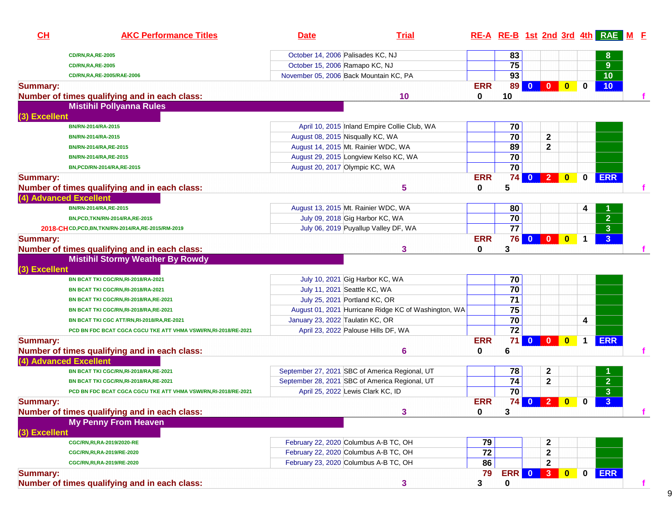| October 14, 2006 Palisades KC, NJ<br>83<br>8<br><b>CD/RN,RA,RE-2005</b><br>75<br>9 <sup>°</sup><br>October 15, 2006 Ramapo KC, NJ<br><b>CD/RN,RA,RE-2005</b><br>93<br>November 05, 2006 Back Mountain KC, PA<br>10<br>CD/RN, RA, RE-2005/RAE-2006<br><b>ERR</b><br>89<br>$\mathbf{0}$<br>$\mathbf{0}$<br>10 <sub>1</sub><br>$\mathbf{0}$<br>0<br>$\bf{0}$<br>Number of times qualifying and in each class:<br>10<br>10<br><b>Mistihil Pollyanna Rules</b><br>(3) Excellent<br>70<br>April 10, 2015 Inland Empire Collie Club, WA<br>BN/RN-2014/RA-2015<br>$\overline{70}$<br>2<br>August 08, 2015 Nisqually KC, WA<br>BN/RN-2014/RA-2015<br>89<br>$\mathbf 2$<br>August 14, 2015 Mt. Rainier WDC, WA<br>BN/RN-2014/RA,RE-2015<br>70<br>August 29, 2015 Longview Kelso KC, WA<br>BN/RN-2014/RA,RE-2015<br>70<br>August 20, 2017 Olympic KC, WA<br>BN, PCD/RN-2014/RA, RE-2015<br><b>ERR</b><br>2 0<br><b>ERR</b><br>74<br>$\overline{0}$<br>0<br>5<br>Number of times qualifying and in each class:<br>5<br>$\bf{0}$<br>(4) Advanced Excellent<br>August 13, 2015 Mt. Rainier WDC, WA<br>80<br>BN/RN-2014/RA,RE-2015<br>$\overline{2}$<br>$\overline{70}$<br>July 09, 2018 Gig Harbor KC, WA<br>BN, PCD, TKN/RN-2014/RA, RE-2015<br>77<br>3 <sup>2</sup><br>July 06, 2019 Puyallup Valley DF, WA<br>2018-CHCD, PCD, BN, TKN/RN-2014/RA, RE-2015/RM-2019<br><b>ERR</b><br>76<br>$0$ 0 0<br>3 <sup>2</sup><br><b>Summary:</b><br>1<br>$\bf{0}$<br>3<br>Number of times qualifying and in each class:<br>3<br><b>Mistihil Stormy Weather By Rowdy</b><br>(3) Excellent<br>70<br>July 10, 2021 Gig Harbor KC, WA<br>BN BCAT TKI CGC/RN, RI-2018/RA-2021<br>$\overline{70}$<br>July 11, 2021 Seattle KC, WA<br>BN BCAT TKI CGC/RN, RI-2018/RA-2021<br>71<br>July 25, 2021 Portland KC, OR<br>BN BCAT TKI CGC/RN, RI-2018/RA, RE-2021<br>75<br>August 01, 2021 Hurricane Ridge KC of Washington, WA<br>BN BCAT TKI CGC/RN, RI-2018/RA, RE-2021<br>70<br>January 23, 2022 Taulatin KC, OR<br>4<br>BN BCAT TKI CGC ATT/RN,RI-2018/RA,RE-2021<br>$\overline{72}$<br>April 23, 2022 Palouse Hills DF, WA<br>PCD BN FDC BCAT CGCA CGCU TKE ATT VHMA VSWI/RN,RI-2018/RE-2021<br><b>ERR</b><br>71<br>$0$ 0 0<br><b>ERR</b><br>$\mathbf 1$<br><b>Summary:</b><br>Number of times qualifying and in each class:<br>$\mathbf 0$<br>6<br>6<br>(4) Advanced Excellent<br>September 27, 2021 SBC of America Regional, UT<br>78<br>2<br>BN BCAT TKI CGC/RN, RI-2018/RA, RE-2021<br>$\overline{2}$<br>74<br>2<br>September 28, 2021 SBC of America Regional, UT<br>BN BCAT TKI CGC/RN, RI-2018/RA, RE-2021<br>$\overline{70}$<br>$\overline{\mathbf{3}}$<br>April 25, 2022 Lewis Clark KC, ID<br>PCD BN FDC BCAT CGCA CGCU TKE ATT VHMA VSWI/RN,RI-2018/RE-2021<br><b>ERR</b><br>$\sqrt{2}$<br>74<br>3 <sup>2</sup><br><b>Summary:</b><br>$\mathbf{0}$<br>$\mathbf{0}$<br>0<br>Number of times qualifying and in each class:<br>3<br>3<br>0<br><b>My Penny From Heaven</b><br>(3) Excellent<br>February 22, 2020 Columbus A-B TC, OH<br>79<br>2<br>CGC/RN, RI, RA-2019/2020-RE<br>72<br>February 22, 2020 Columbus A-B TC, OH<br>$\mathbf 2$<br>CGC/RN, RI, RA-2019/RE-2020<br>February 23, 2020 Columbus A-B TC, OH<br>86<br>$\mathbf{2}$<br>CGC/RN, RI, RA-2019/RE-2020<br><b>ERR</b><br><b>ERR</b><br>79<br>3 <sub>1</sub><br>0<br><b>Summary:</b><br>$\mathbf{0}$<br>$\mathbf{0}$<br>Number of times qualifying and in each class:<br>3<br>$\pmb{0}$<br>3<br>f | CH              | <b>AKC Performance Titles</b> | <b>Date</b> | <b>Trial</b> |  |  |  | RE-A RE-B 1st 2nd 3rd 4th RAE M F |  |
|----------------------------------------------------------------------------------------------------------------------------------------------------------------------------------------------------------------------------------------------------------------------------------------------------------------------------------------------------------------------------------------------------------------------------------------------------------------------------------------------------------------------------------------------------------------------------------------------------------------------------------------------------------------------------------------------------------------------------------------------------------------------------------------------------------------------------------------------------------------------------------------------------------------------------------------------------------------------------------------------------------------------------------------------------------------------------------------------------------------------------------------------------------------------------------------------------------------------------------------------------------------------------------------------------------------------------------------------------------------------------------------------------------------------------------------------------------------------------------------------------------------------------------------------------------------------------------------------------------------------------------------------------------------------------------------------------------------------------------------------------------------------------------------------------------------------------------------------------------------------------------------------------------------------------------------------------------------------------------------------------------------------------------------------------------------------------------------------------------------------------------------------------------------------------------------------------------------------------------------------------------------------------------------------------------------------------------------------------------------------------------------------------------------------------------------------------------------------------------------------------------------------------------------------------------------------------------------------------------------------------------------------------------------------------------------------------------------------------------------------------------------------------------------------------------------------------------------------------------------------------------------------------------------------------------------------------------------------------------------------------------------------------------------------------------------------------------------------------------------------------------------------------------------------------------------------------------------------------------------------------------------------------------------------------------------------------------------------------------------------------------------------------------------------------------------------|-----------------|-------------------------------|-------------|--------------|--|--|--|-----------------------------------|--|
|                                                                                                                                                                                                                                                                                                                                                                                                                                                                                                                                                                                                                                                                                                                                                                                                                                                                                                                                                                                                                                                                                                                                                                                                                                                                                                                                                                                                                                                                                                                                                                                                                                                                                                                                                                                                                                                                                                                                                                                                                                                                                                                                                                                                                                                                                                                                                                                                                                                                                                                                                                                                                                                                                                                                                                                                                                                                                                                                                                                                                                                                                                                                                                                                                                                                                                                                                                                                                                              |                 |                               |             |              |  |  |  |                                   |  |
|                                                                                                                                                                                                                                                                                                                                                                                                                                                                                                                                                                                                                                                                                                                                                                                                                                                                                                                                                                                                                                                                                                                                                                                                                                                                                                                                                                                                                                                                                                                                                                                                                                                                                                                                                                                                                                                                                                                                                                                                                                                                                                                                                                                                                                                                                                                                                                                                                                                                                                                                                                                                                                                                                                                                                                                                                                                                                                                                                                                                                                                                                                                                                                                                                                                                                                                                                                                                                                              |                 |                               |             |              |  |  |  |                                   |  |
|                                                                                                                                                                                                                                                                                                                                                                                                                                                                                                                                                                                                                                                                                                                                                                                                                                                                                                                                                                                                                                                                                                                                                                                                                                                                                                                                                                                                                                                                                                                                                                                                                                                                                                                                                                                                                                                                                                                                                                                                                                                                                                                                                                                                                                                                                                                                                                                                                                                                                                                                                                                                                                                                                                                                                                                                                                                                                                                                                                                                                                                                                                                                                                                                                                                                                                                                                                                                                                              |                 |                               |             |              |  |  |  |                                   |  |
|                                                                                                                                                                                                                                                                                                                                                                                                                                                                                                                                                                                                                                                                                                                                                                                                                                                                                                                                                                                                                                                                                                                                                                                                                                                                                                                                                                                                                                                                                                                                                                                                                                                                                                                                                                                                                                                                                                                                                                                                                                                                                                                                                                                                                                                                                                                                                                                                                                                                                                                                                                                                                                                                                                                                                                                                                                                                                                                                                                                                                                                                                                                                                                                                                                                                                                                                                                                                                                              | <b>Summary:</b> |                               |             |              |  |  |  |                                   |  |
|                                                                                                                                                                                                                                                                                                                                                                                                                                                                                                                                                                                                                                                                                                                                                                                                                                                                                                                                                                                                                                                                                                                                                                                                                                                                                                                                                                                                                                                                                                                                                                                                                                                                                                                                                                                                                                                                                                                                                                                                                                                                                                                                                                                                                                                                                                                                                                                                                                                                                                                                                                                                                                                                                                                                                                                                                                                                                                                                                                                                                                                                                                                                                                                                                                                                                                                                                                                                                                              |                 |                               |             |              |  |  |  |                                   |  |
|                                                                                                                                                                                                                                                                                                                                                                                                                                                                                                                                                                                                                                                                                                                                                                                                                                                                                                                                                                                                                                                                                                                                                                                                                                                                                                                                                                                                                                                                                                                                                                                                                                                                                                                                                                                                                                                                                                                                                                                                                                                                                                                                                                                                                                                                                                                                                                                                                                                                                                                                                                                                                                                                                                                                                                                                                                                                                                                                                                                                                                                                                                                                                                                                                                                                                                                                                                                                                                              |                 |                               |             |              |  |  |  |                                   |  |
|                                                                                                                                                                                                                                                                                                                                                                                                                                                                                                                                                                                                                                                                                                                                                                                                                                                                                                                                                                                                                                                                                                                                                                                                                                                                                                                                                                                                                                                                                                                                                                                                                                                                                                                                                                                                                                                                                                                                                                                                                                                                                                                                                                                                                                                                                                                                                                                                                                                                                                                                                                                                                                                                                                                                                                                                                                                                                                                                                                                                                                                                                                                                                                                                                                                                                                                                                                                                                                              |                 |                               |             |              |  |  |  |                                   |  |
|                                                                                                                                                                                                                                                                                                                                                                                                                                                                                                                                                                                                                                                                                                                                                                                                                                                                                                                                                                                                                                                                                                                                                                                                                                                                                                                                                                                                                                                                                                                                                                                                                                                                                                                                                                                                                                                                                                                                                                                                                                                                                                                                                                                                                                                                                                                                                                                                                                                                                                                                                                                                                                                                                                                                                                                                                                                                                                                                                                                                                                                                                                                                                                                                                                                                                                                                                                                                                                              |                 |                               |             |              |  |  |  |                                   |  |
|                                                                                                                                                                                                                                                                                                                                                                                                                                                                                                                                                                                                                                                                                                                                                                                                                                                                                                                                                                                                                                                                                                                                                                                                                                                                                                                                                                                                                                                                                                                                                                                                                                                                                                                                                                                                                                                                                                                                                                                                                                                                                                                                                                                                                                                                                                                                                                                                                                                                                                                                                                                                                                                                                                                                                                                                                                                                                                                                                                                                                                                                                                                                                                                                                                                                                                                                                                                                                                              |                 |                               |             |              |  |  |  |                                   |  |
|                                                                                                                                                                                                                                                                                                                                                                                                                                                                                                                                                                                                                                                                                                                                                                                                                                                                                                                                                                                                                                                                                                                                                                                                                                                                                                                                                                                                                                                                                                                                                                                                                                                                                                                                                                                                                                                                                                                                                                                                                                                                                                                                                                                                                                                                                                                                                                                                                                                                                                                                                                                                                                                                                                                                                                                                                                                                                                                                                                                                                                                                                                                                                                                                                                                                                                                                                                                                                                              |                 |                               |             |              |  |  |  |                                   |  |
|                                                                                                                                                                                                                                                                                                                                                                                                                                                                                                                                                                                                                                                                                                                                                                                                                                                                                                                                                                                                                                                                                                                                                                                                                                                                                                                                                                                                                                                                                                                                                                                                                                                                                                                                                                                                                                                                                                                                                                                                                                                                                                                                                                                                                                                                                                                                                                                                                                                                                                                                                                                                                                                                                                                                                                                                                                                                                                                                                                                                                                                                                                                                                                                                                                                                                                                                                                                                                                              |                 |                               |             |              |  |  |  |                                   |  |
|                                                                                                                                                                                                                                                                                                                                                                                                                                                                                                                                                                                                                                                                                                                                                                                                                                                                                                                                                                                                                                                                                                                                                                                                                                                                                                                                                                                                                                                                                                                                                                                                                                                                                                                                                                                                                                                                                                                                                                                                                                                                                                                                                                                                                                                                                                                                                                                                                                                                                                                                                                                                                                                                                                                                                                                                                                                                                                                                                                                                                                                                                                                                                                                                                                                                                                                                                                                                                                              |                 |                               |             |              |  |  |  |                                   |  |
|                                                                                                                                                                                                                                                                                                                                                                                                                                                                                                                                                                                                                                                                                                                                                                                                                                                                                                                                                                                                                                                                                                                                                                                                                                                                                                                                                                                                                                                                                                                                                                                                                                                                                                                                                                                                                                                                                                                                                                                                                                                                                                                                                                                                                                                                                                                                                                                                                                                                                                                                                                                                                                                                                                                                                                                                                                                                                                                                                                                                                                                                                                                                                                                                                                                                                                                                                                                                                                              | <b>Summary:</b> |                               |             |              |  |  |  |                                   |  |
|                                                                                                                                                                                                                                                                                                                                                                                                                                                                                                                                                                                                                                                                                                                                                                                                                                                                                                                                                                                                                                                                                                                                                                                                                                                                                                                                                                                                                                                                                                                                                                                                                                                                                                                                                                                                                                                                                                                                                                                                                                                                                                                                                                                                                                                                                                                                                                                                                                                                                                                                                                                                                                                                                                                                                                                                                                                                                                                                                                                                                                                                                                                                                                                                                                                                                                                                                                                                                                              |                 |                               |             |              |  |  |  |                                   |  |
|                                                                                                                                                                                                                                                                                                                                                                                                                                                                                                                                                                                                                                                                                                                                                                                                                                                                                                                                                                                                                                                                                                                                                                                                                                                                                                                                                                                                                                                                                                                                                                                                                                                                                                                                                                                                                                                                                                                                                                                                                                                                                                                                                                                                                                                                                                                                                                                                                                                                                                                                                                                                                                                                                                                                                                                                                                                                                                                                                                                                                                                                                                                                                                                                                                                                                                                                                                                                                                              |                 |                               |             |              |  |  |  |                                   |  |
|                                                                                                                                                                                                                                                                                                                                                                                                                                                                                                                                                                                                                                                                                                                                                                                                                                                                                                                                                                                                                                                                                                                                                                                                                                                                                                                                                                                                                                                                                                                                                                                                                                                                                                                                                                                                                                                                                                                                                                                                                                                                                                                                                                                                                                                                                                                                                                                                                                                                                                                                                                                                                                                                                                                                                                                                                                                                                                                                                                                                                                                                                                                                                                                                                                                                                                                                                                                                                                              |                 |                               |             |              |  |  |  |                                   |  |
|                                                                                                                                                                                                                                                                                                                                                                                                                                                                                                                                                                                                                                                                                                                                                                                                                                                                                                                                                                                                                                                                                                                                                                                                                                                                                                                                                                                                                                                                                                                                                                                                                                                                                                                                                                                                                                                                                                                                                                                                                                                                                                                                                                                                                                                                                                                                                                                                                                                                                                                                                                                                                                                                                                                                                                                                                                                                                                                                                                                                                                                                                                                                                                                                                                                                                                                                                                                                                                              |                 |                               |             |              |  |  |  |                                   |  |
|                                                                                                                                                                                                                                                                                                                                                                                                                                                                                                                                                                                                                                                                                                                                                                                                                                                                                                                                                                                                                                                                                                                                                                                                                                                                                                                                                                                                                                                                                                                                                                                                                                                                                                                                                                                                                                                                                                                                                                                                                                                                                                                                                                                                                                                                                                                                                                                                                                                                                                                                                                                                                                                                                                                                                                                                                                                                                                                                                                                                                                                                                                                                                                                                                                                                                                                                                                                                                                              |                 |                               |             |              |  |  |  |                                   |  |
|                                                                                                                                                                                                                                                                                                                                                                                                                                                                                                                                                                                                                                                                                                                                                                                                                                                                                                                                                                                                                                                                                                                                                                                                                                                                                                                                                                                                                                                                                                                                                                                                                                                                                                                                                                                                                                                                                                                                                                                                                                                                                                                                                                                                                                                                                                                                                                                                                                                                                                                                                                                                                                                                                                                                                                                                                                                                                                                                                                                                                                                                                                                                                                                                                                                                                                                                                                                                                                              |                 |                               |             |              |  |  |  |                                   |  |
|                                                                                                                                                                                                                                                                                                                                                                                                                                                                                                                                                                                                                                                                                                                                                                                                                                                                                                                                                                                                                                                                                                                                                                                                                                                                                                                                                                                                                                                                                                                                                                                                                                                                                                                                                                                                                                                                                                                                                                                                                                                                                                                                                                                                                                                                                                                                                                                                                                                                                                                                                                                                                                                                                                                                                                                                                                                                                                                                                                                                                                                                                                                                                                                                                                                                                                                                                                                                                                              |                 |                               |             |              |  |  |  |                                   |  |
|                                                                                                                                                                                                                                                                                                                                                                                                                                                                                                                                                                                                                                                                                                                                                                                                                                                                                                                                                                                                                                                                                                                                                                                                                                                                                                                                                                                                                                                                                                                                                                                                                                                                                                                                                                                                                                                                                                                                                                                                                                                                                                                                                                                                                                                                                                                                                                                                                                                                                                                                                                                                                                                                                                                                                                                                                                                                                                                                                                                                                                                                                                                                                                                                                                                                                                                                                                                                                                              |                 |                               |             |              |  |  |  |                                   |  |
|                                                                                                                                                                                                                                                                                                                                                                                                                                                                                                                                                                                                                                                                                                                                                                                                                                                                                                                                                                                                                                                                                                                                                                                                                                                                                                                                                                                                                                                                                                                                                                                                                                                                                                                                                                                                                                                                                                                                                                                                                                                                                                                                                                                                                                                                                                                                                                                                                                                                                                                                                                                                                                                                                                                                                                                                                                                                                                                                                                                                                                                                                                                                                                                                                                                                                                                                                                                                                                              |                 |                               |             |              |  |  |  |                                   |  |
|                                                                                                                                                                                                                                                                                                                                                                                                                                                                                                                                                                                                                                                                                                                                                                                                                                                                                                                                                                                                                                                                                                                                                                                                                                                                                                                                                                                                                                                                                                                                                                                                                                                                                                                                                                                                                                                                                                                                                                                                                                                                                                                                                                                                                                                                                                                                                                                                                                                                                                                                                                                                                                                                                                                                                                                                                                                                                                                                                                                                                                                                                                                                                                                                                                                                                                                                                                                                                                              |                 |                               |             |              |  |  |  |                                   |  |
|                                                                                                                                                                                                                                                                                                                                                                                                                                                                                                                                                                                                                                                                                                                                                                                                                                                                                                                                                                                                                                                                                                                                                                                                                                                                                                                                                                                                                                                                                                                                                                                                                                                                                                                                                                                                                                                                                                                                                                                                                                                                                                                                                                                                                                                                                                                                                                                                                                                                                                                                                                                                                                                                                                                                                                                                                                                                                                                                                                                                                                                                                                                                                                                                                                                                                                                                                                                                                                              |                 |                               |             |              |  |  |  |                                   |  |
|                                                                                                                                                                                                                                                                                                                                                                                                                                                                                                                                                                                                                                                                                                                                                                                                                                                                                                                                                                                                                                                                                                                                                                                                                                                                                                                                                                                                                                                                                                                                                                                                                                                                                                                                                                                                                                                                                                                                                                                                                                                                                                                                                                                                                                                                                                                                                                                                                                                                                                                                                                                                                                                                                                                                                                                                                                                                                                                                                                                                                                                                                                                                                                                                                                                                                                                                                                                                                                              |                 |                               |             |              |  |  |  |                                   |  |
|                                                                                                                                                                                                                                                                                                                                                                                                                                                                                                                                                                                                                                                                                                                                                                                                                                                                                                                                                                                                                                                                                                                                                                                                                                                                                                                                                                                                                                                                                                                                                                                                                                                                                                                                                                                                                                                                                                                                                                                                                                                                                                                                                                                                                                                                                                                                                                                                                                                                                                                                                                                                                                                                                                                                                                                                                                                                                                                                                                                                                                                                                                                                                                                                                                                                                                                                                                                                                                              |                 |                               |             |              |  |  |  |                                   |  |
|                                                                                                                                                                                                                                                                                                                                                                                                                                                                                                                                                                                                                                                                                                                                                                                                                                                                                                                                                                                                                                                                                                                                                                                                                                                                                                                                                                                                                                                                                                                                                                                                                                                                                                                                                                                                                                                                                                                                                                                                                                                                                                                                                                                                                                                                                                                                                                                                                                                                                                                                                                                                                                                                                                                                                                                                                                                                                                                                                                                                                                                                                                                                                                                                                                                                                                                                                                                                                                              |                 |                               |             |              |  |  |  |                                   |  |
|                                                                                                                                                                                                                                                                                                                                                                                                                                                                                                                                                                                                                                                                                                                                                                                                                                                                                                                                                                                                                                                                                                                                                                                                                                                                                                                                                                                                                                                                                                                                                                                                                                                                                                                                                                                                                                                                                                                                                                                                                                                                                                                                                                                                                                                                                                                                                                                                                                                                                                                                                                                                                                                                                                                                                                                                                                                                                                                                                                                                                                                                                                                                                                                                                                                                                                                                                                                                                                              |                 |                               |             |              |  |  |  |                                   |  |
|                                                                                                                                                                                                                                                                                                                                                                                                                                                                                                                                                                                                                                                                                                                                                                                                                                                                                                                                                                                                                                                                                                                                                                                                                                                                                                                                                                                                                                                                                                                                                                                                                                                                                                                                                                                                                                                                                                                                                                                                                                                                                                                                                                                                                                                                                                                                                                                                                                                                                                                                                                                                                                                                                                                                                                                                                                                                                                                                                                                                                                                                                                                                                                                                                                                                                                                                                                                                                                              |                 |                               |             |              |  |  |  |                                   |  |
|                                                                                                                                                                                                                                                                                                                                                                                                                                                                                                                                                                                                                                                                                                                                                                                                                                                                                                                                                                                                                                                                                                                                                                                                                                                                                                                                                                                                                                                                                                                                                                                                                                                                                                                                                                                                                                                                                                                                                                                                                                                                                                                                                                                                                                                                                                                                                                                                                                                                                                                                                                                                                                                                                                                                                                                                                                                                                                                                                                                                                                                                                                                                                                                                                                                                                                                                                                                                                                              |                 |                               |             |              |  |  |  |                                   |  |
|                                                                                                                                                                                                                                                                                                                                                                                                                                                                                                                                                                                                                                                                                                                                                                                                                                                                                                                                                                                                                                                                                                                                                                                                                                                                                                                                                                                                                                                                                                                                                                                                                                                                                                                                                                                                                                                                                                                                                                                                                                                                                                                                                                                                                                                                                                                                                                                                                                                                                                                                                                                                                                                                                                                                                                                                                                                                                                                                                                                                                                                                                                                                                                                                                                                                                                                                                                                                                                              |                 |                               |             |              |  |  |  |                                   |  |
|                                                                                                                                                                                                                                                                                                                                                                                                                                                                                                                                                                                                                                                                                                                                                                                                                                                                                                                                                                                                                                                                                                                                                                                                                                                                                                                                                                                                                                                                                                                                                                                                                                                                                                                                                                                                                                                                                                                                                                                                                                                                                                                                                                                                                                                                                                                                                                                                                                                                                                                                                                                                                                                                                                                                                                                                                                                                                                                                                                                                                                                                                                                                                                                                                                                                                                                                                                                                                                              |                 |                               |             |              |  |  |  |                                   |  |
|                                                                                                                                                                                                                                                                                                                                                                                                                                                                                                                                                                                                                                                                                                                                                                                                                                                                                                                                                                                                                                                                                                                                                                                                                                                                                                                                                                                                                                                                                                                                                                                                                                                                                                                                                                                                                                                                                                                                                                                                                                                                                                                                                                                                                                                                                                                                                                                                                                                                                                                                                                                                                                                                                                                                                                                                                                                                                                                                                                                                                                                                                                                                                                                                                                                                                                                                                                                                                                              |                 |                               |             |              |  |  |  |                                   |  |
|                                                                                                                                                                                                                                                                                                                                                                                                                                                                                                                                                                                                                                                                                                                                                                                                                                                                                                                                                                                                                                                                                                                                                                                                                                                                                                                                                                                                                                                                                                                                                                                                                                                                                                                                                                                                                                                                                                                                                                                                                                                                                                                                                                                                                                                                                                                                                                                                                                                                                                                                                                                                                                                                                                                                                                                                                                                                                                                                                                                                                                                                                                                                                                                                                                                                                                                                                                                                                                              |                 |                               |             |              |  |  |  |                                   |  |
|                                                                                                                                                                                                                                                                                                                                                                                                                                                                                                                                                                                                                                                                                                                                                                                                                                                                                                                                                                                                                                                                                                                                                                                                                                                                                                                                                                                                                                                                                                                                                                                                                                                                                                                                                                                                                                                                                                                                                                                                                                                                                                                                                                                                                                                                                                                                                                                                                                                                                                                                                                                                                                                                                                                                                                                                                                                                                                                                                                                                                                                                                                                                                                                                                                                                                                                                                                                                                                              |                 |                               |             |              |  |  |  |                                   |  |
|                                                                                                                                                                                                                                                                                                                                                                                                                                                                                                                                                                                                                                                                                                                                                                                                                                                                                                                                                                                                                                                                                                                                                                                                                                                                                                                                                                                                                                                                                                                                                                                                                                                                                                                                                                                                                                                                                                                                                                                                                                                                                                                                                                                                                                                                                                                                                                                                                                                                                                                                                                                                                                                                                                                                                                                                                                                                                                                                                                                                                                                                                                                                                                                                                                                                                                                                                                                                                                              |                 |                               |             |              |  |  |  |                                   |  |
|                                                                                                                                                                                                                                                                                                                                                                                                                                                                                                                                                                                                                                                                                                                                                                                                                                                                                                                                                                                                                                                                                                                                                                                                                                                                                                                                                                                                                                                                                                                                                                                                                                                                                                                                                                                                                                                                                                                                                                                                                                                                                                                                                                                                                                                                                                                                                                                                                                                                                                                                                                                                                                                                                                                                                                                                                                                                                                                                                                                                                                                                                                                                                                                                                                                                                                                                                                                                                                              |                 |                               |             |              |  |  |  |                                   |  |
|                                                                                                                                                                                                                                                                                                                                                                                                                                                                                                                                                                                                                                                                                                                                                                                                                                                                                                                                                                                                                                                                                                                                                                                                                                                                                                                                                                                                                                                                                                                                                                                                                                                                                                                                                                                                                                                                                                                                                                                                                                                                                                                                                                                                                                                                                                                                                                                                                                                                                                                                                                                                                                                                                                                                                                                                                                                                                                                                                                                                                                                                                                                                                                                                                                                                                                                                                                                                                                              |                 |                               |             |              |  |  |  |                                   |  |
|                                                                                                                                                                                                                                                                                                                                                                                                                                                                                                                                                                                                                                                                                                                                                                                                                                                                                                                                                                                                                                                                                                                                                                                                                                                                                                                                                                                                                                                                                                                                                                                                                                                                                                                                                                                                                                                                                                                                                                                                                                                                                                                                                                                                                                                                                                                                                                                                                                                                                                                                                                                                                                                                                                                                                                                                                                                                                                                                                                                                                                                                                                                                                                                                                                                                                                                                                                                                                                              |                 |                               |             |              |  |  |  |                                   |  |
|                                                                                                                                                                                                                                                                                                                                                                                                                                                                                                                                                                                                                                                                                                                                                                                                                                                                                                                                                                                                                                                                                                                                                                                                                                                                                                                                                                                                                                                                                                                                                                                                                                                                                                                                                                                                                                                                                                                                                                                                                                                                                                                                                                                                                                                                                                                                                                                                                                                                                                                                                                                                                                                                                                                                                                                                                                                                                                                                                                                                                                                                                                                                                                                                                                                                                                                                                                                                                                              |                 |                               |             |              |  |  |  |                                   |  |
|                                                                                                                                                                                                                                                                                                                                                                                                                                                                                                                                                                                                                                                                                                                                                                                                                                                                                                                                                                                                                                                                                                                                                                                                                                                                                                                                                                                                                                                                                                                                                                                                                                                                                                                                                                                                                                                                                                                                                                                                                                                                                                                                                                                                                                                                                                                                                                                                                                                                                                                                                                                                                                                                                                                                                                                                                                                                                                                                                                                                                                                                                                                                                                                                                                                                                                                                                                                                                                              |                 |                               |             |              |  |  |  |                                   |  |
|                                                                                                                                                                                                                                                                                                                                                                                                                                                                                                                                                                                                                                                                                                                                                                                                                                                                                                                                                                                                                                                                                                                                                                                                                                                                                                                                                                                                                                                                                                                                                                                                                                                                                                                                                                                                                                                                                                                                                                                                                                                                                                                                                                                                                                                                                                                                                                                                                                                                                                                                                                                                                                                                                                                                                                                                                                                                                                                                                                                                                                                                                                                                                                                                                                                                                                                                                                                                                                              |                 |                               |             |              |  |  |  |                                   |  |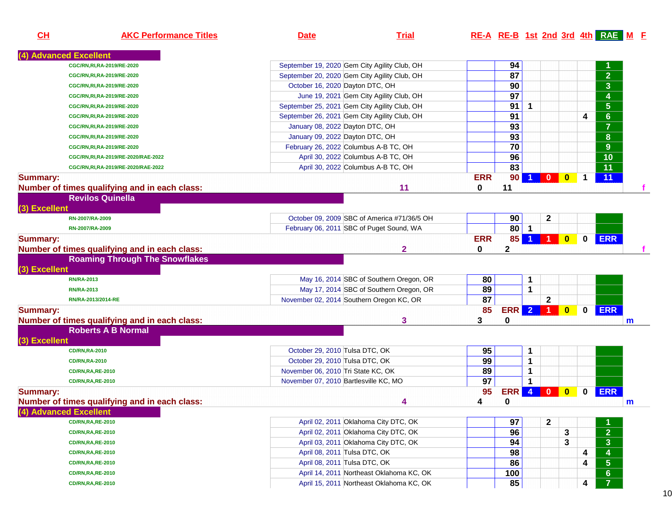| <u>CH</u>       | <b>AKC Performance Titles</b>                 | <u>Date</u>                                  | <b>Trial</b>                                |                 |                 |                      |                         |              |              | $RE-A$ $RE-B$ 1st 2nd 3rd 4th $RAE$ M E |   |
|-----------------|-----------------------------------------------|----------------------------------------------|---------------------------------------------|-----------------|-----------------|----------------------|-------------------------|--------------|--------------|-----------------------------------------|---|
|                 | (4) Advanced Excellent                        |                                              |                                             |                 |                 |                      |                         |              |              |                                         |   |
|                 | CGC/RN, RI, RA-2019/RE-2020                   | September 19, 2020 Gem City Agility Club, OH |                                             |                 | 94              |                      |                         |              |              |                                         |   |
|                 | CGC/RN, RI, RA-2019/RE-2020                   | September 20, 2020 Gem City Agility Club, OH |                                             |                 | 87              |                      |                         |              |              | $\overline{2}$                          |   |
|                 | CGC/RN, RI, RA-2019/RE-2020                   | October 16, 2020 Dayton DTC, OH              |                                             |                 | 90              |                      |                         |              |              | $\overline{\mathbf{3}}$                 |   |
|                 | CGC/RN, RI, RA-2019/RE-2020                   | June 19, 2021 Gem City Agility Club, OH      |                                             |                 | 97              |                      |                         |              |              | $\overline{4}$                          |   |
|                 | CGC/RN, RI, RA-2019/RE-2020                   | September 25, 2021 Gem City Agility Club, OH |                                             |                 | 91              | $\mathbf 1$          |                         |              |              | $\overline{5}$                          |   |
|                 | CGC/RN, RI, RA-2019/RE-2020                   | September 26, 2021 Gem City Agility Club, OH |                                             |                 | 91              |                      |                         |              | 4            | $6\phantom{a}$                          |   |
|                 | CGC/RN, RI, RA-2019/RE-2020                   | January 08, 2022 Dayton DTC, OH              |                                             |                 | 93              |                      |                         |              |              | $\overline{\mathbf{7}}$                 |   |
|                 | CGC/RN, RI, RA-2019/RE-2020                   | January 09, 2022 Dayton DTC, OH              |                                             |                 | $\overline{93}$ |                      |                         |              |              | 8                                       |   |
|                 | CGC/RN, RI, RA-2019/RE-2020                   | February 26, 2022 Columbus A-B TC, OH        |                                             |                 | 70              |                      |                         |              |              | $\overline{9}$                          |   |
|                 | CGC/RN,RI,RA-2019/RE-2020/RAE-2022            | April 30, 2022 Columbus A-B TC, OH           |                                             |                 | 96              |                      |                         |              |              | $\overline{10}$                         |   |
|                 | CGC/RN,RI,RA-2019/RE-2020/RAE-2022            | April 30, 2022 Columbus A-B TC, OH           |                                             |                 | 83              |                      |                         |              |              | $\overline{11}$                         |   |
| <b>Summary:</b> |                                               |                                              |                                             | <b>ERR</b>      | 90              | $\blacktriangleleft$ | $\mathbf{0}$            | $\mathbf{0}$ | $\mathbf 1$  | 11                                      |   |
|                 | Number of times qualifying and in each class: |                                              | 11                                          | $\bf{0}$        | 11              |                      |                         |              |              |                                         | f |
|                 | <b>Revilos Quinella</b>                       |                                              |                                             |                 |                 |                      |                         |              |              |                                         |   |
| (3) Excellent   |                                               |                                              |                                             |                 |                 |                      |                         |              |              |                                         |   |
|                 | RN-2007/RA-2009                               |                                              | October 09, 2009 SBC of America #71/36/5 OH |                 | 90              |                      | $\mathbf{2}$            |              |              |                                         |   |
|                 | RN-2007/RA-2009                               | February 06, 2011 SBC of Puget Sound, WA     |                                             |                 | $80$   1        |                      |                         |              |              |                                         |   |
| <b>Summary:</b> |                                               |                                              |                                             | <b>ERR</b>      | 85              | $\blacktriangleleft$ |                         | $\mathbf{0}$ | $\mathbf{0}$ | <b>ERR</b>                              |   |
|                 | Number of times qualifying and in each class: |                                              | $\mathbf{2}$                                | $\mathbf{0}$    | $\mathbf 2$     |                      |                         |              |              |                                         |   |
|                 | <b>Roaming Through The Snowflakes</b>         |                                              |                                             |                 |                 |                      |                         |              |              |                                         |   |
| (3) Excellent   |                                               |                                              |                                             |                 |                 |                      |                         |              |              |                                         |   |
|                 | <b>RN/RA-2013</b>                             |                                              | May 16, 2014 SBC of Southern Oregon, OR     | 80              |                 | 1                    |                         |              |              |                                         |   |
|                 | <b>RN/RA-2013</b>                             |                                              | May 17, 2014 SBC of Southern Oregon, OR     | 89              |                 | $\mathbf{1}$         |                         |              |              |                                         |   |
|                 | RN/RA-2013/2014-RE                            | November 02, 2014 Southern Oregon KC, OR     |                                             | 87              |                 |                      | $\mathbf{2}$            |              |              |                                         |   |
| <b>Summary:</b> |                                               |                                              |                                             | 85              | <b>ERR</b>      | $\overline{2}$       | $\blacktriangleleft$    | $\mathbf{0}$ | $\mathbf 0$  | <b>ERR</b>                              |   |
|                 | Number of times qualifying and in each class: |                                              | 3                                           | 3               | $\mathbf 0$     |                      |                         |              |              |                                         | m |
|                 | <b>Roberts A B Normal</b>                     |                                              |                                             |                 |                 |                      |                         |              |              |                                         |   |
| (3) Excellent   |                                               |                                              |                                             |                 |                 |                      |                         |              |              |                                         |   |
|                 | <b>CD/RN,RA-2010</b>                          | October 29, 2010 Tulsa DTC, OK               |                                             | 95              |                 | 1                    |                         |              |              |                                         |   |
|                 | <b>CD/RN,RA-2010</b>                          | October 29, 2010 Tulsa DTC, OK               |                                             | 99              |                 | $\mathbf{1}$         |                         |              |              |                                         |   |
|                 | <b>CD/RN,RA,RE-2010</b>                       | November 06, 2010 Tri State KC, OK           |                                             | 89              |                 | 1                    |                         |              |              |                                         |   |
|                 | <b>CD/RN,RA,RE-2010</b>                       | November 07, 2010 Bartlesville KC, MO        |                                             | $\overline{97}$ |                 | $\blacktriangleleft$ |                         |              |              |                                         |   |
| <b>Summary:</b> |                                               |                                              |                                             | 95              | ERR             | $\overline{4}$       | $\overline{\mathbf{0}}$ | $\mathbf{0}$ | $\mathbf{0}$ | <b>ERR</b>                              |   |
|                 | Number of times qualifying and in each class: |                                              | 4                                           | 4               | $\bf{0}$        |                      |                         |              |              |                                         | m |
|                 | (4) Advanced Excellent                        |                                              |                                             |                 |                 |                      |                         |              |              |                                         |   |
|                 | <b>CD/RN,RA,RE-2010</b>                       | April 02, 2011 Oklahoma City DTC, OK         |                                             |                 | 97              |                      | $\mathbf{2}$            |              |              |                                         |   |
|                 | <b>CD/RN, RA, RE-2010</b>                     | April 02, 2011 Oklahoma City DTC, OK         |                                             |                 | 96              |                      |                         | 3            |              | $\overline{2}$                          |   |
|                 | <b>CD/RN,RA,RE-2010</b>                       | April 03, 2011 Oklahoma City DTC, OK         |                                             |                 | 94              |                      |                         | 3            |              | $\overline{\mathbf{3}}$                 |   |
|                 | <b>CD/RN, RA, RE-2010</b>                     | April 08, 2011 Tulsa DTC, OK                 |                                             |                 | $\overline{98}$ |                      |                         |              | 4            | $\overline{4}$                          |   |
|                 |                                               |                                              |                                             |                 |                 |                      |                         |              |              |                                         |   |

April 08, 2011 Tulsa DTC, OK

April 14, 2011 Northeast Oklahoma KC, OK

April 15, 2011 Northeast Oklahoma KC, OK

**86** 4 5

<u>**100 100 6** 6</u>

**85 1 85 1 4 7** 

**CD/RN,RA,RE-2010**

**CD/RN,RA,RE-2010**

**CD/RN,RA,RE-2010**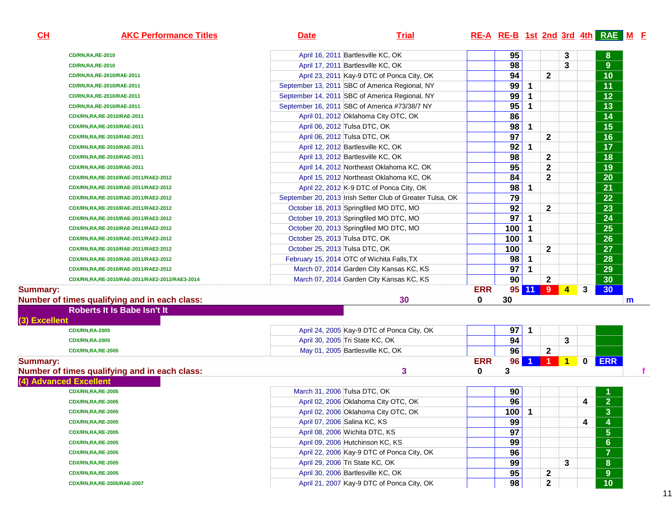| <u>CH</u>       | <b>AKC Performance Titles</b>                  | <b>Trial</b><br><b>Date</b>                               |            |                 |                      |                                 |                      |             | <b>RE-A RE-B 1st 2nd 3rd 4th RAE M F</b> |   |
|-----------------|------------------------------------------------|-----------------------------------------------------------|------------|-----------------|----------------------|---------------------------------|----------------------|-------------|------------------------------------------|---|
|                 | <b>CD/RN,RA,RE-2010</b>                        | April 16, 2011 Bartlesville KC, OK                        |            | 95              |                      |                                 | 3                    |             | 8                                        |   |
|                 | <b>CD/RN,RA,RE-2010</b>                        | April 17, 2011 Bartlesville KC, OK                        |            | 98              |                      |                                 | 3                    |             | $9\,$                                    |   |
|                 | CD/RN, RA, RE-2010/RAE-2011                    | April 23, 2011 Kay-9 DTC of Ponca City, OK                |            | 94              |                      | $\mathbf{2}$                    |                      |             | 10                                       |   |
|                 | CD/RN, RA, RE-2010/RAE-2011                    | September 13, 2011 SBC of America Regional, NY            |            | 99              | 1                    |                                 |                      |             | 11                                       |   |
|                 | CD/RN, RA, RE-2010/RAE-2011                    | September 14, 2011 SBC of America Regional, NY            |            | 99              |                      |                                 |                      |             | 12                                       |   |
|                 | CD/RN, RA, RE-2010/RAE-2011                    | September 16, 2011 SBC of America #73/38/7 NY             |            | 95              | 1                    |                                 |                      |             | 13                                       |   |
|                 | CDX/RN,RA,RE-2010/RAE-2011                     | April 01, 2012 Oklahoma City OTC, OK                      |            | 86              |                      |                                 |                      |             | 14                                       |   |
|                 | CDX/RN,RA,RE-2010/RAE-2011                     | April 06, 2012 Tulsa DTC, OK                              |            | 98              | 1                    |                                 |                      |             | 15                                       |   |
|                 | CDX/RN,RA,RE-2010/RAE-2011                     | April 06, 2012 Tulsa DTC, OK                              |            | $\overline{97}$ |                      | $\mathbf{2}$                    |                      |             | 16                                       |   |
|                 | CDX/RN,RA,RE-2010/RAE-2011                     | April 12, 2012 Bartlesville KC, OK                        |            | 92              | 1                    |                                 |                      |             | 17                                       |   |
|                 | CDX/RN,RA,RE-2010/RAE-2011                     | April 13, 2012 Bartlesville KC, OK                        |            | 98              |                      | 2                               |                      |             | 18                                       |   |
|                 | CDX/RN,RA,RE-2010/RAE-2011                     | April 14, 2012 Northeast Oklahoma KC, OK                  |            | 95              |                      | $\mathbf 2$                     |                      |             | 19                                       |   |
|                 | CDX/RN,RA,RE-2010/RAE-2011/RAE2-2012           | April 15, 2012 Northeast Oklahoma KC, OK                  |            | 84              |                      | $\mathbf{2}$                    |                      |             | 20                                       |   |
|                 | CDX/RN,RA,RE-2010/RAE-2011/RAE2-2012           | April 22, 2012 K-9 DTC of Ponca City, OK                  |            | 98              | 1                    |                                 |                      |             | 21                                       |   |
|                 | CDX/RN,RA,RE-2010/RAE-2011/RAE2-2012           | September 20, 2013 Irish Setter Club of Greater Tulsa, OK |            | 79              |                      |                                 |                      |             | 22                                       |   |
|                 | CDX/RN,RA,RE-2010/RAE-2011/RAE2-2012           | October 18, 2013 Springfiled MO DTC, MO                   |            | 92              |                      | $\mathbf{2}$                    |                      |             | 23                                       |   |
|                 | CDX/RN,RA,RE-2010/RAE-2011/RAE2-2012           | October 19, 2013 Springfiled MO DTC, MO                   |            | 97              | 1                    |                                 |                      |             | 24                                       |   |
|                 | CDX/RN,RA,RE-2010/RAE-2011/RAE2-2012           | October 20, 2013 Springfiled MO DTC, MO                   |            | 100             | 1                    |                                 |                      |             | 25                                       |   |
|                 | CDX/RN,RA,RE-2010/RAE-2011/RAE2-2012           | October 25, 2013 Tulsa DTC, OK                            |            | 100             | $\mathbf 1$          |                                 |                      |             | 26                                       |   |
|                 | CDX/RN,RA,RE-2010/RAE-2011/RAE2-2012           | October 25, 2013 Tulsa DTC, OK                            |            | 100             |                      | $\mathbf{2}$                    |                      |             | 27                                       |   |
|                 | CDX/RN,RA,RE-2010/RAE-2011/RAE2-2012           | February 15, 2014 OTC of Wichita Falls, TX                |            | 98              | 1                    |                                 |                      |             | 28                                       |   |
|                 | CDX/RN,RA,RE-2010/RAE-2011/RAE2-2012           | March 07, 2014 Garden City Kansas KC, KS                  |            | 97              | 1                    |                                 |                      |             | 29                                       |   |
|                 | CDX/RN,RA,RE-2010/RAE-2011/RAE2-2012/RAE3-2014 | March 07, 2014 Garden City Kansas KC, KS                  |            | 90              |                      | $\mathbf{2}$                    |                      |             | 30                                       |   |
| <b>Summary:</b> |                                                |                                                           | <b>ERR</b> |                 | 95 11 9              |                                 | $\blacktriangleleft$ | 3           | 30                                       |   |
|                 | Number of times qualifying and in each class:  | 30                                                        | 0          | 30              |                      |                                 |                      |             |                                          | m |
|                 | Roberts It Is Babe Isn't It                    |                                                           |            |                 |                      |                                 |                      |             |                                          |   |
| (3) Excellent   |                                                |                                                           |            |                 |                      |                                 |                      |             |                                          |   |
|                 | <b>CDX/RN,RA-2005</b>                          | April 24, 2005 Kay-9 DTC of Ponca City, OK                |            | 97              | 1                    |                                 |                      |             |                                          |   |
|                 | <b>CDX/RN,RA-2005</b>                          | April 30, 2005 Tri State KC, OK                           |            | 94              |                      |                                 | 3                    |             |                                          |   |
|                 | <b>CDX/RN,RA,RE-2005</b>                       | May 01, 2005 Bartlesville KC, OK                          |            | 96              |                      | $\mathbf 2$                     |                      |             |                                          |   |
| Summary:        |                                                |                                                           | <b>ERR</b> | 96              | $\blacktriangleleft$ | $\blacksquare$ 1 $\blacksquare$ | $\blacktriangleleft$ | $\mathbf 0$ | <b>ERR</b>                               |   |
|                 | Number of times qualifying and in each class:  | 3                                                         | 0          | 3               |                      |                                 |                      |             |                                          |   |
|                 | (4) Advanced Excellent                         |                                                           |            |                 |                      |                                 |                      |             |                                          |   |
|                 | <b>CDX/RN,RA,RE-2005</b>                       | March 31, 2006 Tulsa DTC, OK                              |            | 90              |                      |                                 |                      |             |                                          |   |
|                 | <b>CDX/RN,RA,RE-2005</b>                       | April 02, 2006 Oklahoma City OTC, OK                      |            | $\overline{96}$ |                      |                                 |                      | 4           | $\overline{2}$                           |   |
|                 | <b>CDX/RN,RA,RE-2005</b>                       | April 02, 2006 Oklahoma City OTC, OK                      |            | 100             | $\blacktriangleleft$ |                                 |                      |             | 3                                        |   |
|                 | <b>CDX/RN,RA,RE-2005</b>                       | April 07, 2006 Salina KC, KS                              |            | 99              |                      |                                 |                      | 4           | 4                                        |   |
|                 | <b>CDX/RN,RA,RE-2005</b>                       | April 08, 2006 Wichita DTC, KS                            |            | 97              |                      |                                 |                      |             | $\sqrt{5}$                               |   |
|                 | <b>CDX/RN,RA,RE-2005</b>                       | April 09, 2006 Hutchinson KC, KS                          |            | 99              |                      |                                 |                      |             | $6\phantom{a}$                           |   |
|                 | <b>CDX/RN,RA,RE-2005</b>                       | April 22, 2006 Kay-9 DTC of Ponca City, OK                |            | 96              |                      |                                 |                      |             | $\overline{7}$                           |   |
|                 | <b>CDX/RN,RA,RE-2005</b>                       | April 29, 2006 Tri State KC, OK                           |            | 99              |                      |                                 | 3                    |             | ${\bf 8}$                                |   |
|                 |                                                |                                                           |            |                 |                      |                                 |                      |             |                                          |   |
|                 | <b>CDX/RN,RA,RE-2005</b>                       | April 30, 2006 Bartlesville KC, OK                        |            | 95              |                      | 2                               |                      |             | $\overline{9}$                           |   |
|                 | CDX/RN,RA,RE-2005/RAE-2007                     | April 21, 2007 Kay-9 DTC of Ponca City, OK                |            | 98              |                      | 2                               |                      |             | 10                                       |   |

### **CH**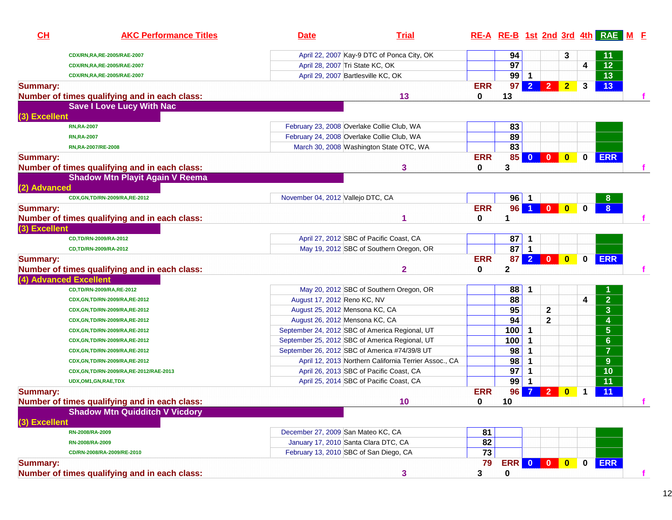| CH              | <b>AKC Performance Titles</b>                 | <b>Date</b>                                    | <b>Trial</b>                                          |            |                  |                      |                                                                 |                |                         | RE-A RE-B 1st 2nd 3rd 4th RAE M F |
|-----------------|-----------------------------------------------|------------------------------------------------|-------------------------------------------------------|------------|------------------|----------------------|-----------------------------------------------------------------|----------------|-------------------------|-----------------------------------|
|                 | CDX/RN,RA,RE-2005/RAE-2007                    |                                                | April 22, 2007 Kay-9 DTC of Ponca City, OK            |            | 94               |                      |                                                                 | 3              |                         | 11                                |
|                 | CDX/RN,RA,RE-2005/RAE-2007                    | April 28, 2007 Tri State KC, OK                |                                                       |            | $\overline{97}$  |                      |                                                                 |                | $\overline{\mathbf{4}}$ | $\overline{12}$                   |
|                 | CDX/RN,RA,RE-2005/RAE-2007                    | April 29, 2007 Bartlesville KC, OK             |                                                       |            | $99$ 1           |                      |                                                                 |                |                         | $\overline{13}$                   |
| <b>Summary:</b> |                                               |                                                |                                                       | <b>ERR</b> | 97               | $\overline{2}$       | 2 <sup>7</sup>                                                  | $\overline{2}$ | 3                       | 13                                |
|                 | Number of times qualifying and in each class: |                                                | 13                                                    | 0          | 13               |                      |                                                                 |                |                         |                                   |
|                 | <b>Save I Love Lucy With Nac</b>              |                                                |                                                       |            |                  |                      |                                                                 |                |                         |                                   |
| (3) Excellent   |                                               |                                                |                                                       |            |                  |                      |                                                                 |                |                         |                                   |
|                 | <b>RN,RA-2007</b>                             | February 23, 2008 Overlake Collie Club, WA     |                                                       |            | 83               |                      |                                                                 |                |                         |                                   |
|                 | <b>RN,RA-2007</b>                             | February 24, 2008 Overlake Collie Club, WA     |                                                       |            | 89               |                      |                                                                 |                |                         |                                   |
|                 | RN,RA-2007/RE-2008                            |                                                | March 30, 2008 Washington State OTC, WA               |            | 83               |                      |                                                                 |                |                         |                                   |
| <b>Summary:</b> |                                               |                                                |                                                       | <b>ERR</b> | 85               | $\mathbf{0}$         |                                                                 |                | 0                       | <b>ERR</b>                        |
|                 | Number of times qualifying and in each class: |                                                | 3                                                     | $\bf{0}$   | 3                |                      |                                                                 |                |                         |                                   |
|                 | <b>Shadow Mtn Playit Again V Reema</b>        |                                                |                                                       |            |                  |                      |                                                                 |                |                         |                                   |
| (2) Advanced    |                                               |                                                |                                                       |            |                  |                      |                                                                 |                |                         |                                   |
|                 | CDX, GN, TD/RN-2009/RA, RE-2012               | November 04, 2012 Vallejo DTC, CA              |                                                       |            | $96$   1         |                      |                                                                 |                |                         | 8                                 |
| <b>Summary:</b> |                                               |                                                |                                                       | <b>ERR</b> | 96               | $\blacktriangleleft$ | $\begin{array}{ c c c c c }\n\hline\n0&\mathbf{0}\n\end{array}$ |                | 0                       | 8 <sup>°</sup>                    |
|                 | Number of times qualifying and in each class: |                                                |                                                       | $\bf{0}$   | 1                |                      |                                                                 |                |                         |                                   |
| (3) Excellent   |                                               |                                                |                                                       |            |                  |                      |                                                                 |                |                         |                                   |
|                 | CD,TD/RN-2009/RA-2012                         |                                                | April 27, 2012 SBC of Pacific Coast, CA               |            | 87               | 1                    |                                                                 |                |                         |                                   |
|                 | CD,TD/RN-2009/RA-2012                         |                                                | May 19, 2012 SBC of Southern Oregon, OR               |            | 87               | $\vert$ 1            |                                                                 |                |                         |                                   |
| <b>Summary:</b> |                                               |                                                |                                                       | <b>ERR</b> | 87               | 2 <sup>7</sup>       |                                                                 |                | $\mathbf 0$             | <b>ERR</b>                        |
|                 | Number of times qualifying and in each class: |                                                | $\mathbf{2}$                                          | 0          | $\mathbf{2}$     |                      |                                                                 |                |                         |                                   |
|                 | (4) Advanced Excellent                        |                                                |                                                       |            |                  |                      |                                                                 |                |                         |                                   |
|                 | CD,TD/RN-2009/RA,RE-2012                      |                                                | May 20, 2012 SBC of Southern Oregon, OR               |            | 88               | 1                    |                                                                 |                |                         |                                   |
|                 | CDX, GN, TD/RN-2009/RA, RE-2012               | August 17, 2012 Reno KC, NV                    |                                                       |            | 88               |                      |                                                                 |                | 4                       | $\overline{2}$                    |
|                 | CDX, GN, TD/RN-2009/RA, RE-2012               | August 25, 2012 Mensona KC, CA                 |                                                       |            | 95               |                      | $\mathbf{2}$                                                    |                |                         | $\overline{\mathbf{3}}$           |
|                 | CDX, GN, TD/RN-2009/RA, RE-2012               | August 26, 2012 Mensona KC, CA                 |                                                       |            | 94               |                      | $\overline{\mathbf{2}}$                                         |                |                         | 4                                 |
|                 | CDX, GN, TD/RN-2009/RA, RE-2012               | September 24, 2012 SBC of America Regional, UT |                                                       |            | 100              | $\mathbf{1}$         |                                                                 |                |                         | 5 <sup>5</sup>                    |
|                 | CDX, GN, TD/RN-2009/RA, RE-2012               | September 25, 2012 SBC of America Regional, UT |                                                       |            | 100              | $\mathbf 1$          |                                                                 |                |                         | 6 <sup>1</sup>                    |
|                 | CDX, GN, TD/RN-2009/RA, RE-2012               | September 26, 2012 SBC of America #74/39/8 UT  |                                                       |            | 98               | 1                    |                                                                 |                |                         | $\overline{7}$                    |
|                 | CDX, GN, TD/RN-2009/RA, RE-2012               |                                                | April 12, 2013 Northern California Terrier Assoc., CA |            | 98               | $\mathbf 1$          |                                                                 |                |                         | 9 <sup>°</sup>                    |
|                 | CDX, GN, TD/RN-2009/RA, RE-2012/RAE-2013      |                                                | April 26, 2013 SBC of Pacific Coast, CA               |            | 97               | $\mathbf{1}$         |                                                                 |                |                         | 10                                |
|                 | UDX, OM1, GN, RAE, TDX                        |                                                | April 25, 2014 SBC of Pacific Coast, CA               |            | 99               | $\mathbf 1$          |                                                                 |                |                         | 11                                |
| <b>Summary:</b> |                                               |                                                |                                                       | <b>ERR</b> | 96               | $\overline{7}$       | 2 <sup>2</sup>                                                  | $\mathbf{0}$   | 1                       | 11                                |
|                 | Number of times qualifying and in each class: |                                                | 10                                                    | 0          | 10               |                      |                                                                 |                |                         |                                   |
|                 | <b>Shadow Mtn Quidditch V Vicdory</b>         |                                                |                                                       |            |                  |                      |                                                                 |                |                         |                                   |
| (3) Excellent   |                                               |                                                |                                                       |            |                  |                      |                                                                 |                |                         |                                   |
|                 | RN-2008/RA-2009                               | December 27, 2009 San Mateo KC, CA             |                                                       | 81         |                  |                      |                                                                 |                |                         |                                   |
|                 | RN-2008/RA-2009                               | January 17, 2010 Santa Clara DTC, CA           |                                                       | 82         |                  |                      |                                                                 |                |                         |                                   |
|                 | CD/RN-2008/RA-2009/RE-2010                    | February 13, 2010 SBC of San Diego, CA         |                                                       | 73         |                  |                      |                                                                 |                |                         |                                   |
| <b>Summary:</b> |                                               |                                                |                                                       | 79         | <b>ERR 0 0 0</b> |                      |                                                                 |                | $\mathbf 0$             | <b>ERR</b>                        |
|                 | Number of times qualifying and in each class: |                                                | 3                                                     | 3          | $\mathbf 0$      |                      |                                                                 |                |                         |                                   |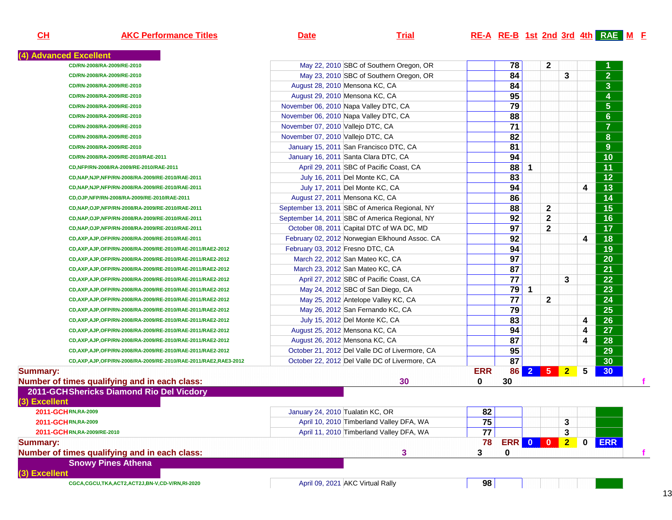**CH**

## **AKC Performance Titles Date Trial RE-A RE-B 1st 2nd 3rd 4th RAE <sup>M</sup> <sup>F</sup>**

| 78<br>$\mathbf{2}$<br>May 22, 2010 SBC of Southern Oregon, OR<br>CD/RN-2008/RA-2009/RE-2010<br>84<br>May 23, 2010 SBC of Southern Oregon, OR<br>CD/RN-2008/RA-2009/RE-2010<br>$\overline{84}$<br>August 28, 2010 Mensona KC, CA<br>CD/RN-2008/RA-2009/RE-2010<br>95<br>August 29, 2010 Mensona KC, CA<br>CD/RN-2008/RA-2009/RE-2010<br>$\overline{79}$<br>November 06, 2010 Napa Valley DTC, CA<br>CD/RN-2008/RA-2009/RE-2010<br>88<br>November 06, 2010 Napa Valley DTC, CA<br>CD/RN-2008/RA-2009/RE-2010<br>$\overline{71}$<br>November 07, 2010 Vallejo DTC, CA<br>CD/RN-2008/RA-2009/RE-2010<br>82<br>November 07, 2010 Vallejo DTC, CA<br>CD/RN-2008/RA-2009/RE-2010<br>81<br>January 15, 2011 San Francisco DTC, CA<br>CD/RN-2008/RA-2009/RE-2010<br>94<br>January 16, 2011 Santa Clara DTC, CA<br>CD/RN-2008/RA-2009/RE-2010/RAE-2011<br>$\overline{88}$<br>$\mathbf{1}$<br>April 29, 2011 SBC of Pacific Coast, CA<br>CD,NFP/RN-2008/RA-2009/RE-2010/RAE-2011<br>83<br>July 16, 2011 Del Monte KC, CA<br>CD, NAP, NJP, NFP/RN-2008/RA-2009/RE-2010/RAE-2011<br>94<br>July 17, 2011 Del Monte KC, CA<br>CD, NAP, NJP, NFP/RN-2008/RA-2009/RE-2010/RAE-2011 | 3              | $\overline{\mathbf{4}}$ | $\overline{2}$<br>$\overline{\mathbf{3}}$<br>$\overline{\mathbf{4}}$<br>$5\phantom{.0}$<br>6<br>$\overline{7}$<br>8<br>9<br>$\overline{10}$<br>$\overline{11}$<br>$\overline{12}$ |
|-------------------------------------------------------------------------------------------------------------------------------------------------------------------------------------------------------------------------------------------------------------------------------------------------------------------------------------------------------------------------------------------------------------------------------------------------------------------------------------------------------------------------------------------------------------------------------------------------------------------------------------------------------------------------------------------------------------------------------------------------------------------------------------------------------------------------------------------------------------------------------------------------------------------------------------------------------------------------------------------------------------------------------------------------------------------------------------------------------------------------------------------------------------------|----------------|-------------------------|-----------------------------------------------------------------------------------------------------------------------------------------------------------------------------------|
|                                                                                                                                                                                                                                                                                                                                                                                                                                                                                                                                                                                                                                                                                                                                                                                                                                                                                                                                                                                                                                                                                                                                                                   |                |                         |                                                                                                                                                                                   |
|                                                                                                                                                                                                                                                                                                                                                                                                                                                                                                                                                                                                                                                                                                                                                                                                                                                                                                                                                                                                                                                                                                                                                                   |                |                         |                                                                                                                                                                                   |
|                                                                                                                                                                                                                                                                                                                                                                                                                                                                                                                                                                                                                                                                                                                                                                                                                                                                                                                                                                                                                                                                                                                                                                   |                |                         |                                                                                                                                                                                   |
|                                                                                                                                                                                                                                                                                                                                                                                                                                                                                                                                                                                                                                                                                                                                                                                                                                                                                                                                                                                                                                                                                                                                                                   |                |                         |                                                                                                                                                                                   |
|                                                                                                                                                                                                                                                                                                                                                                                                                                                                                                                                                                                                                                                                                                                                                                                                                                                                                                                                                                                                                                                                                                                                                                   |                |                         |                                                                                                                                                                                   |
|                                                                                                                                                                                                                                                                                                                                                                                                                                                                                                                                                                                                                                                                                                                                                                                                                                                                                                                                                                                                                                                                                                                                                                   |                |                         |                                                                                                                                                                                   |
|                                                                                                                                                                                                                                                                                                                                                                                                                                                                                                                                                                                                                                                                                                                                                                                                                                                                                                                                                                                                                                                                                                                                                                   |                |                         |                                                                                                                                                                                   |
|                                                                                                                                                                                                                                                                                                                                                                                                                                                                                                                                                                                                                                                                                                                                                                                                                                                                                                                                                                                                                                                                                                                                                                   |                |                         |                                                                                                                                                                                   |
|                                                                                                                                                                                                                                                                                                                                                                                                                                                                                                                                                                                                                                                                                                                                                                                                                                                                                                                                                                                                                                                                                                                                                                   |                |                         |                                                                                                                                                                                   |
|                                                                                                                                                                                                                                                                                                                                                                                                                                                                                                                                                                                                                                                                                                                                                                                                                                                                                                                                                                                                                                                                                                                                                                   |                |                         |                                                                                                                                                                                   |
|                                                                                                                                                                                                                                                                                                                                                                                                                                                                                                                                                                                                                                                                                                                                                                                                                                                                                                                                                                                                                                                                                                                                                                   |                |                         |                                                                                                                                                                                   |
|                                                                                                                                                                                                                                                                                                                                                                                                                                                                                                                                                                                                                                                                                                                                                                                                                                                                                                                                                                                                                                                                                                                                                                   |                |                         |                                                                                                                                                                                   |
|                                                                                                                                                                                                                                                                                                                                                                                                                                                                                                                                                                                                                                                                                                                                                                                                                                                                                                                                                                                                                                                                                                                                                                   |                |                         | $\overline{13}$                                                                                                                                                                   |
| 86<br>August 27, 2011 Mensona KC, CA<br>CD,OJP,NFP/RN-2008/RA-2009/RE-2010/RAE-2011                                                                                                                                                                                                                                                                                                                                                                                                                                                                                                                                                                                                                                                                                                                                                                                                                                                                                                                                                                                                                                                                               |                |                         | $\overline{14}$                                                                                                                                                                   |
| 88<br>$\mathbf{2}$<br>September 13, 2011 SBC of America Regional, NY<br>CD,NAP,OJP,NFP/RN-2008/RA-2009/RE-2010/RAE-2011                                                                                                                                                                                                                                                                                                                                                                                                                                                                                                                                                                                                                                                                                                                                                                                                                                                                                                                                                                                                                                           |                |                         | $\overline{15}$                                                                                                                                                                   |
| 92<br>$\mathbf{2}$<br>September 14, 2011 SBC of America Regional, NY<br>CD, NAP, OJP, NFP/RN-2008/RA-2009/RE-2010/RAE-2011                                                                                                                                                                                                                                                                                                                                                                                                                                                                                                                                                                                                                                                                                                                                                                                                                                                                                                                                                                                                                                        |                |                         | $\overline{16}$                                                                                                                                                                   |
| $\overline{97}$<br>$\mathbf{2}$<br>October 08, 2011 Capital DTC of WA DC, MD<br>CD, NAP, OJP, NFP/RN-2008/RA-2009/RE-2010/RAE-2011                                                                                                                                                                                                                                                                                                                                                                                                                                                                                                                                                                                                                                                                                                                                                                                                                                                                                                                                                                                                                                |                |                         | 17                                                                                                                                                                                |
| 92<br>February 02, 2012 Norwegian Elkhound Assoc. CA<br>CD, AXP, AJP, OFP/RN-2008/RA-2009/RE-2010/RAE-2011                                                                                                                                                                                                                                                                                                                                                                                                                                                                                                                                                                                                                                                                                                                                                                                                                                                                                                                                                                                                                                                        |                | $\overline{\mathbf{4}}$ | $\overline{18}$                                                                                                                                                                   |
| 94<br>February 03, 2012 Fresno DTC, CA<br>CD, AXP, AJP, OFP/RN-2008/RA-2009/RE-2010/RAE-2011/RAE2-2012                                                                                                                                                                                                                                                                                                                                                                                                                                                                                                                                                                                                                                                                                                                                                                                                                                                                                                                                                                                                                                                            |                |                         | 19                                                                                                                                                                                |
| $\overline{97}$<br>March 22, 2012 San Mateo KC, CA<br>CD,AXP,AJP,OFP/RN-2008/RA-2009/RE-2010/RAE-2011/RAE2-2012                                                                                                                                                                                                                                                                                                                                                                                                                                                                                                                                                                                                                                                                                                                                                                                                                                                                                                                                                                                                                                                   |                |                         | 20                                                                                                                                                                                |
| 87<br>March 23, 2012 San Mateo KC, CA<br>CD, AXP, AJP, OFP/RN-2008/RA-2009/RE-2010/RAE-2011/RAE2-2012                                                                                                                                                                                                                                                                                                                                                                                                                                                                                                                                                                                                                                                                                                                                                                                                                                                                                                                                                                                                                                                             |                |                         | 21                                                                                                                                                                                |
| $\overline{77}$<br>April 27, 2012 SBC of Pacific Coast, CA<br>CD, AXP, AJP, OFP/RN-2008/RA-2009/RE-2010/RAE-2011/RAE2-2012                                                                                                                                                                                                                                                                                                                                                                                                                                                                                                                                                                                                                                                                                                                                                                                                                                                                                                                                                                                                                                        | 3              |                         | $\overline{22}$                                                                                                                                                                   |
| $\overline{79}$<br>$\mathbf{1}$<br>May 24, 2012 SBC of San Diego, CA<br>CD, AXP, AJP, OFP/RN-2008/RA-2009/RE-2010/RAE-2011/RAE2-2012                                                                                                                                                                                                                                                                                                                                                                                                                                                                                                                                                                                                                                                                                                                                                                                                                                                                                                                                                                                                                              |                |                         | 23                                                                                                                                                                                |
| $\overline{77}$<br>$\mathbf{2}$<br>May 25, 2012 Antelope Valley KC, CA<br>CD, AXP, AJP, OFP/RN-2008/RA-2009/RE-2010/RAE-2011/RAE2-2012                                                                                                                                                                                                                                                                                                                                                                                                                                                                                                                                                                                                                                                                                                                                                                                                                                                                                                                                                                                                                            |                |                         | $\overline{24}$                                                                                                                                                                   |
| 79<br>May 26, 2012 San Fernando KC, CA<br>CD, AXP, AJP, OFP/RN-2008/RA-2009/RE-2010/RAE-2011/RAE2-2012                                                                                                                                                                                                                                                                                                                                                                                                                                                                                                                                                                                                                                                                                                                                                                                                                                                                                                                                                                                                                                                            |                |                         | $\overline{25}$                                                                                                                                                                   |
| 83<br>July 15, 2012 Del Monte KC, CA<br>CD, AXP, AJP, OFP/RN-2008/RA-2009/RE-2010/RAE-2011/RAE2-2012                                                                                                                                                                                                                                                                                                                                                                                                                                                                                                                                                                                                                                                                                                                                                                                                                                                                                                                                                                                                                                                              |                | 4                       | $\overline{26}$                                                                                                                                                                   |
| 94<br>August 25, 2012 Mensona KC, CA<br>CD, AXP, AJP, OFP/RN-2008/RA-2009/RE-2010/RAE-2011/RAE2-2012                                                                                                                                                                                                                                                                                                                                                                                                                                                                                                                                                                                                                                                                                                                                                                                                                                                                                                                                                                                                                                                              |                | 4                       | $\overline{27}$                                                                                                                                                                   |
| 87<br>August 26, 2012 Mensona KC, CA<br>CD, AXP, AJP, OFP/RN-2008/RA-2009/RE-2010/RAE-2011/RAE2-2012                                                                                                                                                                                                                                                                                                                                                                                                                                                                                                                                                                                                                                                                                                                                                                                                                                                                                                                                                                                                                                                              |                | $\overline{\mathbf{4}}$ | $\overline{28}$                                                                                                                                                                   |
| $\overline{95}$<br>October 21, 2012 Del Valle DC of Livermore, CA<br>CD, AXP, AJP, OFP/RN-2008/RA-2009/RE-2010/RAE-2011/RAE2-2012                                                                                                                                                                                                                                                                                                                                                                                                                                                                                                                                                                                                                                                                                                                                                                                                                                                                                                                                                                                                                                 |                |                         | $\overline{29}$                                                                                                                                                                   |
| $\overline{87}$<br>October 22, 2012 Del Valle DC of Livermore, CA<br>CD, AXP, AJP, OFP/RN-2008/RA-2009/RE-2010/RAE-2011/RAE2, RAE3-2012                                                                                                                                                                                                                                                                                                                                                                                                                                                                                                                                                                                                                                                                                                                                                                                                                                                                                                                                                                                                                           |                |                         | 30                                                                                                                                                                                |
| <b>ERR</b><br>86<br><b>Summary:</b><br>$\overline{2}$<br>$5^{\circ}$                                                                                                                                                                                                                                                                                                                                                                                                                                                                                                                                                                                                                                                                                                                                                                                                                                                                                                                                                                                                                                                                                              | $\overline{2}$ | 5                       | 30 <sub>1</sub>                                                                                                                                                                   |
| 0<br>30<br>Number of times qualifying and in each class:<br>30                                                                                                                                                                                                                                                                                                                                                                                                                                                                                                                                                                                                                                                                                                                                                                                                                                                                                                                                                                                                                                                                                                    |                |                         |                                                                                                                                                                                   |
| 2011-GCHShericks Diamond Rio Del Vicdory                                                                                                                                                                                                                                                                                                                                                                                                                                                                                                                                                                                                                                                                                                                                                                                                                                                                                                                                                                                                                                                                                                                          |                |                         |                                                                                                                                                                                   |
| (3) Excellent                                                                                                                                                                                                                                                                                                                                                                                                                                                                                                                                                                                                                                                                                                                                                                                                                                                                                                                                                                                                                                                                                                                                                     |                |                         |                                                                                                                                                                                   |
| 82<br>2011-GCHRN,RA-2009<br>January 24, 2010 Tualatin KC, OR                                                                                                                                                                                                                                                                                                                                                                                                                                                                                                                                                                                                                                                                                                                                                                                                                                                                                                                                                                                                                                                                                                      |                |                         |                                                                                                                                                                                   |
| 75<br>2011-GCHRN,RA-2009<br>April 10, 2010 Timberland Valley DFA, WA                                                                                                                                                                                                                                                                                                                                                                                                                                                                                                                                                                                                                                                                                                                                                                                                                                                                                                                                                                                                                                                                                              | 3              |                         |                                                                                                                                                                                   |
| 77<br>2011-GCHRN,RA-2009/RE-2010<br>April 11, 2010 Timberland Valley DFA, WA                                                                                                                                                                                                                                                                                                                                                                                                                                                                                                                                                                                                                                                                                                                                                                                                                                                                                                                                                                                                                                                                                      | 3              |                         |                                                                                                                                                                                   |
| 78<br><b>ERR 0 0 0</b><br><b>Summary:</b>                                                                                                                                                                                                                                                                                                                                                                                                                                                                                                                                                                                                                                                                                                                                                                                                                                                                                                                                                                                                                                                                                                                         | $\overline{2}$ | 0                       | <b>ERR</b>                                                                                                                                                                        |
| 3<br>$\mathbf 0$<br>Number of times qualifying and in each class:<br>3                                                                                                                                                                                                                                                                                                                                                                                                                                                                                                                                                                                                                                                                                                                                                                                                                                                                                                                                                                                                                                                                                            |                |                         |                                                                                                                                                                                   |
| <b>Snowy Pines Athena</b>                                                                                                                                                                                                                                                                                                                                                                                                                                                                                                                                                                                                                                                                                                                                                                                                                                                                                                                                                                                                                                                                                                                                         |                |                         |                                                                                                                                                                                   |
| (3) Excellent                                                                                                                                                                                                                                                                                                                                                                                                                                                                                                                                                                                                                                                                                                                                                                                                                                                                                                                                                                                                                                                                                                                                                     |                |                         |                                                                                                                                                                                   |
| 98<br>April 09, 2021 AKC Virtual Rally<br>CGCA,CGCU,TKA,ACT2,ACT2J,BN-V,CD-V/RN,RI-2020                                                                                                                                                                                                                                                                                                                                                                                                                                                                                                                                                                                                                                                                                                                                                                                                                                                                                                                                                                                                                                                                           |                |                         |                                                                                                                                                                                   |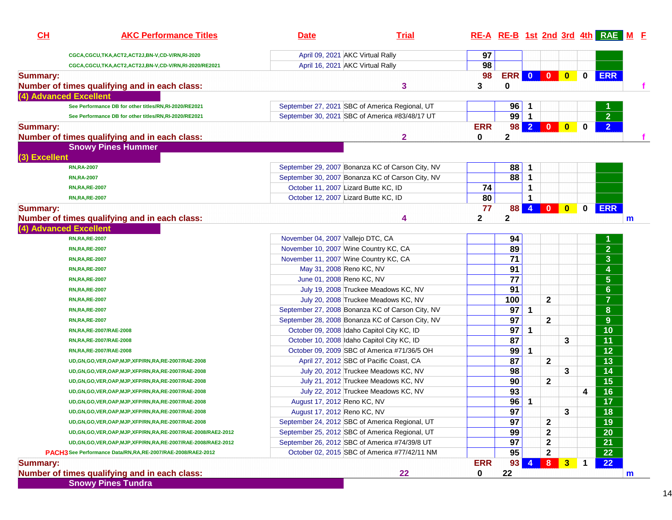| <b>Summary:</b><br>(4) Advanced Excellent | CGCA,CGCU,TKA,ACT2,ACT2J,BN-V,CD-V/RN,RI-2020                     |                                                  |                                              |              |                |                |                         |                         |              |                         | RE-A RE-B 1st 2nd 3rd 4th RAE M F |
|-------------------------------------------|-------------------------------------------------------------------|--------------------------------------------------|----------------------------------------------|--------------|----------------|----------------|-------------------------|-------------------------|--------------|-------------------------|-----------------------------------|
|                                           |                                                                   | April 09, 2021 AKC Virtual Rally                 |                                              | 97           |                |                |                         |                         |              |                         |                                   |
|                                           | CGCA,CGCU,TKA,ACT2,ACT2J,BN-V,CD-V/RN,RI-2020/RE2021              | April 16, 2021 AKC Virtual Rally                 |                                              | 98           |                |                |                         |                         |              |                         |                                   |
|                                           |                                                                   |                                                  |                                              | 98           | <b>ERR 0 0</b> |                |                         | $\overline{\mathbf{0}}$ | $\mathbf 0$  | <b>ERR</b>              |                                   |
|                                           | Number of times qualifying and in each class:                     |                                                  | 3                                            | 3            | 0              |                |                         |                         |              |                         | f.                                |
|                                           |                                                                   |                                                  |                                              |              |                |                |                         |                         |              |                         |                                   |
|                                           | See Performance DB for other titles/RN,RI-2020/RE2021             | September 27, 2021 SBC of America Regional, UT   |                                              |              | 96             | $\mathbf{1}$   |                         |                         |              |                         |                                   |
|                                           | See Performance DB for other titles/RN,RI-2020/RE2021             | September 30, 2021 SBC of America #83/48/17 UT   |                                              |              | $99$ 1         |                |                         |                         |              | $\overline{2}$          |                                   |
| <b>Summary:</b>                           |                                                                   |                                                  |                                              | <b>ERR</b>   |                |                | 98 2 0                  | $\bullet$               | $\bf{0}$     | $\overline{2}$          |                                   |
|                                           | Number of times qualifying and in each class:                     |                                                  | 2                                            | $\bf{0}$     | $\mathbf 2$    |                |                         |                         |              |                         | f                                 |
|                                           | <b>Snowy Pines Hummer</b>                                         |                                                  |                                              |              |                |                |                         |                         |              |                         |                                   |
| (3) Excellent                             |                                                                   |                                                  |                                              |              |                |                |                         |                         |              |                         |                                   |
|                                           | <b>RN,RA-2007</b>                                                 | September 29, 2007 Bonanza KC of Carson City, NV |                                              |              | 88             | $\mathbf{1}$   |                         |                         |              |                         |                                   |
|                                           | <b>RN,RA-2007</b>                                                 | September 30, 2007 Bonanza KC of Carson City, NV |                                              |              | 88             | $\mathbf{1}$   |                         |                         |              |                         |                                   |
|                                           | <b>RN, RA, RE-2007</b>                                            | October 11, 2007 Lizard Butte KC, ID             |                                              | 74           |                | $\mathbf 1$    |                         |                         |              |                         |                                   |
|                                           | <b>RN, RA, RE-2007</b>                                            | October 12, 2007 Lizard Butte KC, ID             |                                              | 80           |                | $\mathbf 1$    |                         |                         |              |                         |                                   |
| <b>Summary:</b>                           |                                                                   |                                                  |                                              | 77           | 88             | 4 <sup>1</sup> | $\overline{\mathbf{0}}$ | $\boldsymbol{0}$        | $\mathbf{0}$ | <b>ERR</b>              |                                   |
|                                           | Number of times qualifying and in each class:                     |                                                  | 4                                            | $\mathbf{2}$ | $\mathbf 2$    |                |                         |                         |              |                         | $\mathsf{m}$                      |
| (4) Advanced Excellent                    |                                                                   |                                                  |                                              |              |                |                |                         |                         |              |                         |                                   |
|                                           | <b>RN, RA, RE-2007</b>                                            | November 04, 2007 Vallejo DTC, CA                |                                              |              | 94             |                |                         |                         |              |                         |                                   |
|                                           | <b>RN, RA, RE-2007</b>                                            | November 10, 2007 Wine Country KC, CA            |                                              |              | 89             |                |                         |                         |              | $\overline{2}$          |                                   |
|                                           | <b>RN, RA, RE-2007</b>                                            | November 11, 2007 Wine Country KC, CA            |                                              |              | 71             |                |                         |                         |              | $\mathbf{3}$            |                                   |
|                                           | <b>RN, RA, RE-2007</b>                                            | May 31, 2008 Reno KC, NV                         |                                              |              | 91             |                |                         |                         |              | 4                       |                                   |
|                                           | <b>RN, RA, RE-2007</b>                                            | June 01, 2008 Reno KC, NV                        |                                              |              | 77             |                |                         |                         |              | $\overline{\mathbf{5}}$ |                                   |
|                                           | <b>RN, RA, RE-2007</b>                                            |                                                  | July 19, 2008 Truckee Meadows KC, NV         |              | 91             |                |                         |                         |              | $6\phantom{a}$          |                                   |
|                                           | <b>RN, RA, RE-2007</b>                                            |                                                  | July 20, 2008 Truckee Meadows KC, NV         |              | 100            |                | $\mathbf{2}$            |                         |              | $\overline{7}$          |                                   |
|                                           | <b>RN, RA, RE-2007</b>                                            | September 27, 2008 Bonanza KC of Carson City, NV |                                              |              | 97             | $\mathbf 1$    |                         |                         |              | $\bf{8}$                |                                   |
|                                           | <b>RN, RA, RE-2007</b>                                            | September 28, 2008 Bonanza KC of Carson City, NV |                                              |              | 97             |                | $\mathbf{2}$            |                         |              | 9                       |                                   |
|                                           | RN, RA, RE-2007/RAE-2008                                          | October 09, 2008 Idaho Capitol City KC, ID       |                                              |              | 97             | $\mathbf{1}$   |                         |                         |              | 10                      |                                   |
|                                           | RN, RA, RE-2007/RAE-2008                                          | October 10, 2008 Idaho Capitol City KC, ID       |                                              |              | 87             |                |                         | 3                       |              | 11                      |                                   |
|                                           | RN, RA, RE-2007/RAE-2008                                          |                                                  | October 09, 2009 SBC of America #71/36/5 OH  |              | 99             | $\mathbf{1}$   |                         |                         |              | 12                      |                                   |
|                                           | UD, GN, GO, VER, OAP, MJP, XFP/RN, RA, RE-2007/RAE-2008           | April 27, 2012 SBC of Pacific Coast, CA          |                                              |              | 87             |                | $\mathbf{2}$            |                         |              | 13                      |                                   |
|                                           | UD, GN, GO, VER, OAP, MJP, XFP/RN, RA, RE-2007/RAE-2008           |                                                  | July 20, 2012 Truckee Meadows KC, NV         |              | 98             |                |                         | 3                       |              | 14                      |                                   |
|                                           | UD, GN, GO, VER, OAP, MJP, XFP/RN, RA, RE-2007/RAE-2008           |                                                  | July 21, 2012 Truckee Meadows KC, NV         |              | 90             |                | $\mathbf{2}$            |                         |              | 15                      |                                   |
|                                           | UD, GN, GO, VER, OAP, MJP, XFP/RN, RA, RE-2007/RAE-2008           |                                                  | July 22, 2012 Truckee Meadows KC, NV         |              | 93             |                |                         |                         | 4            | 16                      |                                   |
|                                           | UD, GN, GO, VER, OAP, MJP, XFP/RN, RA, RE-2007/RAE-2008           | August 17, 2012 Reno KC, NV                      |                                              |              | 96             | $\mathbf 1$    |                         |                         |              | $\overline{17}$         |                                   |
|                                           | UD, GN, GO, VER, OAP, MJP, XFP/RN, RA, RE-2007/RAE-2008           | August 17, 2012 Reno KC, NV                      |                                              |              | 97             |                |                         | 3                       |              | 18                      |                                   |
|                                           | UD, GN, GO, VER, OAP, MJP, XFP/RN, RA, RE-2007/RAE-2008           | September 24, 2012 SBC of America Regional, UT   |                                              |              | 97             |                | 2                       |                         |              | 19                      |                                   |
|                                           | UD, GN, GO, VER, OAP, MJP, XFP/RN, RA, RE-2007/RAE-2008/RAE2-2012 | September 25, 2012 SBC of America Regional, UT   |                                              |              | 99             |                | 2                       |                         |              | 20                      |                                   |
|                                           | UD, GN, GO, VER, OAP, MJP, XFP/RN, RA, RE-2007/RAE-2008/RAE2-2012 | September 26, 2012 SBC of America #74/39/8 UT    |                                              |              | 97             |                | 2                       |                         |              | 21                      |                                   |
|                                           | PACH3 See Performance Data/RN, RA, RE-2007/RAE-2008/RAE2-2012     |                                                  | October 02, 2015 SBC of America #77/42/11 NM |              | 95             |                | $\mathbf 2$             |                         |              | 22                      |                                   |
| <b>Summary:</b>                           |                                                                   |                                                  |                                              | <b>ERR</b>   | 93             | 4              | 8                       | $\mathbf{3}$            | $\mathbf 1$  | 22                      |                                   |
|                                           | Number of times qualifying and in each class:                     |                                                  | 22                                           | 0            | 22             |                |                         |                         |              |                         | m                                 |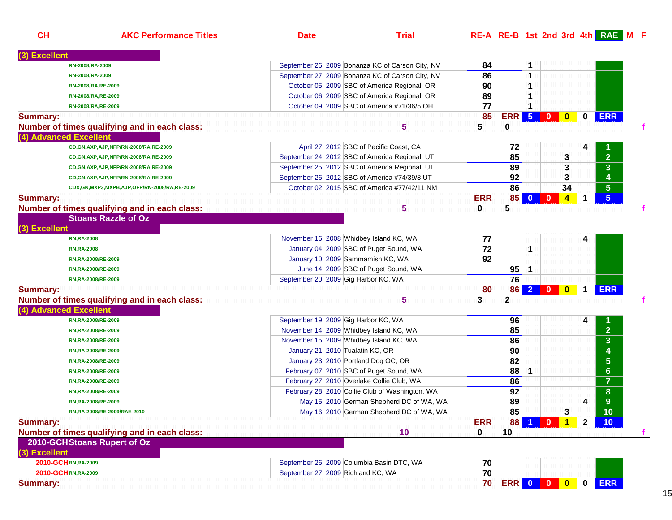| CH              | <b>AKC Performance Titles</b>                 | <b>Date</b>                                    | <b>Trial</b>                                     |                 |                |              |                         |                         |              | RE-A RE-B 1st 2nd 3rd 4th RAE M F |  |
|-----------------|-----------------------------------------------|------------------------------------------------|--------------------------------------------------|-----------------|----------------|--------------|-------------------------|-------------------------|--------------|-----------------------------------|--|
| (3) Excellent   |                                               |                                                |                                                  |                 |                |              |                         |                         |              |                                   |  |
|                 | RN-2008/RA-2009                               |                                                | September 26, 2009 Bonanza KC of Carson City, NV | 84              |                | 1            |                         |                         |              |                                   |  |
|                 | RN-2008/RA-2009                               |                                                | September 27, 2009 Bonanza KC of Carson City, NV | 86              |                | 1            |                         |                         |              |                                   |  |
|                 | RN-2008/RA, RE-2009                           |                                                | October 05, 2009 SBC of America Regional, OR     | 90              |                | 1            |                         |                         |              |                                   |  |
|                 | RN-2008/RA, RE-2009                           |                                                | October 06, 2009 SBC of America Regional, OR     | 89              |                | 1            |                         |                         |              |                                   |  |
|                 | RN-2008/RA, RE-2009                           |                                                | October 09, 2009 SBC of America #71/36/5 OH      | $\overline{77}$ |                | 1            |                         |                         |              |                                   |  |
| <b>Summary:</b> |                                               |                                                |                                                  | 85              | <b>ERR 5 0</b> |              |                         | $\bullet$               | $\mathbf 0$  | <b>ERR</b>                        |  |
|                 | Number of times qualifying and in each class: |                                                | 5                                                | 5               | 0              |              |                         |                         |              |                                   |  |
|                 | (4) Advanced Excellent                        |                                                |                                                  |                 |                |              |                         |                         |              |                                   |  |
|                 | CD, GN, AXP, AJP, NFP/RN-2008/RA, RE-2009     |                                                | April 27, 2012 SBC of Pacific Coast, CA          |                 | 72             |              |                         |                         | 4            |                                   |  |
|                 | CD, GN, AXP, AJP, NFP/RN-2008/RA, RE-2009     | September 24, 2012 SBC of America Regional, UT |                                                  |                 | 85             |              |                         | 3                       |              | $\overline{2}$                    |  |
|                 | CD, GN, AXP, AJP, NFP/RN-2008/RA, RE-2009     | September 25, 2012 SBC of America Regional, UT |                                                  |                 | 89             |              |                         | 3                       |              | 3 <sup>2</sup>                    |  |
|                 | CD,GN,AXP,AJP,NFP/RN-2008/RA,RE-2009          | September 26, 2012 SBC of America #74/39/8 UT  |                                                  |                 | 92             |              |                         | 3                       |              | 4                                 |  |
|                 | CDX,GN,MXP3,MXPB,AJP,OFP/RN-2008/RA,RE-2009   |                                                | October 02, 2015 SBC of America #77/42/11 NM     |                 | 86             |              |                         | 34                      |              | $5\phantom{.0}$                   |  |
| <b>Summary:</b> |                                               |                                                |                                                  | <b>ERR</b>      | 85             | $\mathbf{0}$ | $\mathbf{0}$            | $\overline{\mathbf{4}}$ | 1            | 5 <sup>5</sup>                    |  |
|                 | Number of times qualifying and in each class: |                                                | 5                                                | 0               | 5              |              |                         |                         |              |                                   |  |
|                 | <b>Stoans Razzle of Oz</b>                    |                                                |                                                  |                 |                |              |                         |                         |              |                                   |  |
| (3) Excellent   |                                               |                                                |                                                  |                 |                |              |                         |                         |              |                                   |  |
|                 | <b>RN,RA-2008</b>                             | November 16, 2008 Whidbey Island KC, WA        |                                                  | 77              |                |              |                         |                         |              |                                   |  |
|                 |                                               | January 04, 2009 SBC of Puget Sound, WA        |                                                  | 72              |                | 1            |                         |                         | 4            |                                   |  |
|                 | <b>RN,RA-2008</b>                             | January 10, 2009 Sammamish KC, WA              |                                                  | 92              |                |              |                         |                         |              |                                   |  |
|                 | RN, RA-2008/RE-2009                           |                                                | June 14, 2009 SBC of Puget Sound, WA             |                 | 95             |              |                         |                         |              |                                   |  |
|                 | RN, RA-2008/RE-2009                           |                                                |                                                  |                 | 76             | $\mathbf{1}$ |                         |                         |              |                                   |  |
|                 | RN, RA-2008/RE-2009                           | September 20, 2009 Gig Harbor KC, WA           |                                                  |                 |                |              |                         |                         |              |                                   |  |
| <b>Summary:</b> |                                               |                                                |                                                  | 80              | 86             |              | $2 0 0$                 |                         | $\mathbf 1$  | <b>ERR</b>                        |  |
|                 | Number of times qualifying and in each class: |                                                | 5                                                | 3               | $\mathbf{2}$   |              |                         |                         |              |                                   |  |
|                 | (4) Advanced Excellent                        |                                                |                                                  |                 |                |              |                         |                         |              |                                   |  |
|                 | RN, RA-2008/RE-2009                           | September 19, 2009 Gig Harbor KC, WA           |                                                  |                 | 96             |              |                         |                         | 4            |                                   |  |
|                 | RN, RA-2008/RE-2009                           | November 14, 2009 Whidbey Island KC, WA        |                                                  |                 | 85             |              |                         |                         |              | 2 <sup>1</sup>                    |  |
|                 | RN, RA-2008/RE-2009                           | November 15, 2009 Whidbey Island KC, WA        |                                                  |                 | 86             |              |                         |                         |              | $\mathbf{3}$                      |  |
|                 | RN, RA-2008/RE-2009                           | January 21, 2010 Tualatin KC, OR               |                                                  |                 | 90             |              |                         |                         |              | 4                                 |  |
|                 | RN, RA-2008/RE-2009                           | January 23, 2010 Portland Dog OC, OR           |                                                  |                 | 82             |              |                         |                         |              | $\overline{5}$                    |  |
|                 | RN, RA-2008/RE-2009                           | February 07, 2010 SBC of Puget Sound, WA       |                                                  |                 | 88             | 1            |                         |                         |              | $6\phantom{1}$                    |  |
|                 | RN,RA-2008/RE-2009                            | February 27, 2010 Overlake Collie Club, WA     |                                                  |                 | 86             |              |                         |                         |              | $\overline{7}$                    |  |
|                 | RN, RA-2008/RE-2009                           |                                                | February 28, 2010 Collie Club of Washington, WA  |                 | 92             |              |                         |                         |              | 8                                 |  |
|                 | RN,RA-2008/RE-2009                            |                                                | May 15, 2010 German Shepherd DC of WA, WA        |                 | 89             |              |                         |                         | 4            | 9                                 |  |
|                 | RN,RA-2008/RE-2009/RAE-2010                   |                                                | May 16, 2010 German Shepherd DC of WA, WA        |                 | 85             |              |                         | 3                       |              | 10                                |  |
| <b>Summary:</b> |                                               |                                                |                                                  | <b>ERR</b>      | 88             |              | $\mathbf{0}$            | $\mathbf 1$             | $\mathbf{2}$ | 10 <sup>°</sup>                   |  |
|                 | Number of times qualifying and in each class: |                                                | 10                                               | 0               | 10             |              |                         |                         |              |                                   |  |
|                 | 2010-GCH Stoans Rupert of Oz                  |                                                |                                                  |                 |                |              |                         |                         |              |                                   |  |
| (3) Excellent   |                                               |                                                |                                                  |                 |                |              |                         |                         |              |                                   |  |
|                 | 2010-GCHRN,RA-2009                            | September 26, 2009 Columbia Basin DTC, WA      |                                                  | 70              |                |              |                         |                         |              |                                   |  |
|                 | 2010-GCHRN,RA-2009                            | September 27, 2009 Richland KC, WA             |                                                  | $\overline{70}$ |                |              |                         |                         |              |                                   |  |
| <b>Summary:</b> |                                               |                                                |                                                  | 70              | <b>ERR</b>     | $\bullet$    | $\overline{\mathbf{0}}$ | $\bullet$               | $\mathbf 0$  | <b>ERR</b>                        |  |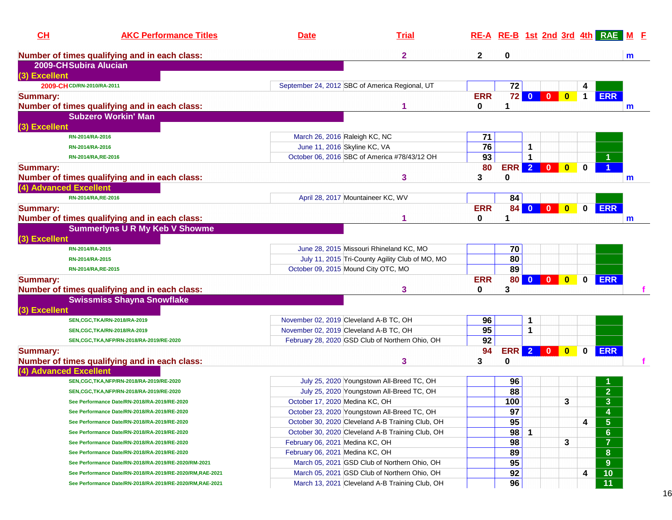| CH                        | <b>AKC Performance Titles</b>                            | <b>Date</b>                                      | <b>Trial</b> |            |            |                | RE-A RE-B 1st 2nd 3rd 4th RAE M F |             |                |   |
|---------------------------|----------------------------------------------------------|--------------------------------------------------|--------------|------------|------------|----------------|-----------------------------------|-------------|----------------|---|
|                           | Number of times qualifying and in each class:            |                                                  | 2            | 2          | 0          |                |                                   |             |                | m |
| 2009-CHSubira Alucian     |                                                          |                                                  |              |            |            |                |                                   |             |                |   |
| (3) Excellent             |                                                          |                                                  |              |            |            |                |                                   |             |                |   |
| 2009-CHCD/RN-2010/RA-2011 |                                                          | September 24, 2012 SBC of America Regional, UT   |              |            | 72         |                |                                   | 4           |                |   |
| <b>Summary:</b>           |                                                          |                                                  |              | <b>ERR</b> | 72         | $\bullet$      | $\mathbf{0}$<br>$\bf{0}$          | $\mathbf 1$ | <b>ERR</b>     |   |
|                           | Number of times qualifying and in each class:            |                                                  |              | 0          |            |                |                                   |             |                | m |
|                           | <b>Subzero Workin' Man</b>                               |                                                  |              |            |            |                |                                   |             |                |   |
| (3) Excellent             |                                                          |                                                  |              |            |            |                |                                   |             |                |   |
|                           | RN-2014/RA-2016                                          | March 26, 2016 Raleigh KC, NC                    |              | 71         |            |                |                                   |             |                |   |
|                           | RN-2014/RA-2016                                          | June 11, 2016 Skyline KC, VA                     |              | 76         |            | 1              |                                   |             |                |   |
|                           | RN-2014/RA, RE-2016                                      | October 06, 2016 SBC of America #78/43/12 OH     |              | 93         |            | $\mathbf 1$    |                                   |             |                |   |
| <b>Summary:</b>           |                                                          |                                                  |              | 80         | <b>ERR</b> | 2              | $\bf{0}$                          |             |                |   |
|                           | Number of times qualifying and in each class:            |                                                  | 3            | 3          | 0          |                |                                   |             |                | m |
| (4) Advanced Excellent    |                                                          |                                                  |              |            |            |                |                                   |             |                |   |
|                           | RN-2014/RA, RE-2016                                      | April 28, 2017 Mountaineer KC, WV                |              |            | 84         |                |                                   |             |                |   |
| <b>Summary:</b>           |                                                          |                                                  |              | <b>ERR</b> | 84         | $\mathbf{0}$   | $\bf{0}$<br>$\bf{0}$              | $\bf{0}$    | <b>ERR</b>     |   |
|                           | Number of times qualifying and in each class:            |                                                  |              | 0          |            |                |                                   |             |                | m |
|                           | <b>Summerlyns U R My Keb V Showme</b>                    |                                                  |              |            |            |                |                                   |             |                |   |
| (3) Excellent             |                                                          |                                                  |              |            |            |                |                                   |             |                |   |
|                           | RN-2014/RA-2015                                          | June 28, 2015 Missouri Rhineland KC, MO          |              |            | 70         |                |                                   |             |                |   |
|                           | RN-2014/RA-2015                                          | July 11, 2015 Tri-County Agility Club of MO, MO  |              |            | 80         |                |                                   |             |                |   |
|                           | RN-2014/RA, RE-2015                                      | October 09, 2015 Mound City OTC, MO              |              |            | 89         |                |                                   |             |                |   |
| <b>Summary:</b>           |                                                          |                                                  |              | <b>ERR</b> | 80         | $\mathbf{0}$   | $\bf{0}$                          | 0           | <b>ERR</b>     |   |
|                           | Number of times qualifying and in each class:            |                                                  | 3            | 0          | 3          |                |                                   |             |                |   |
|                           | <b>Swissmiss Shayna Snowflake</b>                        |                                                  |              |            |            |                |                                   |             |                |   |
| (3) Excellent             |                                                          |                                                  |              |            |            |                |                                   |             |                |   |
|                           | SEN, CGC, TKA/RN-2018/RA-2019                            | November 02, 2019 Cleveland A-B TC, OH           |              | 96         |            | 1              |                                   |             |                |   |
|                           | SEN, CGC, TKA/RN-2018/RA-2019                            | November 02, 2019 Cleveland A-B TC, OH           |              | 95         |            | 1              |                                   |             |                |   |
|                           | SEN, CGC, TKA, NFP/RN-2018/RA-2019/RE-2020               | February 28, 2020 GSD Club of Northern Ohio, OH  |              | 92         |            |                |                                   |             |                |   |
| <b>Summary:</b>           |                                                          |                                                  |              | 94         | <b>ERR</b> | 2 <sup>1</sup> | $\bf{0}$                          |             | <b>ERR</b>     |   |
|                           | Number of times qualifying and in each class:            |                                                  | 3            | 3          | 0          |                |                                   |             |                |   |
| (4) Advanced Excellent    |                                                          |                                                  |              |            |            |                |                                   |             |                |   |
|                           | SEN, CGC, TKA, NFP/RN-2018/RA-2019/RE-2020               | July 25, 2020 Youngstown All-Breed TC, OH        |              |            | 96         |                |                                   |             |                |   |
|                           | SEN, CGC, TKA, NFP/RN-2018/RA-2019/RE-2020               | July 25, 2020 Youngstown All-Breed TC, OH        |              |            | 88         |                |                                   |             | $\overline{2}$ |   |
|                           | See Performance Date/RN-2018/RA-2019/RE-2020             | October 17, 2020 Medina KC, OH                   |              |            | 100        |                | 3                                 |             | $\overline{3}$ |   |
|                           |                                                          | October 23, 2020 Youngstown All-Breed TC, OH     |              |            | 97         |                |                                   |             |                |   |
|                           | See Performance Date/RN-2018/RA-2019/RE-2020             |                                                  |              |            | 95         |                |                                   |             | 4              |   |
|                           | See Performance Date/RN-2018/RA-2019/RE-2020             | October 30, 2020 Cleveland A-B Training Club, OH |              |            |            |                |                                   | 4           | $\sqrt{5}$     |   |
|                           | See Performance Date/RN-2018/RA-2019/RE-2020             | October 30, 2020 Cleveland A-B Training Club, OH |              |            | 98         | $\mathbf{1}$   |                                   |             | $6\phantom{1}$ |   |
|                           | See Performance Date/RN-2018/RA-2019/RE-2020             | February 06, 2021 Medina KC, OH                  |              |            | 98         |                | 3                                 |             | $\overline{7}$ |   |
|                           | See Performance Date/RN-2018/RA-2019/RE-2020             | February 06, 2021 Medina KC, OH                  |              |            | 89         |                |                                   |             | ${\bf 8}$      |   |
|                           | See Performance Date/RN-2018/RA-2019/RE-2020/RM-2021     | March 05, 2021 GSD Club of Northern Ohio, OH     |              |            | 95         |                |                                   |             | 9              |   |
|                           | See Performance Date/RN-2018/RA-2019/RE-2020/RM,RAE-2021 | March 05, 2021 GSD Club of Northern Ohio, OH     |              |            | 92         |                |                                   | 4           | 10             |   |
|                           | See Performance Date/RN-2018/RA-2019/RE-2020/RM,RAE-2021 | March 13, 2021 Cleveland A-B Training Club, OH   |              |            | 96         |                |                                   |             | 11             |   |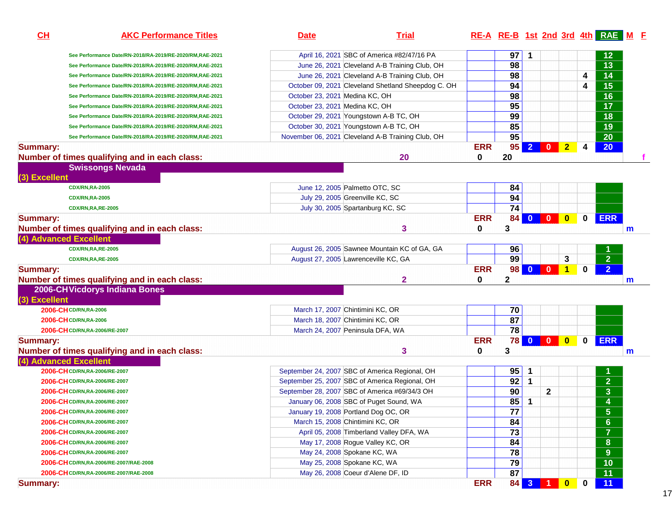| 97<br>12<br>April 16, 2021 SBC of America #82/47/16 PA<br>1<br>See Performance Date/RN-2018/RA-2019/RE-2020/RM,RAE-2021<br>98<br>13<br>June 26, 2021 Cleveland A-B Training Club, OH<br>See Performance Date/RN-2018/RA-2019/RE-2020/RM,RAE-2021<br>98<br>14<br>June 26, 2021 Cleveland A-B Training Club, OH<br>4<br>See Performance Date/RN-2018/RA-2019/RE-2020/RM,RAE-2021<br>$\overline{15}$<br>94<br>October 09, 2021 Cleveland Shetland Sheepdog C. OH<br>4<br>See Performance Date/RN-2018/RA-2019/RE-2020/RM,RAE-2021<br>98<br>16<br>October 23, 2021 Medina KC, OH<br>See Performance Date/RN-2018/RA-2019/RE-2020/RM,RAE-2021<br>95<br>17<br>October 23, 2021 Medina KC, OH<br>See Performance Date/RN-2018/RA-2019/RE-2020/RM,RAE-2021<br>99<br>18<br>October 29, 2021 Youngstown A-B TC, OH<br>See Performance Date/RN-2018/RA-2019/RE-2020/RM,RAE-2021<br>85<br>19<br>October 30, 2021 Youngstown A-B TC, OH<br>See Performance Date/RN-2018/RA-2019/RE-2020/RM,RAE-2021<br>95<br>20<br>November 06, 2021 Cleveland A-B Training Club, OH<br>See Performance Date/RN-2018/RA-2019/RE-2020/RM,RAE-2021<br><b>ERR</b><br>$2$ 0<br>95<br>$\overline{2}$<br>20 <sub>2</sub><br><b>Summary:</b><br>4<br>20<br>Number of times qualifying and in each class:<br>20<br>0<br><b>Swissongs Nevada</b><br>(3) Excellent<br>84<br>June 12, 2005 Palmetto OTC, SC<br><b>CDX/RN,RA-2005</b><br>94<br>July 29, 2005 Greenville KC, SC<br><b>CDX/RN,RA-2005</b><br>$\overline{74}$<br>July 30, 2005 Spartanburg KC, SC<br><b>CDX/RN,RA,RE-2005</b><br><b>ERR</b><br>ERR<br>84<br>$\mathbf{0}$<br>$\mathbf 0$<br><b>Summary:</b><br>3<br>Number of times qualifying and in each class:<br>3<br>0<br>$\mathbf m$<br>(4) Advanced Excellent<br>August 26, 2005 Sawnee Mountain KC of GA, GA<br>96<br><b>CDX/RN,RA,RE-2005</b><br>$\overline{2}$<br>99<br>3<br>August 27, 2005 Lawrenceville KC, GA<br><b>CDX/RN,RA,RE-2005</b><br>$\overline{2}$<br><b>ERR</b><br>$\begin{array}{ c c c c c }\n\hline\n0 & 0 & \\\hline\n\end{array}$<br>$\overline{1}$<br>98<br>0<br><b>Summary:</b><br>$\mathbf{2}$<br>Number of times qualifying and in each class:<br>2<br>0<br>m<br>2006-CHVicdorys Indiana Bones<br>(3) Excellent<br>70<br>2006-CHCD/RN, RA-2006<br>March 17, 2007 Chintimini KC, OR<br>87<br>March 18, 2007 Chintimini KC, OR<br>2006-CH CD/RN, RA-2006<br>$\overline{78}$<br>March 24, 2007 Peninsula DFA, WA<br>2006-CHCD/RN, RA-2006/RE-2007<br><b>ERR</b><br><b>78 0 0 0</b><br>ERR<br>$\mathbf 0$<br><b>Summary:</b><br>3<br>Number of times qualifying and in each class:<br>3<br>0<br>m<br>(4) Advanced Excellent<br>95<br>September 24, 2007 SBC of America Regional, OH<br>2006-CHCD/RN, RA-2006/RE-2007<br>1<br>$\overline{2}$<br>92<br>$\mathbf{1}$<br>September 25, 2007 SBC of America Regional, OH<br>2006-CHCD/RN, RA-2006/RE-2007<br>$\overline{\mathbf{3}}$<br>90<br>$\mathbf 2$<br>September 28, 2007 SBC of America #69/34/3 OH<br>2006-CHCD/RN,RA-2006/RE-2007<br>85<br>$\overline{\mathbf{4}}$<br>January 06, 2008 SBC of Puget Sound, WA<br>1<br>2006-CHCD/RN, RA-2006/RE-2007<br>77<br>$\overline{\mathbf{5}}$<br>January 19, 2008 Portland Dog OC, OR<br>2006-CHCD/RN,RA-2006/RE-2007<br>$\overline{6}$<br>84<br>March 15, 2008 Chintimini KC, OR<br>2006-CHCD/RN,RA-2006/RE-2007<br>$\overline{7}$<br>73<br>April 05, 2008 Timberland Valley DFA, WA<br>2006-CHCD/RN,RA-2006/RE-2007<br>$\overline{\mathbf{8}}$<br>84<br>May 17, 2008 Rogue Valley KC, OR<br>2006-CHCD/RN, RA-2006/RE-2007<br>$\overline{9}$<br>78<br>May 24, 2008 Spokane KC, WA<br>2006-CH CD/RN, RA-2006/RE-2007<br>79<br>10<br>May 25, 2008 Spokane KC, WA<br>2006-CHCD/RN,RA-2006/RE-2007/RAE-2008<br>87<br>11<br>May 26, 2008 Coeur d'Alene DF, ID<br>2006-CHCD/RN,RA-2006/RE-2007/RAE-2008<br><b>ERR</b><br>3 <sup>°</sup><br>11<br>84<br>$\bullet$<br>$\bf{0}$<br>$\blacksquare$ 1<br>Summary: | CL | <b>AKC Performance Titles</b> | <b>Date</b> | <b>Trial</b> |  |  |  | RE-A RE-B 1st 2nd 3rd 4th RAE M E |  |
|----------------------------------------------------------------------------------------------------------------------------------------------------------------------------------------------------------------------------------------------------------------------------------------------------------------------------------------------------------------------------------------------------------------------------------------------------------------------------------------------------------------------------------------------------------------------------------------------------------------------------------------------------------------------------------------------------------------------------------------------------------------------------------------------------------------------------------------------------------------------------------------------------------------------------------------------------------------------------------------------------------------------------------------------------------------------------------------------------------------------------------------------------------------------------------------------------------------------------------------------------------------------------------------------------------------------------------------------------------------------------------------------------------------------------------------------------------------------------------------------------------------------------------------------------------------------------------------------------------------------------------------------------------------------------------------------------------------------------------------------------------------------------------------------------------------------------------------------------------------------------------------------------------------------------------------------------------------------------------------------------------------------------------------------------------------------------------------------------------------------------------------------------------------------------------------------------------------------------------------------------------------------------------------------------------------------------------------------------------------------------------------------------------------------------------------------------------------------------------------------------------------------------------------------------------------------------------------------------------------------------------------------------------------------------------------------------------------------------------------------------------------------------------------------------------------------------------------------------------------------------------------------------------------------------------------------------------------------------------------------------------------------------------------------------------------------------------------------------------------------------------------------------------------------------------------------------------------------------------------------------------------------------------------------------------------------------------------------------------------------------------------------------------------------------------------------------------------------------------------------------------------------------------------------------------------------------------------------------------------------------------------------------------------------------------------------------------------------------------------------------------------------------------------------------------------------------------------------------------------------------------------------------|----|-------------------------------|-------------|--------------|--|--|--|-----------------------------------|--|
|                                                                                                                                                                                                                                                                                                                                                                                                                                                                                                                                                                                                                                                                                                                                                                                                                                                                                                                                                                                                                                                                                                                                                                                                                                                                                                                                                                                                                                                                                                                                                                                                                                                                                                                                                                                                                                                                                                                                                                                                                                                                                                                                                                                                                                                                                                                                                                                                                                                                                                                                                                                                                                                                                                                                                                                                                                                                                                                                                                                                                                                                                                                                                                                                                                                                                                                                                                                                                                                                                                                                                                                                                                                                                                                                                                                                                                                                                                    |    |                               |             |              |  |  |  |                                   |  |
|                                                                                                                                                                                                                                                                                                                                                                                                                                                                                                                                                                                                                                                                                                                                                                                                                                                                                                                                                                                                                                                                                                                                                                                                                                                                                                                                                                                                                                                                                                                                                                                                                                                                                                                                                                                                                                                                                                                                                                                                                                                                                                                                                                                                                                                                                                                                                                                                                                                                                                                                                                                                                                                                                                                                                                                                                                                                                                                                                                                                                                                                                                                                                                                                                                                                                                                                                                                                                                                                                                                                                                                                                                                                                                                                                                                                                                                                                                    |    |                               |             |              |  |  |  |                                   |  |
|                                                                                                                                                                                                                                                                                                                                                                                                                                                                                                                                                                                                                                                                                                                                                                                                                                                                                                                                                                                                                                                                                                                                                                                                                                                                                                                                                                                                                                                                                                                                                                                                                                                                                                                                                                                                                                                                                                                                                                                                                                                                                                                                                                                                                                                                                                                                                                                                                                                                                                                                                                                                                                                                                                                                                                                                                                                                                                                                                                                                                                                                                                                                                                                                                                                                                                                                                                                                                                                                                                                                                                                                                                                                                                                                                                                                                                                                                                    |    |                               |             |              |  |  |  |                                   |  |
|                                                                                                                                                                                                                                                                                                                                                                                                                                                                                                                                                                                                                                                                                                                                                                                                                                                                                                                                                                                                                                                                                                                                                                                                                                                                                                                                                                                                                                                                                                                                                                                                                                                                                                                                                                                                                                                                                                                                                                                                                                                                                                                                                                                                                                                                                                                                                                                                                                                                                                                                                                                                                                                                                                                                                                                                                                                                                                                                                                                                                                                                                                                                                                                                                                                                                                                                                                                                                                                                                                                                                                                                                                                                                                                                                                                                                                                                                                    |    |                               |             |              |  |  |  |                                   |  |
|                                                                                                                                                                                                                                                                                                                                                                                                                                                                                                                                                                                                                                                                                                                                                                                                                                                                                                                                                                                                                                                                                                                                                                                                                                                                                                                                                                                                                                                                                                                                                                                                                                                                                                                                                                                                                                                                                                                                                                                                                                                                                                                                                                                                                                                                                                                                                                                                                                                                                                                                                                                                                                                                                                                                                                                                                                                                                                                                                                                                                                                                                                                                                                                                                                                                                                                                                                                                                                                                                                                                                                                                                                                                                                                                                                                                                                                                                                    |    |                               |             |              |  |  |  |                                   |  |
|                                                                                                                                                                                                                                                                                                                                                                                                                                                                                                                                                                                                                                                                                                                                                                                                                                                                                                                                                                                                                                                                                                                                                                                                                                                                                                                                                                                                                                                                                                                                                                                                                                                                                                                                                                                                                                                                                                                                                                                                                                                                                                                                                                                                                                                                                                                                                                                                                                                                                                                                                                                                                                                                                                                                                                                                                                                                                                                                                                                                                                                                                                                                                                                                                                                                                                                                                                                                                                                                                                                                                                                                                                                                                                                                                                                                                                                                                                    |    |                               |             |              |  |  |  |                                   |  |
|                                                                                                                                                                                                                                                                                                                                                                                                                                                                                                                                                                                                                                                                                                                                                                                                                                                                                                                                                                                                                                                                                                                                                                                                                                                                                                                                                                                                                                                                                                                                                                                                                                                                                                                                                                                                                                                                                                                                                                                                                                                                                                                                                                                                                                                                                                                                                                                                                                                                                                                                                                                                                                                                                                                                                                                                                                                                                                                                                                                                                                                                                                                                                                                                                                                                                                                                                                                                                                                                                                                                                                                                                                                                                                                                                                                                                                                                                                    |    |                               |             |              |  |  |  |                                   |  |
|                                                                                                                                                                                                                                                                                                                                                                                                                                                                                                                                                                                                                                                                                                                                                                                                                                                                                                                                                                                                                                                                                                                                                                                                                                                                                                                                                                                                                                                                                                                                                                                                                                                                                                                                                                                                                                                                                                                                                                                                                                                                                                                                                                                                                                                                                                                                                                                                                                                                                                                                                                                                                                                                                                                                                                                                                                                                                                                                                                                                                                                                                                                                                                                                                                                                                                                                                                                                                                                                                                                                                                                                                                                                                                                                                                                                                                                                                                    |    |                               |             |              |  |  |  |                                   |  |
|                                                                                                                                                                                                                                                                                                                                                                                                                                                                                                                                                                                                                                                                                                                                                                                                                                                                                                                                                                                                                                                                                                                                                                                                                                                                                                                                                                                                                                                                                                                                                                                                                                                                                                                                                                                                                                                                                                                                                                                                                                                                                                                                                                                                                                                                                                                                                                                                                                                                                                                                                                                                                                                                                                                                                                                                                                                                                                                                                                                                                                                                                                                                                                                                                                                                                                                                                                                                                                                                                                                                                                                                                                                                                                                                                                                                                                                                                                    |    |                               |             |              |  |  |  |                                   |  |
|                                                                                                                                                                                                                                                                                                                                                                                                                                                                                                                                                                                                                                                                                                                                                                                                                                                                                                                                                                                                                                                                                                                                                                                                                                                                                                                                                                                                                                                                                                                                                                                                                                                                                                                                                                                                                                                                                                                                                                                                                                                                                                                                                                                                                                                                                                                                                                                                                                                                                                                                                                                                                                                                                                                                                                                                                                                                                                                                                                                                                                                                                                                                                                                                                                                                                                                                                                                                                                                                                                                                                                                                                                                                                                                                                                                                                                                                                                    |    |                               |             |              |  |  |  |                                   |  |
|                                                                                                                                                                                                                                                                                                                                                                                                                                                                                                                                                                                                                                                                                                                                                                                                                                                                                                                                                                                                                                                                                                                                                                                                                                                                                                                                                                                                                                                                                                                                                                                                                                                                                                                                                                                                                                                                                                                                                                                                                                                                                                                                                                                                                                                                                                                                                                                                                                                                                                                                                                                                                                                                                                                                                                                                                                                                                                                                                                                                                                                                                                                                                                                                                                                                                                                                                                                                                                                                                                                                                                                                                                                                                                                                                                                                                                                                                                    |    |                               |             |              |  |  |  |                                   |  |
|                                                                                                                                                                                                                                                                                                                                                                                                                                                                                                                                                                                                                                                                                                                                                                                                                                                                                                                                                                                                                                                                                                                                                                                                                                                                                                                                                                                                                                                                                                                                                                                                                                                                                                                                                                                                                                                                                                                                                                                                                                                                                                                                                                                                                                                                                                                                                                                                                                                                                                                                                                                                                                                                                                                                                                                                                                                                                                                                                                                                                                                                                                                                                                                                                                                                                                                                                                                                                                                                                                                                                                                                                                                                                                                                                                                                                                                                                                    |    |                               |             |              |  |  |  |                                   |  |
|                                                                                                                                                                                                                                                                                                                                                                                                                                                                                                                                                                                                                                                                                                                                                                                                                                                                                                                                                                                                                                                                                                                                                                                                                                                                                                                                                                                                                                                                                                                                                                                                                                                                                                                                                                                                                                                                                                                                                                                                                                                                                                                                                                                                                                                                                                                                                                                                                                                                                                                                                                                                                                                                                                                                                                                                                                                                                                                                                                                                                                                                                                                                                                                                                                                                                                                                                                                                                                                                                                                                                                                                                                                                                                                                                                                                                                                                                                    |    |                               |             |              |  |  |  |                                   |  |
|                                                                                                                                                                                                                                                                                                                                                                                                                                                                                                                                                                                                                                                                                                                                                                                                                                                                                                                                                                                                                                                                                                                                                                                                                                                                                                                                                                                                                                                                                                                                                                                                                                                                                                                                                                                                                                                                                                                                                                                                                                                                                                                                                                                                                                                                                                                                                                                                                                                                                                                                                                                                                                                                                                                                                                                                                                                                                                                                                                                                                                                                                                                                                                                                                                                                                                                                                                                                                                                                                                                                                                                                                                                                                                                                                                                                                                                                                                    |    |                               |             |              |  |  |  |                                   |  |
|                                                                                                                                                                                                                                                                                                                                                                                                                                                                                                                                                                                                                                                                                                                                                                                                                                                                                                                                                                                                                                                                                                                                                                                                                                                                                                                                                                                                                                                                                                                                                                                                                                                                                                                                                                                                                                                                                                                                                                                                                                                                                                                                                                                                                                                                                                                                                                                                                                                                                                                                                                                                                                                                                                                                                                                                                                                                                                                                                                                                                                                                                                                                                                                                                                                                                                                                                                                                                                                                                                                                                                                                                                                                                                                                                                                                                                                                                                    |    |                               |             |              |  |  |  |                                   |  |
|                                                                                                                                                                                                                                                                                                                                                                                                                                                                                                                                                                                                                                                                                                                                                                                                                                                                                                                                                                                                                                                                                                                                                                                                                                                                                                                                                                                                                                                                                                                                                                                                                                                                                                                                                                                                                                                                                                                                                                                                                                                                                                                                                                                                                                                                                                                                                                                                                                                                                                                                                                                                                                                                                                                                                                                                                                                                                                                                                                                                                                                                                                                                                                                                                                                                                                                                                                                                                                                                                                                                                                                                                                                                                                                                                                                                                                                                                                    |    |                               |             |              |  |  |  |                                   |  |
|                                                                                                                                                                                                                                                                                                                                                                                                                                                                                                                                                                                                                                                                                                                                                                                                                                                                                                                                                                                                                                                                                                                                                                                                                                                                                                                                                                                                                                                                                                                                                                                                                                                                                                                                                                                                                                                                                                                                                                                                                                                                                                                                                                                                                                                                                                                                                                                                                                                                                                                                                                                                                                                                                                                                                                                                                                                                                                                                                                                                                                                                                                                                                                                                                                                                                                                                                                                                                                                                                                                                                                                                                                                                                                                                                                                                                                                                                                    |    |                               |             |              |  |  |  |                                   |  |
|                                                                                                                                                                                                                                                                                                                                                                                                                                                                                                                                                                                                                                                                                                                                                                                                                                                                                                                                                                                                                                                                                                                                                                                                                                                                                                                                                                                                                                                                                                                                                                                                                                                                                                                                                                                                                                                                                                                                                                                                                                                                                                                                                                                                                                                                                                                                                                                                                                                                                                                                                                                                                                                                                                                                                                                                                                                                                                                                                                                                                                                                                                                                                                                                                                                                                                                                                                                                                                                                                                                                                                                                                                                                                                                                                                                                                                                                                                    |    |                               |             |              |  |  |  |                                   |  |
|                                                                                                                                                                                                                                                                                                                                                                                                                                                                                                                                                                                                                                                                                                                                                                                                                                                                                                                                                                                                                                                                                                                                                                                                                                                                                                                                                                                                                                                                                                                                                                                                                                                                                                                                                                                                                                                                                                                                                                                                                                                                                                                                                                                                                                                                                                                                                                                                                                                                                                                                                                                                                                                                                                                                                                                                                                                                                                                                                                                                                                                                                                                                                                                                                                                                                                                                                                                                                                                                                                                                                                                                                                                                                                                                                                                                                                                                                                    |    |                               |             |              |  |  |  |                                   |  |
|                                                                                                                                                                                                                                                                                                                                                                                                                                                                                                                                                                                                                                                                                                                                                                                                                                                                                                                                                                                                                                                                                                                                                                                                                                                                                                                                                                                                                                                                                                                                                                                                                                                                                                                                                                                                                                                                                                                                                                                                                                                                                                                                                                                                                                                                                                                                                                                                                                                                                                                                                                                                                                                                                                                                                                                                                                                                                                                                                                                                                                                                                                                                                                                                                                                                                                                                                                                                                                                                                                                                                                                                                                                                                                                                                                                                                                                                                                    |    |                               |             |              |  |  |  |                                   |  |
|                                                                                                                                                                                                                                                                                                                                                                                                                                                                                                                                                                                                                                                                                                                                                                                                                                                                                                                                                                                                                                                                                                                                                                                                                                                                                                                                                                                                                                                                                                                                                                                                                                                                                                                                                                                                                                                                                                                                                                                                                                                                                                                                                                                                                                                                                                                                                                                                                                                                                                                                                                                                                                                                                                                                                                                                                                                                                                                                                                                                                                                                                                                                                                                                                                                                                                                                                                                                                                                                                                                                                                                                                                                                                                                                                                                                                                                                                                    |    |                               |             |              |  |  |  |                                   |  |
|                                                                                                                                                                                                                                                                                                                                                                                                                                                                                                                                                                                                                                                                                                                                                                                                                                                                                                                                                                                                                                                                                                                                                                                                                                                                                                                                                                                                                                                                                                                                                                                                                                                                                                                                                                                                                                                                                                                                                                                                                                                                                                                                                                                                                                                                                                                                                                                                                                                                                                                                                                                                                                                                                                                                                                                                                                                                                                                                                                                                                                                                                                                                                                                                                                                                                                                                                                                                                                                                                                                                                                                                                                                                                                                                                                                                                                                                                                    |    |                               |             |              |  |  |  |                                   |  |
|                                                                                                                                                                                                                                                                                                                                                                                                                                                                                                                                                                                                                                                                                                                                                                                                                                                                                                                                                                                                                                                                                                                                                                                                                                                                                                                                                                                                                                                                                                                                                                                                                                                                                                                                                                                                                                                                                                                                                                                                                                                                                                                                                                                                                                                                                                                                                                                                                                                                                                                                                                                                                                                                                                                                                                                                                                                                                                                                                                                                                                                                                                                                                                                                                                                                                                                                                                                                                                                                                                                                                                                                                                                                                                                                                                                                                                                                                                    |    |                               |             |              |  |  |  |                                   |  |
|                                                                                                                                                                                                                                                                                                                                                                                                                                                                                                                                                                                                                                                                                                                                                                                                                                                                                                                                                                                                                                                                                                                                                                                                                                                                                                                                                                                                                                                                                                                                                                                                                                                                                                                                                                                                                                                                                                                                                                                                                                                                                                                                                                                                                                                                                                                                                                                                                                                                                                                                                                                                                                                                                                                                                                                                                                                                                                                                                                                                                                                                                                                                                                                                                                                                                                                                                                                                                                                                                                                                                                                                                                                                                                                                                                                                                                                                                                    |    |                               |             |              |  |  |  |                                   |  |
|                                                                                                                                                                                                                                                                                                                                                                                                                                                                                                                                                                                                                                                                                                                                                                                                                                                                                                                                                                                                                                                                                                                                                                                                                                                                                                                                                                                                                                                                                                                                                                                                                                                                                                                                                                                                                                                                                                                                                                                                                                                                                                                                                                                                                                                                                                                                                                                                                                                                                                                                                                                                                                                                                                                                                                                                                                                                                                                                                                                                                                                                                                                                                                                                                                                                                                                                                                                                                                                                                                                                                                                                                                                                                                                                                                                                                                                                                                    |    |                               |             |              |  |  |  |                                   |  |
|                                                                                                                                                                                                                                                                                                                                                                                                                                                                                                                                                                                                                                                                                                                                                                                                                                                                                                                                                                                                                                                                                                                                                                                                                                                                                                                                                                                                                                                                                                                                                                                                                                                                                                                                                                                                                                                                                                                                                                                                                                                                                                                                                                                                                                                                                                                                                                                                                                                                                                                                                                                                                                                                                                                                                                                                                                                                                                                                                                                                                                                                                                                                                                                                                                                                                                                                                                                                                                                                                                                                                                                                                                                                                                                                                                                                                                                                                                    |    |                               |             |              |  |  |  |                                   |  |
|                                                                                                                                                                                                                                                                                                                                                                                                                                                                                                                                                                                                                                                                                                                                                                                                                                                                                                                                                                                                                                                                                                                                                                                                                                                                                                                                                                                                                                                                                                                                                                                                                                                                                                                                                                                                                                                                                                                                                                                                                                                                                                                                                                                                                                                                                                                                                                                                                                                                                                                                                                                                                                                                                                                                                                                                                                                                                                                                                                                                                                                                                                                                                                                                                                                                                                                                                                                                                                                                                                                                                                                                                                                                                                                                                                                                                                                                                                    |    |                               |             |              |  |  |  |                                   |  |
|                                                                                                                                                                                                                                                                                                                                                                                                                                                                                                                                                                                                                                                                                                                                                                                                                                                                                                                                                                                                                                                                                                                                                                                                                                                                                                                                                                                                                                                                                                                                                                                                                                                                                                                                                                                                                                                                                                                                                                                                                                                                                                                                                                                                                                                                                                                                                                                                                                                                                                                                                                                                                                                                                                                                                                                                                                                                                                                                                                                                                                                                                                                                                                                                                                                                                                                                                                                                                                                                                                                                                                                                                                                                                                                                                                                                                                                                                                    |    |                               |             |              |  |  |  |                                   |  |
|                                                                                                                                                                                                                                                                                                                                                                                                                                                                                                                                                                                                                                                                                                                                                                                                                                                                                                                                                                                                                                                                                                                                                                                                                                                                                                                                                                                                                                                                                                                                                                                                                                                                                                                                                                                                                                                                                                                                                                                                                                                                                                                                                                                                                                                                                                                                                                                                                                                                                                                                                                                                                                                                                                                                                                                                                                                                                                                                                                                                                                                                                                                                                                                                                                                                                                                                                                                                                                                                                                                                                                                                                                                                                                                                                                                                                                                                                                    |    |                               |             |              |  |  |  |                                   |  |
|                                                                                                                                                                                                                                                                                                                                                                                                                                                                                                                                                                                                                                                                                                                                                                                                                                                                                                                                                                                                                                                                                                                                                                                                                                                                                                                                                                                                                                                                                                                                                                                                                                                                                                                                                                                                                                                                                                                                                                                                                                                                                                                                                                                                                                                                                                                                                                                                                                                                                                                                                                                                                                                                                                                                                                                                                                                                                                                                                                                                                                                                                                                                                                                                                                                                                                                                                                                                                                                                                                                                                                                                                                                                                                                                                                                                                                                                                                    |    |                               |             |              |  |  |  |                                   |  |
|                                                                                                                                                                                                                                                                                                                                                                                                                                                                                                                                                                                                                                                                                                                                                                                                                                                                                                                                                                                                                                                                                                                                                                                                                                                                                                                                                                                                                                                                                                                                                                                                                                                                                                                                                                                                                                                                                                                                                                                                                                                                                                                                                                                                                                                                                                                                                                                                                                                                                                                                                                                                                                                                                                                                                                                                                                                                                                                                                                                                                                                                                                                                                                                                                                                                                                                                                                                                                                                                                                                                                                                                                                                                                                                                                                                                                                                                                                    |    |                               |             |              |  |  |  |                                   |  |
|                                                                                                                                                                                                                                                                                                                                                                                                                                                                                                                                                                                                                                                                                                                                                                                                                                                                                                                                                                                                                                                                                                                                                                                                                                                                                                                                                                                                                                                                                                                                                                                                                                                                                                                                                                                                                                                                                                                                                                                                                                                                                                                                                                                                                                                                                                                                                                                                                                                                                                                                                                                                                                                                                                                                                                                                                                                                                                                                                                                                                                                                                                                                                                                                                                                                                                                                                                                                                                                                                                                                                                                                                                                                                                                                                                                                                                                                                                    |    |                               |             |              |  |  |  |                                   |  |
|                                                                                                                                                                                                                                                                                                                                                                                                                                                                                                                                                                                                                                                                                                                                                                                                                                                                                                                                                                                                                                                                                                                                                                                                                                                                                                                                                                                                                                                                                                                                                                                                                                                                                                                                                                                                                                                                                                                                                                                                                                                                                                                                                                                                                                                                                                                                                                                                                                                                                                                                                                                                                                                                                                                                                                                                                                                                                                                                                                                                                                                                                                                                                                                                                                                                                                                                                                                                                                                                                                                                                                                                                                                                                                                                                                                                                                                                                                    |    |                               |             |              |  |  |  |                                   |  |
|                                                                                                                                                                                                                                                                                                                                                                                                                                                                                                                                                                                                                                                                                                                                                                                                                                                                                                                                                                                                                                                                                                                                                                                                                                                                                                                                                                                                                                                                                                                                                                                                                                                                                                                                                                                                                                                                                                                                                                                                                                                                                                                                                                                                                                                                                                                                                                                                                                                                                                                                                                                                                                                                                                                                                                                                                                                                                                                                                                                                                                                                                                                                                                                                                                                                                                                                                                                                                                                                                                                                                                                                                                                                                                                                                                                                                                                                                                    |    |                               |             |              |  |  |  |                                   |  |
|                                                                                                                                                                                                                                                                                                                                                                                                                                                                                                                                                                                                                                                                                                                                                                                                                                                                                                                                                                                                                                                                                                                                                                                                                                                                                                                                                                                                                                                                                                                                                                                                                                                                                                                                                                                                                                                                                                                                                                                                                                                                                                                                                                                                                                                                                                                                                                                                                                                                                                                                                                                                                                                                                                                                                                                                                                                                                                                                                                                                                                                                                                                                                                                                                                                                                                                                                                                                                                                                                                                                                                                                                                                                                                                                                                                                                                                                                                    |    |                               |             |              |  |  |  |                                   |  |
|                                                                                                                                                                                                                                                                                                                                                                                                                                                                                                                                                                                                                                                                                                                                                                                                                                                                                                                                                                                                                                                                                                                                                                                                                                                                                                                                                                                                                                                                                                                                                                                                                                                                                                                                                                                                                                                                                                                                                                                                                                                                                                                                                                                                                                                                                                                                                                                                                                                                                                                                                                                                                                                                                                                                                                                                                                                                                                                                                                                                                                                                                                                                                                                                                                                                                                                                                                                                                                                                                                                                                                                                                                                                                                                                                                                                                                                                                                    |    |                               |             |              |  |  |  |                                   |  |
|                                                                                                                                                                                                                                                                                                                                                                                                                                                                                                                                                                                                                                                                                                                                                                                                                                                                                                                                                                                                                                                                                                                                                                                                                                                                                                                                                                                                                                                                                                                                                                                                                                                                                                                                                                                                                                                                                                                                                                                                                                                                                                                                                                                                                                                                                                                                                                                                                                                                                                                                                                                                                                                                                                                                                                                                                                                                                                                                                                                                                                                                                                                                                                                                                                                                                                                                                                                                                                                                                                                                                                                                                                                                                                                                                                                                                                                                                                    |    |                               |             |              |  |  |  |                                   |  |
|                                                                                                                                                                                                                                                                                                                                                                                                                                                                                                                                                                                                                                                                                                                                                                                                                                                                                                                                                                                                                                                                                                                                                                                                                                                                                                                                                                                                                                                                                                                                                                                                                                                                                                                                                                                                                                                                                                                                                                                                                                                                                                                                                                                                                                                                                                                                                                                                                                                                                                                                                                                                                                                                                                                                                                                                                                                                                                                                                                                                                                                                                                                                                                                                                                                                                                                                                                                                                                                                                                                                                                                                                                                                                                                                                                                                                                                                                                    |    |                               |             |              |  |  |  |                                   |  |
|                                                                                                                                                                                                                                                                                                                                                                                                                                                                                                                                                                                                                                                                                                                                                                                                                                                                                                                                                                                                                                                                                                                                                                                                                                                                                                                                                                                                                                                                                                                                                                                                                                                                                                                                                                                                                                                                                                                                                                                                                                                                                                                                                                                                                                                                                                                                                                                                                                                                                                                                                                                                                                                                                                                                                                                                                                                                                                                                                                                                                                                                                                                                                                                                                                                                                                                                                                                                                                                                                                                                                                                                                                                                                                                                                                                                                                                                                                    |    |                               |             |              |  |  |  |                                   |  |
|                                                                                                                                                                                                                                                                                                                                                                                                                                                                                                                                                                                                                                                                                                                                                                                                                                                                                                                                                                                                                                                                                                                                                                                                                                                                                                                                                                                                                                                                                                                                                                                                                                                                                                                                                                                                                                                                                                                                                                                                                                                                                                                                                                                                                                                                                                                                                                                                                                                                                                                                                                                                                                                                                                                                                                                                                                                                                                                                                                                                                                                                                                                                                                                                                                                                                                                                                                                                                                                                                                                                                                                                                                                                                                                                                                                                                                                                                                    |    |                               |             |              |  |  |  |                                   |  |
|                                                                                                                                                                                                                                                                                                                                                                                                                                                                                                                                                                                                                                                                                                                                                                                                                                                                                                                                                                                                                                                                                                                                                                                                                                                                                                                                                                                                                                                                                                                                                                                                                                                                                                                                                                                                                                                                                                                                                                                                                                                                                                                                                                                                                                                                                                                                                                                                                                                                                                                                                                                                                                                                                                                                                                                                                                                                                                                                                                                                                                                                                                                                                                                                                                                                                                                                                                                                                                                                                                                                                                                                                                                                                                                                                                                                                                                                                                    |    |                               |             |              |  |  |  |                                   |  |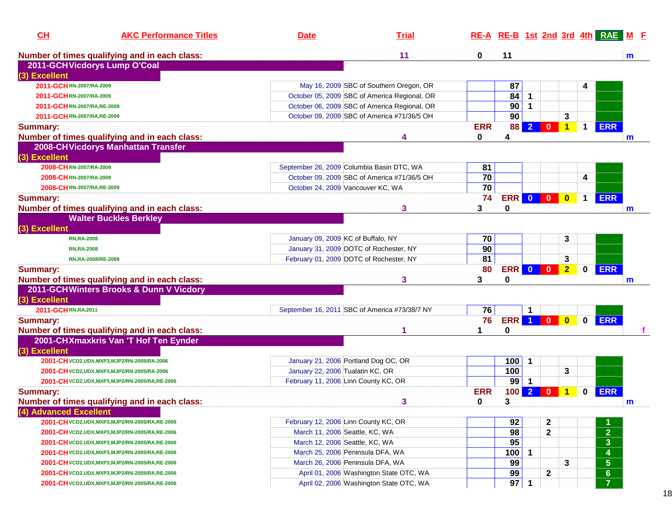| Number of times qualifying and in each class:<br>11<br>0<br>11<br>$\mathbf{m}$<br>2011-GCHVicdorys Lump O'Coal<br>87<br>2011-GCHRN-2007/RA-2009<br>May 16, 2009 SBC of Southern Oregon, OR<br>4<br>84<br>October 05, 2009 SBC of America Regional, OR<br>$\overline{1}$<br>2011-GCHRN-2007/RA-2009<br>90<br>October 06, 2009 SBC of America Regional, OR<br>$\mathbf 1$<br>2011-GCHRN-2007/RA,RE-2009<br>90<br>3<br>October 09, 2009 SBC of America #71/36/5 OH<br>2011-GCHRN-2007/RA, RE-2009<br><b>ERR</b><br><b>ERR</b><br>88<br>$\overline{2}$<br>$\overline{\mathbf{0}}$<br>1<br>$\mathbf 1$<br>Number of times qualifying and in each class:<br>4<br>0<br>4<br>m<br>2008-CH Vicdorys Manhattan Transfer<br>2008-CHRN-2007/RA-2009<br>September 26, 2009 Columbia Basin DTC, WA<br>81<br>70<br>October 09, 2009 SBC of America #71/36/5 OH<br>4<br>2008-CHRN-2007/RA-2009<br>70<br>2008-CHRN-2007/RA, RE-2009<br>October 24, 2009 Vancouver KC, WA<br>ERR 0 0<br><b>ERR</b><br>74<br>$\mathbf 1$<br>$\bf{0}$<br>3<br>Number of times qualifying and in each class:<br>3<br>0<br>m<br><b>Walter Buckles Berkley</b><br>January 09, 2009 KC of Buffalo, NY<br>70<br>3<br><b>RN,RA-2008</b><br>90<br>January 31, 2009 DOTC of Rochester, NY<br><b>RN,RA-2008</b><br>81<br>3<br>February 01, 2009 DOTC of Rochester, NY<br>RN,RA-2008/RE-2009<br><b>ERR 0 0</b><br>$\overline{2}$<br><b>ERR</b><br>80<br>$\mathbf 0$<br>Number of times qualifying and in each class:<br>3<br>3<br>0<br>m<br>2011-GCHWinters Brooks & Dunn V Vicdory<br>(3) Excellent<br>76<br>2011-GCHRN, RA, 2011<br>September 16, 2011 SBC of America #73/38/7 NY<br>-1<br><b>ERR</b> 1 0<br>$\overline{\mathbf{0}}$<br>$\mathbf 0$<br><b>ERR</b><br><b>Summary:</b><br>76<br>0<br>Number of times qualifying and in each class:<br>2001-CHXmaxkris Van 'T Hof Ten Eynder<br>(3) Excellent<br>100<br>January 21, 2006 Portland Dog OC, OR<br>2001-CH VCD2, UDX, MXP3, MJP2/RN-2005/RA-2006<br>-1<br>3<br>100<br>January 22, 2006 Tualatin KC, OR<br>2001-CH VCD2, UDX, MXP3, MJP2/RN-2005/RA-2006<br>99<br>February 11, 2006 Linn County KC, OR<br>$\mathbf 1$<br>2001-CH VCD2, UDX, MXP3, MJP2/RN-2005/RA, RE-2006<br>$\overline{2}$<br><b>Summary:</b><br><b>ERR</b><br>100<br><b>ERR</b><br>$\mathbf{0}$<br>0<br>1<br>3<br>Number of times qualifying and in each class:<br>3<br>0<br>$\mathsf{m}$<br>(4) Advanced Excellent<br>92<br>February 12, 2006 Linn County KC, OR<br>2<br>2001-CH VCD2, UDX, MXP3, MJP2/RN-2005/RA, RE-2006<br>$\overline{2}$<br>98<br>$\mathbf{2}$<br>March 11, 2006 Seattle, KC, WA<br>2001-CH VCD2, UDX, MXP3, MJP2/RN-2005/RA, RE-2006<br>$\overline{\mathbf{3}}$<br>95<br>March 12, 2006 Seattle, KC, WA<br>2001-CH VCD2, UDX, MXP3, MJP2/RN-2005/RA, RE-2006<br>4<br>100<br>March 25, 2006 Peninsula DFA, WA<br>$\mathbf{1}$<br>2001-CH VCD2, UDX, MXP3, MJP2/RN-2005/RA, RE-2006<br>$\overline{\overline{\overline{5}}}$<br>99<br>March 26, 2006 Peninsula DFA, WA<br>3<br>2001-CH VCD2, UDX, MXP3, MJP2/RN-2005/RA, RE-2006<br>$\overline{6}$<br>99<br>April 01, 2006 Washington State OTC, WA<br>$\mathbf{2}$<br>2001-CH VCD2, UDX, MXP3, MJP2/RN-2005/RA, RE-2006<br>$\overline{7}$<br>97<br>April 02, 2006 Washington State OTC, WA<br>$\overline{\mathbf{1}}$<br>2001-CH VCD2, UDX, MXP3, MJP2/RN-2005/RA, RE-2006 | CH              | <b>AKC Performance Titles</b> | <b>Date</b> | <b>Trial</b> |  |  |  | RE-A RE-B 1st 2nd 3rd 4th RAE M F |  |
|--------------------------------------------------------------------------------------------------------------------------------------------------------------------------------------------------------------------------------------------------------------------------------------------------------------------------------------------------------------------------------------------------------------------------------------------------------------------------------------------------------------------------------------------------------------------------------------------------------------------------------------------------------------------------------------------------------------------------------------------------------------------------------------------------------------------------------------------------------------------------------------------------------------------------------------------------------------------------------------------------------------------------------------------------------------------------------------------------------------------------------------------------------------------------------------------------------------------------------------------------------------------------------------------------------------------------------------------------------------------------------------------------------------------------------------------------------------------------------------------------------------------------------------------------------------------------------------------------------------------------------------------------------------------------------------------------------------------------------------------------------------------------------------------------------------------------------------------------------------------------------------------------------------------------------------------------------------------------------------------------------------------------------------------------------------------------------------------------------------------------------------------------------------------------------------------------------------------------------------------------------------------------------------------------------------------------------------------------------------------------------------------------------------------------------------------------------------------------------------------------------------------------------------------------------------------------------------------------------------------------------------------------------------------------------------------------------------------------------------------------------------------------------------------------------------------------------------------------------------------------------------------------------------------------------------------------------------------------------------------------------------------------------------------------------------------------------------------------------------------------------------------------------------------------------------------------------------------------------------------------------------------------------------------------------------------------------|-----------------|-------------------------------|-------------|--------------|--|--|--|-----------------------------------|--|
|                                                                                                                                                                                                                                                                                                                                                                                                                                                                                                                                                                                                                                                                                                                                                                                                                                                                                                                                                                                                                                                                                                                                                                                                                                                                                                                                                                                                                                                                                                                                                                                                                                                                                                                                                                                                                                                                                                                                                                                                                                                                                                                                                                                                                                                                                                                                                                                                                                                                                                                                                                                                                                                                                                                                                                                                                                                                                                                                                                                                                                                                                                                                                                                                                                                                                                                                |                 |                               |             |              |  |  |  |                                   |  |
|                                                                                                                                                                                                                                                                                                                                                                                                                                                                                                                                                                                                                                                                                                                                                                                                                                                                                                                                                                                                                                                                                                                                                                                                                                                                                                                                                                                                                                                                                                                                                                                                                                                                                                                                                                                                                                                                                                                                                                                                                                                                                                                                                                                                                                                                                                                                                                                                                                                                                                                                                                                                                                                                                                                                                                                                                                                                                                                                                                                                                                                                                                                                                                                                                                                                                                                                |                 |                               |             |              |  |  |  |                                   |  |
|                                                                                                                                                                                                                                                                                                                                                                                                                                                                                                                                                                                                                                                                                                                                                                                                                                                                                                                                                                                                                                                                                                                                                                                                                                                                                                                                                                                                                                                                                                                                                                                                                                                                                                                                                                                                                                                                                                                                                                                                                                                                                                                                                                                                                                                                                                                                                                                                                                                                                                                                                                                                                                                                                                                                                                                                                                                                                                                                                                                                                                                                                                                                                                                                                                                                                                                                | (3) Excellent   |                               |             |              |  |  |  |                                   |  |
|                                                                                                                                                                                                                                                                                                                                                                                                                                                                                                                                                                                                                                                                                                                                                                                                                                                                                                                                                                                                                                                                                                                                                                                                                                                                                                                                                                                                                                                                                                                                                                                                                                                                                                                                                                                                                                                                                                                                                                                                                                                                                                                                                                                                                                                                                                                                                                                                                                                                                                                                                                                                                                                                                                                                                                                                                                                                                                                                                                                                                                                                                                                                                                                                                                                                                                                                |                 |                               |             |              |  |  |  |                                   |  |
|                                                                                                                                                                                                                                                                                                                                                                                                                                                                                                                                                                                                                                                                                                                                                                                                                                                                                                                                                                                                                                                                                                                                                                                                                                                                                                                                                                                                                                                                                                                                                                                                                                                                                                                                                                                                                                                                                                                                                                                                                                                                                                                                                                                                                                                                                                                                                                                                                                                                                                                                                                                                                                                                                                                                                                                                                                                                                                                                                                                                                                                                                                                                                                                                                                                                                                                                |                 |                               |             |              |  |  |  |                                   |  |
|                                                                                                                                                                                                                                                                                                                                                                                                                                                                                                                                                                                                                                                                                                                                                                                                                                                                                                                                                                                                                                                                                                                                                                                                                                                                                                                                                                                                                                                                                                                                                                                                                                                                                                                                                                                                                                                                                                                                                                                                                                                                                                                                                                                                                                                                                                                                                                                                                                                                                                                                                                                                                                                                                                                                                                                                                                                                                                                                                                                                                                                                                                                                                                                                                                                                                                                                |                 |                               |             |              |  |  |  |                                   |  |
|                                                                                                                                                                                                                                                                                                                                                                                                                                                                                                                                                                                                                                                                                                                                                                                                                                                                                                                                                                                                                                                                                                                                                                                                                                                                                                                                                                                                                                                                                                                                                                                                                                                                                                                                                                                                                                                                                                                                                                                                                                                                                                                                                                                                                                                                                                                                                                                                                                                                                                                                                                                                                                                                                                                                                                                                                                                                                                                                                                                                                                                                                                                                                                                                                                                                                                                                |                 |                               |             |              |  |  |  |                                   |  |
|                                                                                                                                                                                                                                                                                                                                                                                                                                                                                                                                                                                                                                                                                                                                                                                                                                                                                                                                                                                                                                                                                                                                                                                                                                                                                                                                                                                                                                                                                                                                                                                                                                                                                                                                                                                                                                                                                                                                                                                                                                                                                                                                                                                                                                                                                                                                                                                                                                                                                                                                                                                                                                                                                                                                                                                                                                                                                                                                                                                                                                                                                                                                                                                                                                                                                                                                | Summary:        |                               |             |              |  |  |  |                                   |  |
|                                                                                                                                                                                                                                                                                                                                                                                                                                                                                                                                                                                                                                                                                                                                                                                                                                                                                                                                                                                                                                                                                                                                                                                                                                                                                                                                                                                                                                                                                                                                                                                                                                                                                                                                                                                                                                                                                                                                                                                                                                                                                                                                                                                                                                                                                                                                                                                                                                                                                                                                                                                                                                                                                                                                                                                                                                                                                                                                                                                                                                                                                                                                                                                                                                                                                                                                |                 |                               |             |              |  |  |  |                                   |  |
|                                                                                                                                                                                                                                                                                                                                                                                                                                                                                                                                                                                                                                                                                                                                                                                                                                                                                                                                                                                                                                                                                                                                                                                                                                                                                                                                                                                                                                                                                                                                                                                                                                                                                                                                                                                                                                                                                                                                                                                                                                                                                                                                                                                                                                                                                                                                                                                                                                                                                                                                                                                                                                                                                                                                                                                                                                                                                                                                                                                                                                                                                                                                                                                                                                                                                                                                |                 |                               |             |              |  |  |  |                                   |  |
|                                                                                                                                                                                                                                                                                                                                                                                                                                                                                                                                                                                                                                                                                                                                                                                                                                                                                                                                                                                                                                                                                                                                                                                                                                                                                                                                                                                                                                                                                                                                                                                                                                                                                                                                                                                                                                                                                                                                                                                                                                                                                                                                                                                                                                                                                                                                                                                                                                                                                                                                                                                                                                                                                                                                                                                                                                                                                                                                                                                                                                                                                                                                                                                                                                                                                                                                | (3) Excellent   |                               |             |              |  |  |  |                                   |  |
|                                                                                                                                                                                                                                                                                                                                                                                                                                                                                                                                                                                                                                                                                                                                                                                                                                                                                                                                                                                                                                                                                                                                                                                                                                                                                                                                                                                                                                                                                                                                                                                                                                                                                                                                                                                                                                                                                                                                                                                                                                                                                                                                                                                                                                                                                                                                                                                                                                                                                                                                                                                                                                                                                                                                                                                                                                                                                                                                                                                                                                                                                                                                                                                                                                                                                                                                |                 |                               |             |              |  |  |  |                                   |  |
|                                                                                                                                                                                                                                                                                                                                                                                                                                                                                                                                                                                                                                                                                                                                                                                                                                                                                                                                                                                                                                                                                                                                                                                                                                                                                                                                                                                                                                                                                                                                                                                                                                                                                                                                                                                                                                                                                                                                                                                                                                                                                                                                                                                                                                                                                                                                                                                                                                                                                                                                                                                                                                                                                                                                                                                                                                                                                                                                                                                                                                                                                                                                                                                                                                                                                                                                |                 |                               |             |              |  |  |  |                                   |  |
|                                                                                                                                                                                                                                                                                                                                                                                                                                                                                                                                                                                                                                                                                                                                                                                                                                                                                                                                                                                                                                                                                                                                                                                                                                                                                                                                                                                                                                                                                                                                                                                                                                                                                                                                                                                                                                                                                                                                                                                                                                                                                                                                                                                                                                                                                                                                                                                                                                                                                                                                                                                                                                                                                                                                                                                                                                                                                                                                                                                                                                                                                                                                                                                                                                                                                                                                |                 |                               |             |              |  |  |  |                                   |  |
|                                                                                                                                                                                                                                                                                                                                                                                                                                                                                                                                                                                                                                                                                                                                                                                                                                                                                                                                                                                                                                                                                                                                                                                                                                                                                                                                                                                                                                                                                                                                                                                                                                                                                                                                                                                                                                                                                                                                                                                                                                                                                                                                                                                                                                                                                                                                                                                                                                                                                                                                                                                                                                                                                                                                                                                                                                                                                                                                                                                                                                                                                                                                                                                                                                                                                                                                | <b>Summary:</b> |                               |             |              |  |  |  |                                   |  |
|                                                                                                                                                                                                                                                                                                                                                                                                                                                                                                                                                                                                                                                                                                                                                                                                                                                                                                                                                                                                                                                                                                                                                                                                                                                                                                                                                                                                                                                                                                                                                                                                                                                                                                                                                                                                                                                                                                                                                                                                                                                                                                                                                                                                                                                                                                                                                                                                                                                                                                                                                                                                                                                                                                                                                                                                                                                                                                                                                                                                                                                                                                                                                                                                                                                                                                                                |                 |                               |             |              |  |  |  |                                   |  |
|                                                                                                                                                                                                                                                                                                                                                                                                                                                                                                                                                                                                                                                                                                                                                                                                                                                                                                                                                                                                                                                                                                                                                                                                                                                                                                                                                                                                                                                                                                                                                                                                                                                                                                                                                                                                                                                                                                                                                                                                                                                                                                                                                                                                                                                                                                                                                                                                                                                                                                                                                                                                                                                                                                                                                                                                                                                                                                                                                                                                                                                                                                                                                                                                                                                                                                                                |                 |                               |             |              |  |  |  |                                   |  |
|                                                                                                                                                                                                                                                                                                                                                                                                                                                                                                                                                                                                                                                                                                                                                                                                                                                                                                                                                                                                                                                                                                                                                                                                                                                                                                                                                                                                                                                                                                                                                                                                                                                                                                                                                                                                                                                                                                                                                                                                                                                                                                                                                                                                                                                                                                                                                                                                                                                                                                                                                                                                                                                                                                                                                                                                                                                                                                                                                                                                                                                                                                                                                                                                                                                                                                                                | (3) Excellent   |                               |             |              |  |  |  |                                   |  |
|                                                                                                                                                                                                                                                                                                                                                                                                                                                                                                                                                                                                                                                                                                                                                                                                                                                                                                                                                                                                                                                                                                                                                                                                                                                                                                                                                                                                                                                                                                                                                                                                                                                                                                                                                                                                                                                                                                                                                                                                                                                                                                                                                                                                                                                                                                                                                                                                                                                                                                                                                                                                                                                                                                                                                                                                                                                                                                                                                                                                                                                                                                                                                                                                                                                                                                                                |                 |                               |             |              |  |  |  |                                   |  |
|                                                                                                                                                                                                                                                                                                                                                                                                                                                                                                                                                                                                                                                                                                                                                                                                                                                                                                                                                                                                                                                                                                                                                                                                                                                                                                                                                                                                                                                                                                                                                                                                                                                                                                                                                                                                                                                                                                                                                                                                                                                                                                                                                                                                                                                                                                                                                                                                                                                                                                                                                                                                                                                                                                                                                                                                                                                                                                                                                                                                                                                                                                                                                                                                                                                                                                                                |                 |                               |             |              |  |  |  |                                   |  |
|                                                                                                                                                                                                                                                                                                                                                                                                                                                                                                                                                                                                                                                                                                                                                                                                                                                                                                                                                                                                                                                                                                                                                                                                                                                                                                                                                                                                                                                                                                                                                                                                                                                                                                                                                                                                                                                                                                                                                                                                                                                                                                                                                                                                                                                                                                                                                                                                                                                                                                                                                                                                                                                                                                                                                                                                                                                                                                                                                                                                                                                                                                                                                                                                                                                                                                                                |                 |                               |             |              |  |  |  |                                   |  |
|                                                                                                                                                                                                                                                                                                                                                                                                                                                                                                                                                                                                                                                                                                                                                                                                                                                                                                                                                                                                                                                                                                                                                                                                                                                                                                                                                                                                                                                                                                                                                                                                                                                                                                                                                                                                                                                                                                                                                                                                                                                                                                                                                                                                                                                                                                                                                                                                                                                                                                                                                                                                                                                                                                                                                                                                                                                                                                                                                                                                                                                                                                                                                                                                                                                                                                                                | <b>Summary:</b> |                               |             |              |  |  |  |                                   |  |
|                                                                                                                                                                                                                                                                                                                                                                                                                                                                                                                                                                                                                                                                                                                                                                                                                                                                                                                                                                                                                                                                                                                                                                                                                                                                                                                                                                                                                                                                                                                                                                                                                                                                                                                                                                                                                                                                                                                                                                                                                                                                                                                                                                                                                                                                                                                                                                                                                                                                                                                                                                                                                                                                                                                                                                                                                                                                                                                                                                                                                                                                                                                                                                                                                                                                                                                                |                 |                               |             |              |  |  |  |                                   |  |
|                                                                                                                                                                                                                                                                                                                                                                                                                                                                                                                                                                                                                                                                                                                                                                                                                                                                                                                                                                                                                                                                                                                                                                                                                                                                                                                                                                                                                                                                                                                                                                                                                                                                                                                                                                                                                                                                                                                                                                                                                                                                                                                                                                                                                                                                                                                                                                                                                                                                                                                                                                                                                                                                                                                                                                                                                                                                                                                                                                                                                                                                                                                                                                                                                                                                                                                                |                 |                               |             |              |  |  |  |                                   |  |
|                                                                                                                                                                                                                                                                                                                                                                                                                                                                                                                                                                                                                                                                                                                                                                                                                                                                                                                                                                                                                                                                                                                                                                                                                                                                                                                                                                                                                                                                                                                                                                                                                                                                                                                                                                                                                                                                                                                                                                                                                                                                                                                                                                                                                                                                                                                                                                                                                                                                                                                                                                                                                                                                                                                                                                                                                                                                                                                                                                                                                                                                                                                                                                                                                                                                                                                                |                 |                               |             |              |  |  |  |                                   |  |
|                                                                                                                                                                                                                                                                                                                                                                                                                                                                                                                                                                                                                                                                                                                                                                                                                                                                                                                                                                                                                                                                                                                                                                                                                                                                                                                                                                                                                                                                                                                                                                                                                                                                                                                                                                                                                                                                                                                                                                                                                                                                                                                                                                                                                                                                                                                                                                                                                                                                                                                                                                                                                                                                                                                                                                                                                                                                                                                                                                                                                                                                                                                                                                                                                                                                                                                                |                 |                               |             |              |  |  |  |                                   |  |
|                                                                                                                                                                                                                                                                                                                                                                                                                                                                                                                                                                                                                                                                                                                                                                                                                                                                                                                                                                                                                                                                                                                                                                                                                                                                                                                                                                                                                                                                                                                                                                                                                                                                                                                                                                                                                                                                                                                                                                                                                                                                                                                                                                                                                                                                                                                                                                                                                                                                                                                                                                                                                                                                                                                                                                                                                                                                                                                                                                                                                                                                                                                                                                                                                                                                                                                                |                 |                               |             |              |  |  |  |                                   |  |
|                                                                                                                                                                                                                                                                                                                                                                                                                                                                                                                                                                                                                                                                                                                                                                                                                                                                                                                                                                                                                                                                                                                                                                                                                                                                                                                                                                                                                                                                                                                                                                                                                                                                                                                                                                                                                                                                                                                                                                                                                                                                                                                                                                                                                                                                                                                                                                                                                                                                                                                                                                                                                                                                                                                                                                                                                                                                                                                                                                                                                                                                                                                                                                                                                                                                                                                                |                 |                               |             |              |  |  |  |                                   |  |
|                                                                                                                                                                                                                                                                                                                                                                                                                                                                                                                                                                                                                                                                                                                                                                                                                                                                                                                                                                                                                                                                                                                                                                                                                                                                                                                                                                                                                                                                                                                                                                                                                                                                                                                                                                                                                                                                                                                                                                                                                                                                                                                                                                                                                                                                                                                                                                                                                                                                                                                                                                                                                                                                                                                                                                                                                                                                                                                                                                                                                                                                                                                                                                                                                                                                                                                                |                 |                               |             |              |  |  |  |                                   |  |
|                                                                                                                                                                                                                                                                                                                                                                                                                                                                                                                                                                                                                                                                                                                                                                                                                                                                                                                                                                                                                                                                                                                                                                                                                                                                                                                                                                                                                                                                                                                                                                                                                                                                                                                                                                                                                                                                                                                                                                                                                                                                                                                                                                                                                                                                                                                                                                                                                                                                                                                                                                                                                                                                                                                                                                                                                                                                                                                                                                                                                                                                                                                                                                                                                                                                                                                                |                 |                               |             |              |  |  |  |                                   |  |
|                                                                                                                                                                                                                                                                                                                                                                                                                                                                                                                                                                                                                                                                                                                                                                                                                                                                                                                                                                                                                                                                                                                                                                                                                                                                                                                                                                                                                                                                                                                                                                                                                                                                                                                                                                                                                                                                                                                                                                                                                                                                                                                                                                                                                                                                                                                                                                                                                                                                                                                                                                                                                                                                                                                                                                                                                                                                                                                                                                                                                                                                                                                                                                                                                                                                                                                                |                 |                               |             |              |  |  |  |                                   |  |
|                                                                                                                                                                                                                                                                                                                                                                                                                                                                                                                                                                                                                                                                                                                                                                                                                                                                                                                                                                                                                                                                                                                                                                                                                                                                                                                                                                                                                                                                                                                                                                                                                                                                                                                                                                                                                                                                                                                                                                                                                                                                                                                                                                                                                                                                                                                                                                                                                                                                                                                                                                                                                                                                                                                                                                                                                                                                                                                                                                                                                                                                                                                                                                                                                                                                                                                                |                 |                               |             |              |  |  |  |                                   |  |
|                                                                                                                                                                                                                                                                                                                                                                                                                                                                                                                                                                                                                                                                                                                                                                                                                                                                                                                                                                                                                                                                                                                                                                                                                                                                                                                                                                                                                                                                                                                                                                                                                                                                                                                                                                                                                                                                                                                                                                                                                                                                                                                                                                                                                                                                                                                                                                                                                                                                                                                                                                                                                                                                                                                                                                                                                                                                                                                                                                                                                                                                                                                                                                                                                                                                                                                                |                 |                               |             |              |  |  |  |                                   |  |
|                                                                                                                                                                                                                                                                                                                                                                                                                                                                                                                                                                                                                                                                                                                                                                                                                                                                                                                                                                                                                                                                                                                                                                                                                                                                                                                                                                                                                                                                                                                                                                                                                                                                                                                                                                                                                                                                                                                                                                                                                                                                                                                                                                                                                                                                                                                                                                                                                                                                                                                                                                                                                                                                                                                                                                                                                                                                                                                                                                                                                                                                                                                                                                                                                                                                                                                                |                 |                               |             |              |  |  |  |                                   |  |
|                                                                                                                                                                                                                                                                                                                                                                                                                                                                                                                                                                                                                                                                                                                                                                                                                                                                                                                                                                                                                                                                                                                                                                                                                                                                                                                                                                                                                                                                                                                                                                                                                                                                                                                                                                                                                                                                                                                                                                                                                                                                                                                                                                                                                                                                                                                                                                                                                                                                                                                                                                                                                                                                                                                                                                                                                                                                                                                                                                                                                                                                                                                                                                                                                                                                                                                                |                 |                               |             |              |  |  |  |                                   |  |
|                                                                                                                                                                                                                                                                                                                                                                                                                                                                                                                                                                                                                                                                                                                                                                                                                                                                                                                                                                                                                                                                                                                                                                                                                                                                                                                                                                                                                                                                                                                                                                                                                                                                                                                                                                                                                                                                                                                                                                                                                                                                                                                                                                                                                                                                                                                                                                                                                                                                                                                                                                                                                                                                                                                                                                                                                                                                                                                                                                                                                                                                                                                                                                                                                                                                                                                                |                 |                               |             |              |  |  |  |                                   |  |
|                                                                                                                                                                                                                                                                                                                                                                                                                                                                                                                                                                                                                                                                                                                                                                                                                                                                                                                                                                                                                                                                                                                                                                                                                                                                                                                                                                                                                                                                                                                                                                                                                                                                                                                                                                                                                                                                                                                                                                                                                                                                                                                                                                                                                                                                                                                                                                                                                                                                                                                                                                                                                                                                                                                                                                                                                                                                                                                                                                                                                                                                                                                                                                                                                                                                                                                                |                 |                               |             |              |  |  |  |                                   |  |
|                                                                                                                                                                                                                                                                                                                                                                                                                                                                                                                                                                                                                                                                                                                                                                                                                                                                                                                                                                                                                                                                                                                                                                                                                                                                                                                                                                                                                                                                                                                                                                                                                                                                                                                                                                                                                                                                                                                                                                                                                                                                                                                                                                                                                                                                                                                                                                                                                                                                                                                                                                                                                                                                                                                                                                                                                                                                                                                                                                                                                                                                                                                                                                                                                                                                                                                                |                 |                               |             |              |  |  |  |                                   |  |
|                                                                                                                                                                                                                                                                                                                                                                                                                                                                                                                                                                                                                                                                                                                                                                                                                                                                                                                                                                                                                                                                                                                                                                                                                                                                                                                                                                                                                                                                                                                                                                                                                                                                                                                                                                                                                                                                                                                                                                                                                                                                                                                                                                                                                                                                                                                                                                                                                                                                                                                                                                                                                                                                                                                                                                                                                                                                                                                                                                                                                                                                                                                                                                                                                                                                                                                                |                 |                               |             |              |  |  |  |                                   |  |
|                                                                                                                                                                                                                                                                                                                                                                                                                                                                                                                                                                                                                                                                                                                                                                                                                                                                                                                                                                                                                                                                                                                                                                                                                                                                                                                                                                                                                                                                                                                                                                                                                                                                                                                                                                                                                                                                                                                                                                                                                                                                                                                                                                                                                                                                                                                                                                                                                                                                                                                                                                                                                                                                                                                                                                                                                                                                                                                                                                                                                                                                                                                                                                                                                                                                                                                                |                 |                               |             |              |  |  |  |                                   |  |
|                                                                                                                                                                                                                                                                                                                                                                                                                                                                                                                                                                                                                                                                                                                                                                                                                                                                                                                                                                                                                                                                                                                                                                                                                                                                                                                                                                                                                                                                                                                                                                                                                                                                                                                                                                                                                                                                                                                                                                                                                                                                                                                                                                                                                                                                                                                                                                                                                                                                                                                                                                                                                                                                                                                                                                                                                                                                                                                                                                                                                                                                                                                                                                                                                                                                                                                                |                 |                               |             |              |  |  |  |                                   |  |
|                                                                                                                                                                                                                                                                                                                                                                                                                                                                                                                                                                                                                                                                                                                                                                                                                                                                                                                                                                                                                                                                                                                                                                                                                                                                                                                                                                                                                                                                                                                                                                                                                                                                                                                                                                                                                                                                                                                                                                                                                                                                                                                                                                                                                                                                                                                                                                                                                                                                                                                                                                                                                                                                                                                                                                                                                                                                                                                                                                                                                                                                                                                                                                                                                                                                                                                                |                 |                               |             |              |  |  |  |                                   |  |
|                                                                                                                                                                                                                                                                                                                                                                                                                                                                                                                                                                                                                                                                                                                                                                                                                                                                                                                                                                                                                                                                                                                                                                                                                                                                                                                                                                                                                                                                                                                                                                                                                                                                                                                                                                                                                                                                                                                                                                                                                                                                                                                                                                                                                                                                                                                                                                                                                                                                                                                                                                                                                                                                                                                                                                                                                                                                                                                                                                                                                                                                                                                                                                                                                                                                                                                                |                 |                               |             |              |  |  |  |                                   |  |